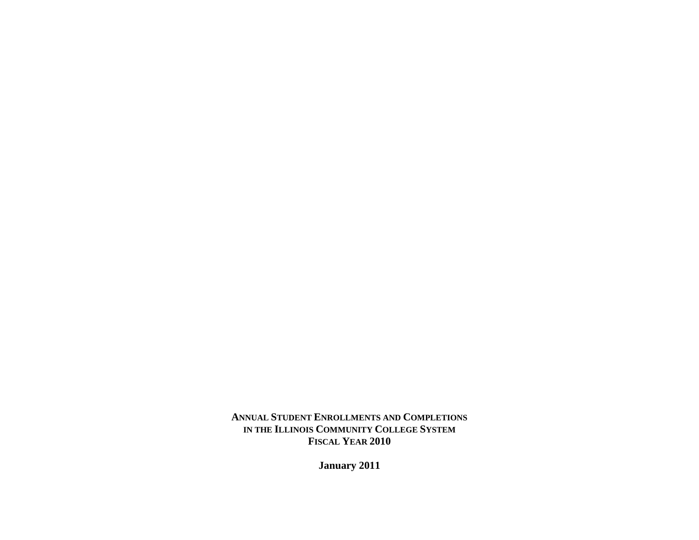**ANNUAL STUDENT ENROLLMENTS AND COMPLETIONS IN THE ILLINOIS COMMUNITY COLLEGE SYSTEM FISCAL YEAR 2010** 

**January 2011**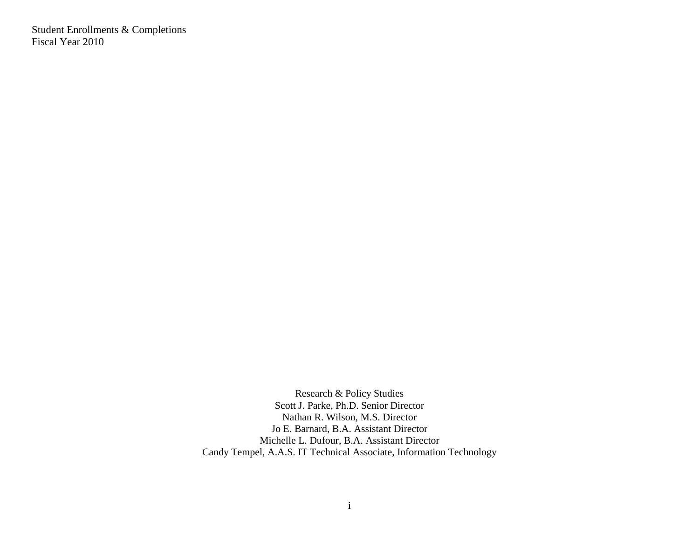Student Enrollments & Completions Fiscal Year 2010

> Research & Policy Studies Scott J. Parke, Ph.D. Senior Director Nathan R. Wilson, M.S. Director Jo E. Barnard, B.A. Assistant Director Michelle L. Dufour, B.A. Assistant Director Candy Tempel, A.A.S. IT Technical Associate, Information Technology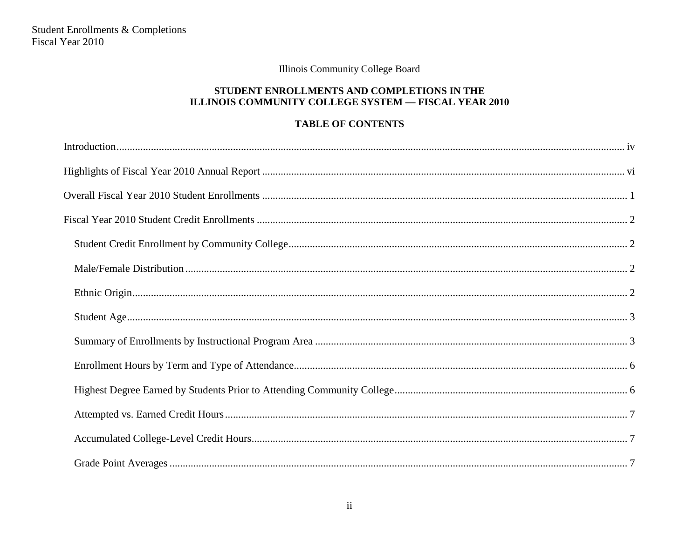# STUDENT ENROLLMENTS AND COMPLETIONS IN THE ILLINOIS COMMUNITY COLLEGE SYSTEM - FISCAL YEAR 2010

# **TABLE OF CONTENTS**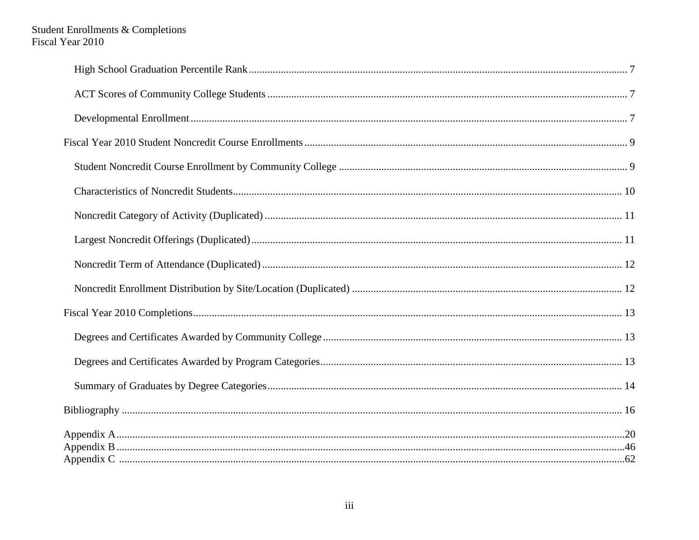# Student Enrollments & Completions<br>Fiscal Year 2010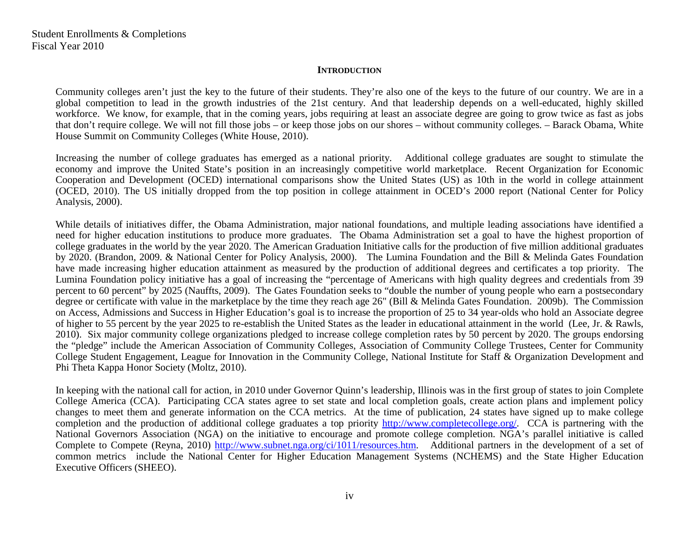# **INTRODUCTION**

<span id="page-4-0"></span>Community colleges aren't just the key to the future of their students. They're also one of the keys to the future of our country. We are in a global competition to lead in the growth industries of the 21st century. And that leadership depends on a well-educated, highly skilled workforce. We know, for example, that in the coming years, jobs requiring at least an associate degree are going to grow twice as fast as jobs that don't require college. We will not fill those jobs – or keep those jobs on our shores – without community colleges. – Barack Obama, White House Summit on Community Colleges (White House, 2010).

Increasing the number of college graduates has emerged as a national priority. Additional college graduates are sought to stimulate the economy and improve the United State's position in an increasingly competitive world marketplace. Recent Organization for Economic Cooperation and Development (OCED) international comparisons show the United States (US) as 10th in the world in college attainment (OCED, 2010). The US initially dropped from the top position in college attainment in OCED's 2000 report [\(National Center for Policy](http://www.ncpa.org/sub/dpd/index.php?Article_ID=10045)  [Analysis, 2000\)](http://www.ncpa.org/sub/dpd/index.php?Article_ID=10045).

While details of initiatives differ, the Obama Administration, major national foundations, and multiple leading associations have identified a need for higher education institutions to produce more graduates. The Obama Administration set a goal to have the highest proportion of college graduates in the world by the year 2020. The American Graduation Initiative calls for the production of five million additional graduates by 2020. [\(Brandon, 2009.](http://www.whitehouse.gov/blog/Investing-in-Education-The-American-Graduation-Initiative/) & National Center for Policy Analysis, 2000). The Lumina Foundation and the Bill & Melinda Gates Foundation have made increasing higher education attainment as measured by the production of additional degrees and certificates a top priority. The Lumina Foundation policy initiative has a goal of increasing the "percentage of Americans with high quality degrees and credentials from 39 percent to 60 percent" by 2025 (Nauffts, 2009). The Gates Foundation seeks to "double the number of young people who earn a postsecondary degree or certificate with value in the marketplace by the time they reach age 26" [\(Bill & Melinda Gates Foundation. 2009b\)](http://www.gatesfoundation.org/learning/Documents/postsecondary-education-success-plan-executive-summary.pdf). The Commission on Access, Admissions and Success in Higher Education's goal is to increase the proportion of 25 to 34 year-olds who hold an Associate degree of higher to 55 percent by the year 2025 to re-establish the United States as the leader in educational attainment in the world (Lee, Jr. & Rawls, 2010). Six major community college organizations pledged to increase college completion rates by 50 percent by 2020. The groups endorsing the "pledge" include the American Association of Community Colleges, Association of Community College Trustees, Center for Community College Student Engagement, League for Innovation in the Community College, National Institute for Staff & Organization Development and Phi Theta Kappa Honor Society (Moltz, 2010).

In keeping with the national call for action, in 2010 under Governor Quinn's leadership, Illinois was in the first group of states to join Complete College America (CCA). Participating CCA states agree to set state and local completion goals, create action plans and implement policy changes to meet them and generate information on the CCA metrics. At the time of publication, 24 states have signed up to make college completion and the production of additional college graduates a top priority [http://www.completecollege.org/.](http://www.completecollege.org/) CCA is partnering with the National Governors Association (NGA) on the initiative to encourage and promote college completion. NGA's parallel initiative is called Complete to Compete (Reyna, 2010) [http://www.subnet.nga.org/ci/1011/resources.htm.](http://www.subnet.nga.org/ci/1011/) Additional partners in the development of a set of common metrics include the National Center for Higher Education Management Systems (NCHEMS) and the State Higher Education Executive Officers (SHEEO).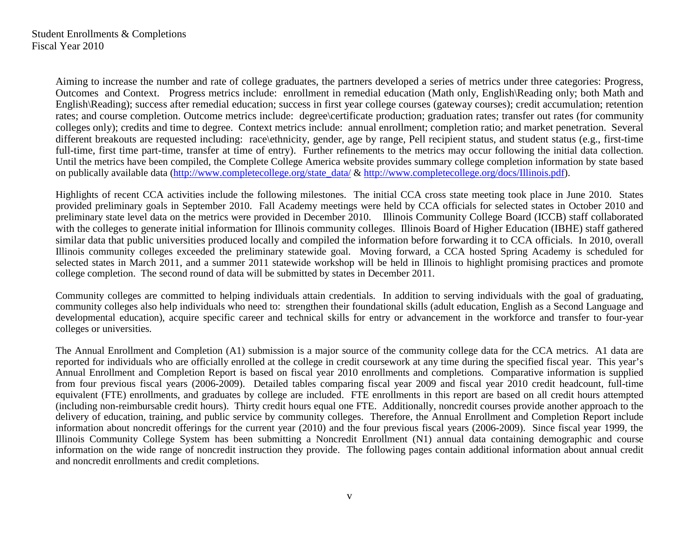Student Enrollments & Completions Fiscal Year 2010

> Aiming to increase the number and rate of college graduates, the partners developed a series of metrics under three categories: Progress, Outcomes and Context. Progress metrics include: enrollment in remedial education (Math only, English\Reading only; both Math and English\Reading); success after remedial education; success in first year college courses (gateway courses); credit accumulation; retention rates; and course completion. Outcome metrics include: degree\certificate production; graduation rates; transfer out rates (for community colleges only); credits and time to degree. Context metrics include: annual enrollment; completion ratio; and market penetration. Several different breakouts are requested including: race\ethnicity, gender, age by range, Pell recipient status, and student status (e.g., first-time full-time, first time part-time, transfer at time of entry). Further refinements to the metrics may occur following the initial data collection. Until the metrics have been compiled, the Complete College America website provides summary college completion information by state based on publically available data [\(http://www.completecollege.org/state\\_data/](http://www.completecollege.org/state_data/) & [http://www.completecollege.org/docs/Illinois.pdf\)](http://www.completecollege.org/docs/Illinois.pdf).

> Highlights of recent CCA activities include the following milestones. The initial CCA cross state meeting took place in June 2010. States provided preliminary goals in September 2010. Fall Academy meetings were held by CCA officials for selected states in October 2010 and preliminary state level data on the metrics were provided in December 2010. Illinois Community College Board (ICCB) staff collaborated with the colleges to generate initial information for Illinois community colleges. Illinois Board of Higher Education (IBHE) staff gathered similar data that public universities produced locally and compiled the information before forwarding it to CCA officials. In 2010, overall Illinois community colleges exceeded the preliminary statewide goal. Moving forward, a CCA hosted Spring Academy is scheduled for selected states in March 2011, and a summer 2011 statewide workshop will be held in Illinois to highlight promising practices and promote college completion. The second round of data will be submitted by states in December 2011.

> Community colleges are committed to helping individuals attain credentials. In addition to serving individuals with the goal of graduating, community colleges also help individuals who need to: strengthen their foundational skills (adult education, English as a Second Language and developmental education), acquire specific career and technical skills for entry or advancement in the workforce and transfer to four-year colleges or universities.

> The Annual Enrollment and Completion (A1) submission is a major source of the community college data for the CCA metrics. A1 data are reported for individuals who are officially enrolled at the college in credit coursework at any time during the specified fiscal year. This year's Annual Enrollment and Completion Report is based on fiscal year 2010 enrollments and completions. Comparative information is supplied from four previous fiscal years (2006-2009). Detailed tables comparing fiscal year 2009 and fiscal year 2010 credit headcount, full-time equivalent (FTE) enrollments, and graduates by college are included. FTE enrollments in this report are based on all credit hours attempted (including non-reimbursable credit hours). Thirty credit hours equal one FTE. Additionally, noncredit courses provide another approach to the delivery of education, training, and public service by community colleges. Therefore, the Annual Enrollment and Completion Report include information about noncredit offerings for the current year (2010) and the four previous fiscal years (2006-2009). Since fiscal year 1999, the Illinois Community College System has been submitting a Noncredit Enrollment (N1) annual data containing demographic and course information on the wide range of noncredit instruction they provide. The following pages contain additional information about annual credit and noncredit enrollments and credit completions.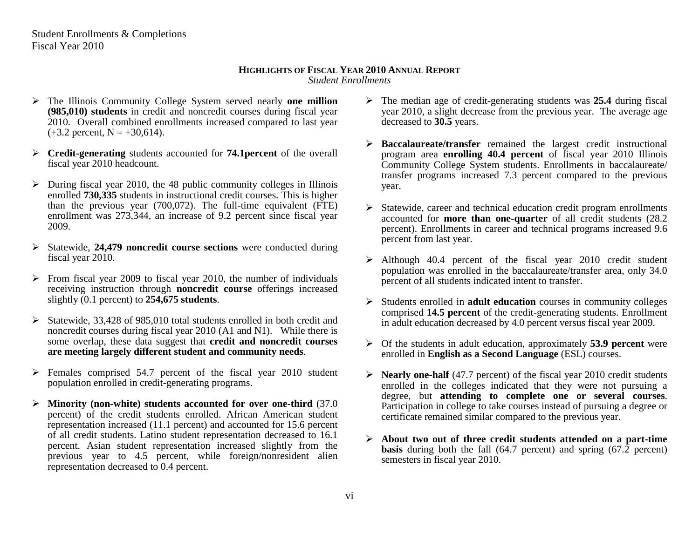Student Enrollments & Completions Fiscal Year 2010

#### **HIGHLIGHTS OF FISCAL YEAR 2010 ANNUAL REPORT** *Student Enrollments*

- <span id="page-6-0"></span> The Illinois Community College System served nearly **one million (985,010) students** in credit and noncredit courses during fiscal year 2010. Overall combined enrollments increased compared to last year  $(+3.2 \text{ percent}, N = +30,614).$
- **Credit-generating** students accounted for **74.1percent** of the overall fiscal year 2010 headcount.
- $\triangleright$  During fiscal year 2010, the 48 public community colleges in Illinois enrolled **730,335** students in instructional credit courses. This is higher than the previous year (700,072). The full-time equivalent (FTE) enrollment was 273,344, an increase of 9.2 percent since fiscal year 2009.
- Statewide, **24,479 noncredit course sections** were conducted during fiscal year 2010.
- $\triangleright$  From fiscal year 2009 to fiscal year 2010, the number of individuals receiving instruction through **noncredit course** offerings increased slightly (0.1 percent) to **254,675 students**.
- $\triangleright$  Statewide, 33,428 of 985,010 total students enrolled in both credit and noncredit courses during fiscal year 2010 (A1 and N1). While there is some overlap, these data suggest that **credit and noncredit courses are meeting largely different student and community needs**.
- $\triangleright$  Females comprised 54.7 percent of the fiscal year 2010 student population enrolled in credit-generating programs.
- **Minority (non-white) students accounted for over one-third** (37.0 percent) of the credit students enrolled. African American student representation increased (11.1 percent) and accounted for 15.6 percent of all credit students. Latino student representation decreased to 16.1 percent. Asian student representation increased slightly from the previous year to 4.5 percent, while foreign/nonresident alien representation decreased to 0.4 percent.
- The median age of credit-generating students was **25.4** during fiscal year 2010, a slight decrease from the previous year. The average age decreased to **30.5** years.
- **Baccalaureate/transfer** remained the largest credit instructional program area **enrolling 40.4 percent** of fiscal year 2010 Illinois Community College System students. Enrollments in baccalaureate/ transfer programs increased 7.3 percent compared to the previous year.
- $\triangleright$  Statewide, career and technical education credit program enrollments accounted for **more than one-quarter** of all credit students (28.2 percent). Enrollments in career and technical programs increased 9.6 percent from last year.
- Although 40.4 percent of the fiscal year 2010 credit student population was enrolled in the baccalaureate/transfer area, only 34.0 percent of all students indicated intent to transfer.
- Students enrolled in **adult education** courses in community colleges comprised **14.5 percent** of the credit-generating students. Enrollment in adult education decreased by 4.0 percent versus fiscal year 2009.
- Of the students in adult education, approximately **53.9 percent** were enrolled in **English as a Second Language** (ESL) courses.
- **Nearly one-half** (47.7 percent) of the fiscal year 2010 credit students enrolled in the colleges indicated that they were not pursuing a degree, but **attending to complete one or several courses**. Participation in college to take courses instead of pursuing a degree or certificate remained similar compared to the previous year.
- **About two out of three credit students attended on a part-time basis** during both the fall (64.7 percent) and spring (67.2 percent) semesters in fiscal year 2010.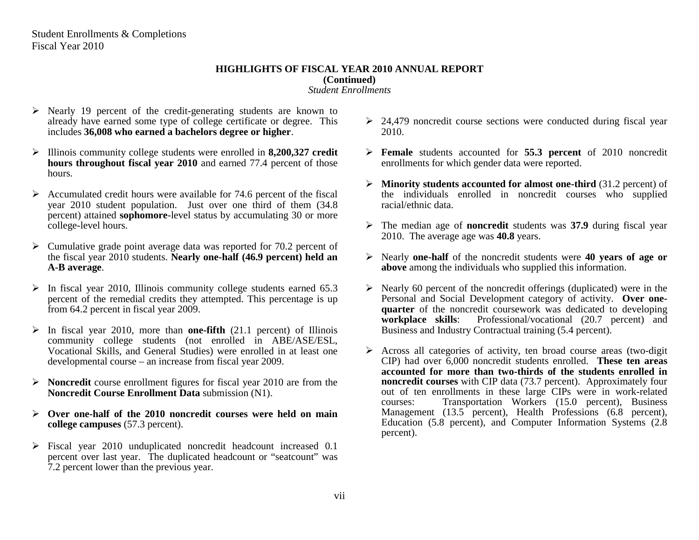#### **HIGHLIGHTS OF FISCAL YEAR 2010 ANNUAL REPORT (Continued)** *Student Enrollments*

- $\triangleright$  Nearly 19 percent of the credit-generating students are known to already have earned some type of college certificate or degree. This includes **36,008 who earned a bachelors degree or higher**.
- Illinois community college students were enrolled in **8,200,327 credit hours throughout fiscal year 2010** and earned 77.4 percent of those hours.
- $\triangleright$  Accumulated credit hours were available for 74.6 percent of the fiscal year 2010 student population. Just over one third of them (34.8 percent) attained **sophomore**-level status by accumulating 30 or more college-level hours.
- $\triangleright$  Cumulative grade point average data was reported for 70.2 percent of the fiscal year 2010 students. **Nearly one-half (46.9 percent) held an A-B average**.
- $\triangleright$  In fiscal year 2010, Illinois community college students earned 65.3 percent of the remedial credits they attempted. This percentage is up from 64.2 percent in fiscal year 2009.
- $\triangleright$  In fiscal year 2010, more than **one-fifth** (21.1 percent) of Illinois community college students (not enrolled in ABE/ASE/ESL, Vocational Skills, and General Studies) were enrolled in at least one developmental course – an increase from fiscal year 2009.
- **Noncredit** course enrollment figures for fiscal year 2010 are from the **Noncredit Course Enrollment Data** submission (N1).
- **Over one-half of the 2010 noncredit courses were held on main college campuses** (57.3 percent).
- $\triangleright$  Fiscal year 2010 unduplicated noncredit headcount increased 0.1 percent over last year. The duplicated headcount or "seatcount" was 7.2 percent lower than the previous year.
- $\geq$  24,479 noncredit course sections were conducted during fiscal year 2010.
- **Female** students accounted for **55.3 percent** of 2010 noncredit enrollments for which gender data were reported.
- **Minority students accounted for almost one-third** (31.2 percent) of the individuals enrolled in noncredit courses who supplied racial/ethnic data.
- The median age of **noncredit** students was **37.9** during fiscal year 2010. The average age was **40.8** years.
- Nearly **one-half** of the noncredit students were **40 years of age or above** among the individuals who supplied this information.
- $\triangleright$  Nearly 60 percent of the noncredit offerings (duplicated) were in the Personal and Social Development category of activity. **Over onequarter** of the noncredit coursework was dedicated to developing **workplace skills**: Professional/vocational (20.7 percent) and Business and Industry Contractual training (5.4 percent).
- $\triangleright$  Across all categories of activity, ten broad course areas (two-digit CIP) had over 6,000 noncredit students enrolled. **These ten areas accounted for more than two-thirds of the students enrolled in noncredit courses** with CIP data (73.7 percent). Approximately four out of ten enrollments in these large CIPs were in work-related courses: Transportation Workers (15.0 percent), Business Management (13.5 percent), Health Professions (6.8 percent), Education (5.8 percent), and Computer Information Systems (2.8 percent).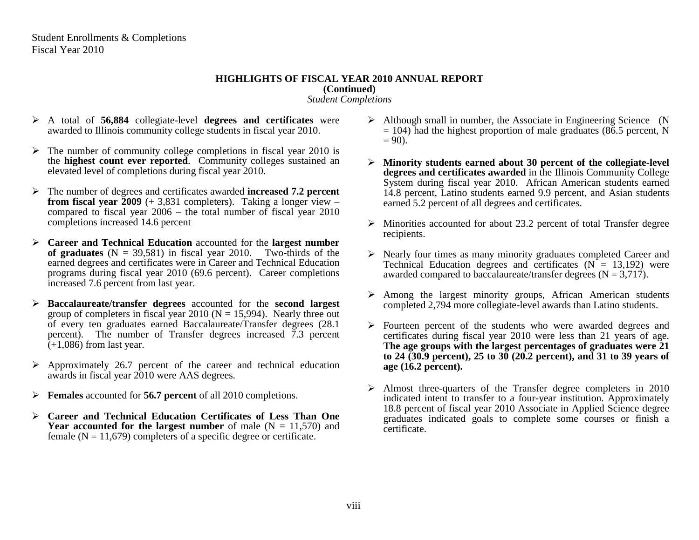Student Enrollments & Completions Fiscal Year 2010

## **HIGHLIGHTS OF FISCAL YEAR 2010 ANNUAL REPORT (Continued)** *Student Completions*

- A total of **56,884** collegiate-level **degrees and certificates** were awarded to Illinois community college students in fiscal year 2010.
- $\triangleright$  The number of community college completions in fiscal year 2010 is the **highest count ever reported**. Community colleges sustained an elevated level of completions during fiscal year 2010.
- The number of degrees and certificates awarded **increased 7.2 percent from fiscal year**  $\bar{2009}$  (+ 3,831 completers). Taking a longer view – compared to fiscal year 2006 – the total number of fiscal year 2010 completions increased 14.6 percent
- **Career and Technical Education** accounted for the **largest number**  of graduates  $(N = 39,581)$  in fiscal year 2010. Two-thirds of the earned degrees and certificates were in Career and Technical Education programs during fiscal year 2010 (69.6 percent). Career completions increased 7.6 percent from last year.
- **Baccalaureate/transfer degrees** accounted for the **second largest**  group of completers in fiscal year 2010 ( $N = 15,994$ ). Nearly three out of every ten graduates earned Baccalaureate/Transfer degrees (28.1 percent). The number of Transfer degrees increased 7.3 percent  $\tilde{(+1,086)}$  from last year.
- $\triangleright$  Approximately 26.7 percent of the career and technical education awards in fiscal year 2010 were AAS degrees.
- **Females** accounted for **56.7 percent** of all 2010 completions.
- **Career and Technical Education Certificates of Less Than One Year accounted for the largest number** of male  $(N = 11,570)$  and female  $(N = 11,679)$  completers of a specific degree or certificate.
- $\triangleright$  Although small in number, the Associate in Engineering Science (N  $= 104$ ) had the highest proportion of male graduates (86.5 percent, N  $= 90$ ).
- **Minority students earned about 30 percent of the collegiate-level degrees and certificates awarded** in the Illinois Community College System during fiscal year 2010. African American students earned 14.8 percent, Latino students earned 9.9 percent, and Asian students earned 5.2 percent of all degrees and certificates.
- $\triangleright$  Minorities accounted for about 23.2 percent of total Transfer degree recipients.
- Nearly four times as many minority graduates completed Career and Technical Education degrees and certificates  $(N = 13,192)$  were awarded compared to baccalaureate/transfer degrees  $(N = 3.717)$ .
- $\triangleright$  Among the largest minority groups, African American students completed 2,794 more collegiate-level awards than Latino students.
- $\triangleright$  Fourteen percent of the students who were awarded degrees and certificates during fiscal year 2010 were less than 21 years of age. **The age groups with the largest percentages of graduates were 21 to 24 (30.9 percent), 25 to 30 (20.2 percent), and 31 to 39 years of age (16.2 percent).**
- $\triangleright$  Almost three-quarters of the Transfer degree completers in 2010 indicated intent to transfer to a four-year institution. Approximately 18.8 percent of fiscal year 2010 Associate in Applied Science degree graduates indicated goals to complete some courses or finish a certificate.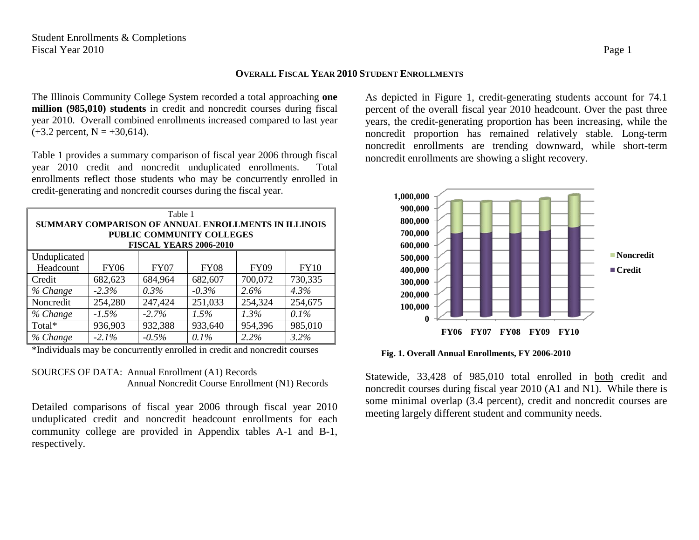## <span id="page-9-0"></span>**OVERALL FISCAL YEAR 2010 STUDENT ENROLLMENTS**

The Illinois Community College System recorded a total approaching **one million (985,010) students** in credit and noncredit courses during fiscal year 2010. Overall combined enrollments increased compared to last year  $(+3.2 \text{ percent}, N = +30,614).$ 

Table 1 provides a summary comparison of fiscal year 2006 through fiscal year 2010 credit and noncredit unduplicated enrollments. Total enrollments reflect those students who may be concurrently enrolled in credit-generating and noncredit courses during the fiscal year.

| Table 1                                                    |             |             |             |             |             |  |  |  |  |
|------------------------------------------------------------|-------------|-------------|-------------|-------------|-------------|--|--|--|--|
| SUMMARY COMPARISON OF ANNUAL ENROLLMENTS IN ILLINOIS       |             |             |             |             |             |  |  |  |  |
| PUBLIC COMMUNITY COLLEGES<br><b>FISCAL YEARS 2006-2010</b> |             |             |             |             |             |  |  |  |  |
|                                                            |             |             |             |             |             |  |  |  |  |
| Unduplicated                                               |             |             |             |             |             |  |  |  |  |
| Headcount                                                  | <b>FY06</b> | <b>FY07</b> | <b>FY08</b> | <b>FY09</b> | <b>FY10</b> |  |  |  |  |
| Credit                                                     | 682,623     | 684,964     | 682,607     | 700,072     | 730,335     |  |  |  |  |
| % Change                                                   | $-2.3\%$    | $0.3\%$     | $-0.3\%$    | $2.6\%$     | 4.3%        |  |  |  |  |
| Noncredit                                                  | 254,280     | 247,424     | 251,033     | 254,324     | 254,675     |  |  |  |  |
| % Change                                                   | $-1.5%$     | $-2.7\%$    | 1.5%        | 1.3%        | 0.1%        |  |  |  |  |
| Total*                                                     | 936,903     | 932,388     | 933,640     | 954,396     | 985,010     |  |  |  |  |
| % Change                                                   | $-2.1\%$    | $-0.5%$     | 0.1%        | 2.2%        | 3.2%        |  |  |  |  |

\*Individuals may be concurrently enrolled in credit and noncredit courses

# SOURCES OF DATA: Annual Enrollment (A1) Records Annual Noncredit Course Enrollment (N1) Records

Detailed comparisons of fiscal year 2006 through fiscal year 2010 unduplicated credit and noncredit headcount enrollments for each community college are provided in Appendix tables A-1 and B-1, respectively.

As depicted in Figure 1, credit-generating students account for 74.1 percent of the overall fiscal year 2010 headcount. Over the past three years, the credit-generating proportion has been increasing, while the noncredit proportion has remained relatively stable. Long-term noncredit enrollments are trending downward, while short-term noncredit enrollments are showing a slight recovery.



**Fig. 1. Overall Annual Enrollments, FY 2006-2010**

Statewide, 33,428 of 985,010 total enrolled in both credit and noncredit courses during fiscal year 2010 (A1 and N1). While there is some minimal overlap (3.4 percent), credit and noncredit courses are meeting largely different student and community needs.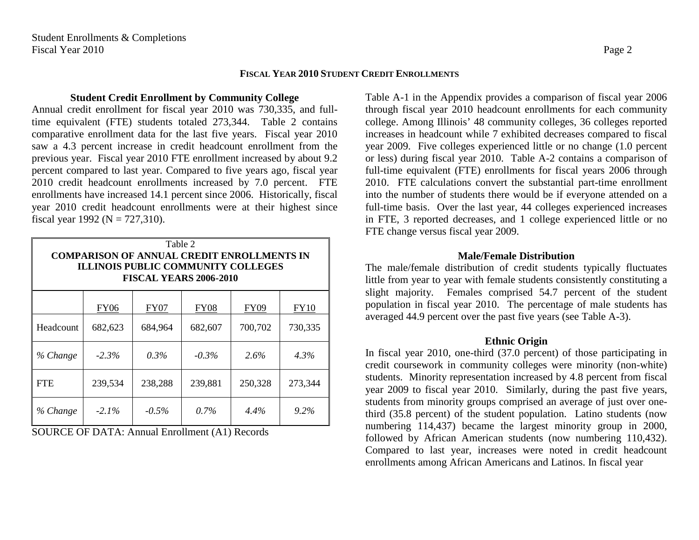# **FISCAL YEAR 2010 STUDENT CREDIT ENROLLMENTS**

# <span id="page-10-1"></span><span id="page-10-0"></span>**Student Credit Enrollment by Community College**

Annual credit enrollment for fiscal year 2010 was 730,335, and fulltime equivalent (FTE) students totaled 273,344. Table 2 contains comparative enrollment data for the last five years. Fiscal year 2010 saw a 4.3 percent increase in credit headcount enrollment from the previous year. Fiscal year 2010 FTE enrollment increased by about 9.2 percent compared to last year. Compared to five years ago, fiscal year 2010 credit headcount enrollments increased by 7.0 percent. FTE enrollments have increased 14.1 percent since 2006. Historically, fiscal year 2010 credit headcount enrollments were at their highest since fiscal year 1992 ( $N = 727,310$ ).

| Table 2<br><b>COMPARISON OF ANNUAL CREDIT ENROLLMENTS IN</b><br><b>ILLINOIS PUBLIC COMMUNITY COLLEGES</b><br><b>FISCAL YEARS 2006-2010</b> |             |             |             |             |             |  |  |  |  |
|--------------------------------------------------------------------------------------------------------------------------------------------|-------------|-------------|-------------|-------------|-------------|--|--|--|--|
|                                                                                                                                            | <b>FY06</b> | <b>FY07</b> | <b>FY08</b> | <b>FY09</b> | <b>FY10</b> |  |  |  |  |
| Headcount                                                                                                                                  | 682,623     | 684,964     | 682,607     | 700,702     | 730,335     |  |  |  |  |
| % Change                                                                                                                                   | $-2.3\%$    | $0.3\%$     | $-0.3\%$    | 2.6%        | $4.3\%$     |  |  |  |  |
| <b>FTE</b>                                                                                                                                 | 239,534     | 238,288     | 239,881     | 250,328     | 273,344     |  |  |  |  |
| % Change                                                                                                                                   | $-2.1\%$    | $-0.5\%$    | $0.7\%$     | 4.4%        | 9.2%        |  |  |  |  |

SOURCE OF DATA: Annual Enrollment (A1) Records

Table A-1 in the Appendix provides a comparison of fiscal year 2006 through fiscal year 2010 headcount enrollments for each community college. Among Illinois' 48 community colleges, 36 colleges reported increases in headcount while 7 exhibited decreases compared to fiscal year 2009. Five colleges experienced little or no change (1.0 percent or less) during fiscal year 2010. Table A-2 contains a comparison of full-time equivalent (FTE) enrollments for fiscal years 2006 through 2010. FTE calculations convert the substantial part-time enrollment into the number of students there would be if everyone attended on a full-time basis. Over the last year, 44 colleges experienced increases in FTE, 3 reported decreases, and 1 college experienced little or no FTE change versus fiscal year 2009.

# **Male/Female Distribution**

<span id="page-10-2"></span>The male/female distribution of credit students typically fluctuates little from year to year with female students consistently constituting a slight majority. Females comprised 54.7 percent of the student population in fiscal year 2010. The percentage of male students has averaged 44.9 percent over the past five years (see Table A-3).

# **Ethnic Origin**

In fiscal year 2010, one-third (37.0 percent) of those participating in credit coursework in community colleges were minority (non-white) students. Minority representation increased by 4.8 percent from fiscal year 2009 to fiscal year 2010. Similarly, during the past five years, students from minority groups comprised an average of just over onethird (35.8 percent) of the student population. Latino students (now numbering 114,437) became the largest minority group in 2000, followed by African American students (now numbering 110,432). Compared to last year, increases were noted in credit headcount enrollments among African Americans and Latinos. In fiscal year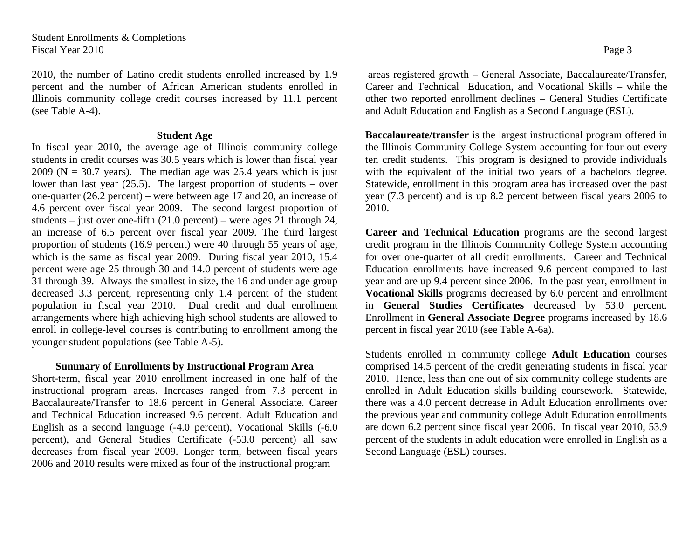2010, the number of Latino credit students enrolled increased by 1.9 percent and the number of African American students enrolled in Illinois community college credit courses increased by 11.1 percent (see Table A-4).

# **Student Age**

<span id="page-11-0"></span>In fiscal year 2010, the average age of Illinois community college students in credit courses was 30.5 years which is lower than fiscal year  $2009$  (N = 30.7 years). The median age was 25.4 years which is just lower than last year (25.5). The largest proportion of students – over one-quarter (26.2 percent) – were between age 17 and 20, an increase of 4.6 percent over fiscal year 2009. The second largest proportion of students – just over one-fifth  $(21.0 \text{ percent})$  – were ages 21 through 24, an increase of 6.5 percent over fiscal year 2009. The third largest proportion of students (16.9 percent) were 40 through 55 years of age, which is the same as fiscal year 2009. During fiscal year 2010, 15.4 percent were age 25 through 30 and 14.0 percent of students were age 31 through 39. Always the smallest in size, the 16 and under age group decreased 3.3 percent, representing only 1.4 percent of the student population in fiscal year 2010. Dual credit and dual enrollment arrangements where high achieving high school students are allowed to enroll in college-level courses is contributing to enrollment among the younger student populations (see Table A-5).

# <span id="page-11-1"></span>**Summary of Enrollments by Instructional Program Area**

Short-term, fiscal year 2010 enrollment increased in one half of the instructional program areas. Increases ranged from 7.3 percent in Baccalaureate/Transfer to 18.6 percent in General Associate. Career and Technical Education increased 9.6 percent. Adult Education and English as a second language (-4.0 percent), Vocational Skills (-6.0 percent), and General Studies Certificate (-53.0 percent) all saw decreases from fiscal year 2009. Longer term, between fiscal years 2006 and 2010 results were mixed as four of the instructional program

areas registered growth – General Associate, Baccalaureate/Transfer, Career and Technical Education, and Vocational Skills – while the other two reported enrollment declines – General Studies Certificate and Adult Education and English as a Second Language (ESL).

**Baccalaureate/transfer** is the largest instructional program offered in the Illinois Community College System accounting for four out every ten credit students. This program is designed to provide individuals with the equivalent of the initial two years of a bachelors degree. Statewide, enrollment in this program area has increased over the past year (7.3 percent) and is up 8.2 percent between fiscal years 2006 to 2010.

**Career and Technical Education** programs are the second largest credit program in the Illinois Community College System accounting for over one-quarter of all credit enrollments. Career and Technical Education enrollments have increased 9.6 percent compared to last year and are up 9.4 percent since 2006. In the past year, enrollment in **Vocational Skills** programs decreased by 6.0 percent and enrollment in **General Studies Certificates** decreased by 53.0 percent. Enrollment in **General Associate Degree** programs increased by 18.6 percent in fiscal year 2010 (see Table A-6a).

Students enrolled in community college **Adult Education** courses comprised 14.5 percent of the credit generating students in fiscal year 2010. Hence, less than one out of six community college students are enrolled in Adult Education skills building coursework. Statewide, there was a 4.0 percent decrease in Adult Education enrollments over the previous year and community college Adult Education enrollments are down 6.2 percent since fiscal year 2006. In fiscal year 2010, 53.9 percent of the students in adult education were enrolled in English as a Second Language (ESL) courses.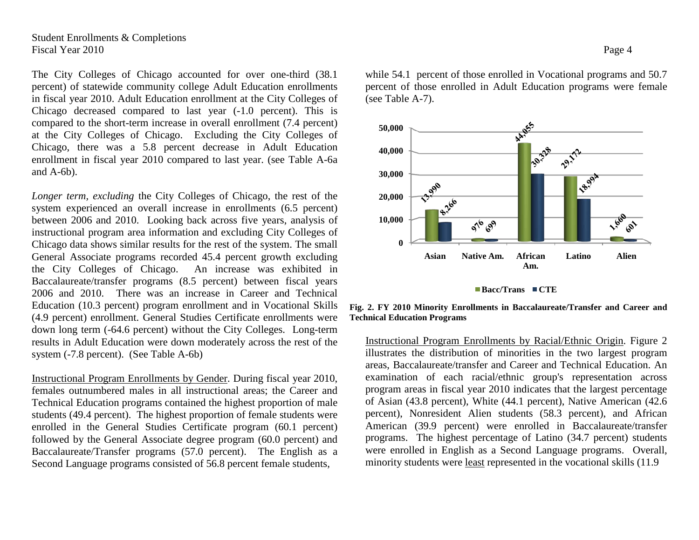Student Enrollments & Completions Fiscal Year 2010 Page 4

The City Colleges of Chicago accounted for over one-third (38.1 percent) of statewide community college Adult Education enrollments in fiscal year 2010. Adult Education enrollment at the City Colleges of Chicago decreased compared to last year (-1.0 percent). This is compared to the short-term increase in overall enrollment (7.4 percent) at the City Colleges of Chicago. Excluding the City Colleges of Chicago, there was a 5.8 percent decrease in Adult Education enrollment in fiscal year 2010 compared to last year. (see Table A-6a and A-6b).

*Longer term, excluding* the City Colleges of Chicago, the rest of the system experienced an overall increase in enrollments (6.5 percent) between 2006 and 2010. Looking back across five years, analysis of instructional program area information and excluding City Colleges of Chicago data shows similar results for the rest of the system. The small General Associate programs recorded 45.4 percent growth excluding the City Colleges of Chicago. An increase was exhibited in Baccalaureate/transfer programs (8.5 percent) between fiscal years 2006 and 2010. There was an increase in Career and Technical Education (10.3 percent) program enrollment and in Vocational Skills (4.9 percent) enrollment. General Studies Certificate enrollments were down long term (-64.6 percent) without the City Colleges. Long-term results in Adult Education were down moderately across the rest of the system (-7.8 percent). (See Table A-6b)

Instructional Program Enrollments by Gender. During fiscal year 2010, females outnumbered males in all instructional areas; the Career and Technical Education programs contained the highest proportion of male students (49.4 percent). The highest proportion of female students were enrolled in the General Studies Certificate program (60.1 percent) followed by the General Associate degree program (60.0 percent) and Baccalaureate/Transfer programs (57.0 percent). The English as a Second Language programs consisted of 56.8 percent female students,

while 54.1 percent of those enrolled in Vocational programs and 50.7 percent of those enrolled in Adult Education programs were female (see Table A-7).



**Bacc/Trans CTE** 

**Fig. 2. FY 2010 Minority Enrollments in Baccalaureate/Transfer and Career and Technical Education Programs**

Instructional Program Enrollments by Racial/Ethnic Origin. Figure 2 illustrates the distribution of minorities in the two largest program areas, Baccalaureate/transfer and Career and Technical Education. An examination of each racial/ethnic group's representation across program areas in fiscal year 2010 indicates that the largest percentage of Asian (43.8 percent), White (44.1 percent), Native American (42.6 percent), Nonresident Alien students (58.3 percent), and African American (39.9 percent) were enrolled in Baccalaureate/transfer programs. The highest percentage of Latino (34.7 percent) students were enrolled in English as a Second Language programs. Overall, minority students were least represented in the vocational skills (11.9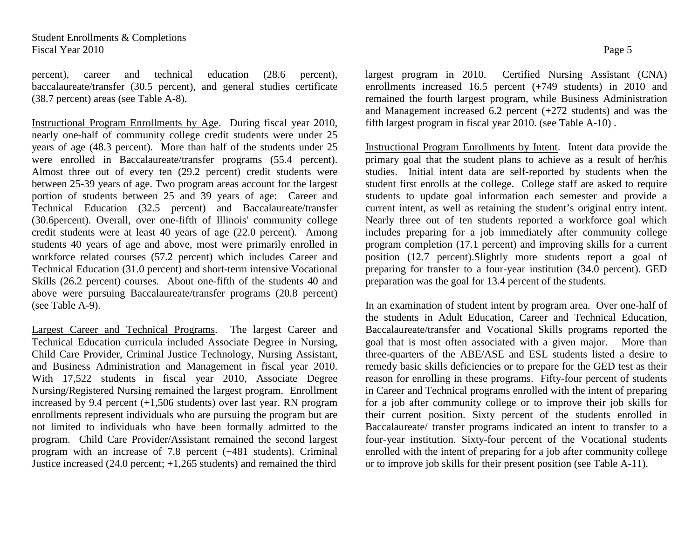percent), career and technical education (28.6 percent), baccalaureate/transfer (30.5 percent), and general studies certificate (38.7 percent) areas (see Table A-8).

Instructional Program Enrollments by Age. During fiscal year 2010, nearly one-half of community college credit students were under 25 years of age (48.3 percent). More than half of the students under 25 were enrolled in Baccalaureate/transfer programs (55.4 percent). Almost three out of every ten (29.2 percent) credit students were between 25-39 years of age. Two program areas account for the largest portion of students between 25 and 39 years of age: Career and Technical Education (32.5 percent) and Baccalaureate/transfer (30.6percent). Overall, over one-fifth of Illinois' community college credit students were at least 40 years of age (22.0 percent). Among students 40 years of age and above, most were primarily enrolled in workforce related courses (57.2 percent) which includes Career and Technical Education (31.0 percent) and short-term intensive Vocational Skills (26.2 percent) courses. About one-fifth of the students 40 and above were pursuing Baccalaureate/transfer programs (20.8 percent) (see Table A-9).

Largest Career and Technical Programs. The largest Career and Technical Education curricula included Associate Degree in Nursing, Child Care Provider, Criminal Justice Technology, Nursing Assistant, and Business Administration and Management in fiscal year 2010. With 17,522 students in fiscal year 2010, Associate Degree Nursing/Registered Nursing remained the largest program. Enrollment increased by 9.4 percent (+1,506 students) over last year. RN program enrollments represent individuals who are pursuing the program but are not limited to individuals who have been formally admitted to the program. Child Care Provider/Assistant remained the second largest program with an increase of 7.8 percent (+481 students). Criminal Justice increased (24.0 percent; +1,265 students) and remained the third

largest program in 2010. Certified Nursing Assistant (CNA) enrollments increased 16.5 percent (+749 students) in 2010 and remained the fourth largest program, while Business Administration and Management increased 6.2 percent (+272 students) and was the fifth largest program in fiscal year 2010. (see Table A-10) .

Instructional Program Enrollments by Intent. Intent data provide the primary goal that the student plans to achieve as a result of her/his studies. Initial intent data are self-reported by students when the student first enrolls at the college. College staff are asked to require students to update goal information each semester and provide a current intent, as well as retaining the student's original entry intent. Nearly three out of ten students reported a workforce goal which includes preparing for a job immediately after community college program completion (17.1 percent) and improving skills for a current position (12.7 percent).Slightly more students report a goal of preparing for transfer to a four-year institution (34.0 percent). GED preparation was the goal for 13.4 percent of the students.

In an examination of student intent by program area. Over one-half of the students in Adult Education, Career and Technical Education, Baccalaureate/transfer and Vocational Skills programs reported the goal that is most often associated with a given major. More than three-quarters of the ABE/ASE and ESL students listed a desire to remedy basic skills deficiencies or to prepare for the GED test as their reason for enrolling in these programs. Fifty-four percent of students in Career and Technical programs enrolled with the intent of preparing for a job after community college or to improve their job skills for their current position. Sixty percent of the students enrolled in Baccalaureate/ transfer programs indicated an intent to transfer to a four-year institution. Sixty-four percent of the Vocational students enrolled with the intent of preparing for a job after community college or to improve job skills for their present position (see Table A-11).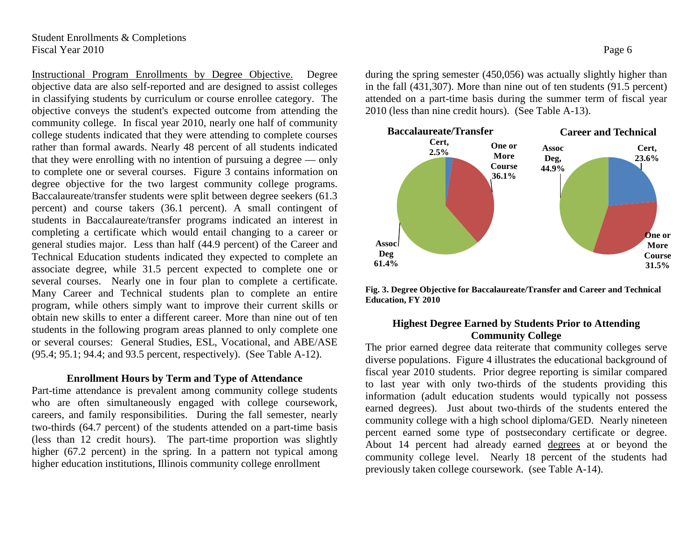Instructional Program Enrollments by Degree Objective. Degree objective data are also self-reported and are designed to assist colleges in classifying students by curriculum or course enrollee category. The objective conveys the student's expected outcome from attending the community college. In fiscal year 2010, nearly one half of community college students indicated that they were attending to complete courses rather than formal awards. Nearly 48 percent of all students indicated that they were enrolling with no intention of pursuing a degree — only to complete one or several courses. Figure 3 contains information on degree objective for the two largest community college programs. Baccalaureate/transfer students were split between degree seekers (61.3 percent) and course takers (36.1 percent). A small contingent of students in Baccalaureate/transfer programs indicated an interest in completing a certificate which would entail changing to a career or general studies major. Less than half (44.9 percent) of the Career and Technical Education students indicated they expected to complete an associate degree, while 31.5 percent expected to complete one or several courses. Nearly one in four plan to complete a certificate. Many Career and Technical students plan to complete an entire program, while others simply want to improve their current skills or obtain new skills to enter a different career. More than nine out of ten students in the following program areas planned to only complete one or several courses: General Studies, ESL, Vocational, and ABE/ASE (95.4; 95.1; 94.4; and 93.5 percent, respectively). (See Table A-12).

# <span id="page-14-0"></span>**Enrollment Hours by Term and Type of Attendance**

Part-time attendance is prevalent among community college students who are often simultaneously engaged with college coursework, careers, and family responsibilities. During the fall semester, nearly two-thirds (64.7 percent) of the students attended on a part-time basis (less than 12 credit hours). The part-time proportion was slightly higher (67.2 percent) in the spring. In a pattern not typical among higher education institutions, Illinois community college enrollment

during the spring semester (450,056) was actually slightly higher than in the fall (431,307). More than nine out of ten students (91.5 percent) attended on a part-time basis during the summer term of fiscal year 2010 (less than nine credit hours). (See Table A-13).



**Fig. 3. Degree Objective for Baccalaureate/Transfer and Career and Technical Education, FY 2010**

# **Highest Degree Earned by Students Prior to Attending Community College**

The prior earned degree data reiterate that community colleges serve diverse populations. Figure 4 illustrates the educational background of fiscal year 2010 students. Prior degree reporting is similar compared to last year with only two-thirds of the students providing this information (adult education students would typically not possess earned degrees). Just about two-thirds of the students entered the community college with a high school diploma/GED. Nearly nineteen percent earned some type of postsecondary certificate or degree. About 14 percent had already earned degrees at or beyond the community college level. Nearly 18 percent of the students had previously taken college coursework. (see Table A-14).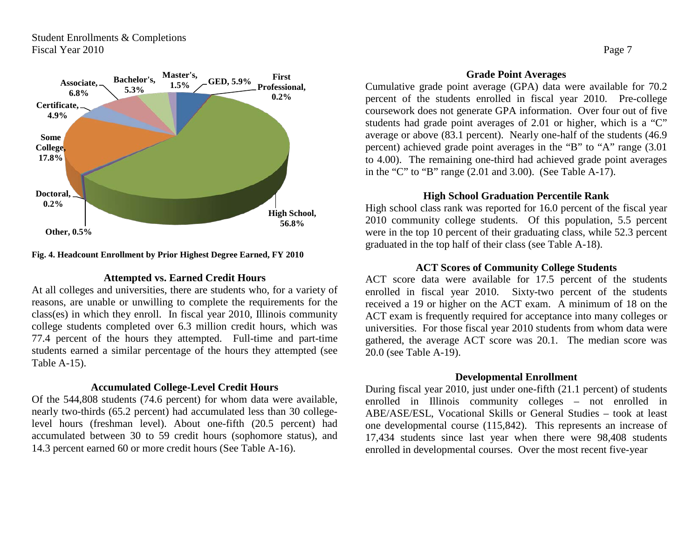

## **Fig. 4. Headcount Enrollment by Prior Highest Degree Earned, FY 2010**

# **Attempted vs. Earned Credit Hours**

<span id="page-15-0"></span>At all colleges and universities, there are students who, for a variety of reasons, are unable or unwilling to complete the requirements for the class(es) in which they enroll. In fiscal year 2010, Illinois community college students completed over 6.3 million credit hours, which was 77.4 percent of the hours they attempted. Full-time and part-time students earned a similar percentage of the hours they attempted (see Table A-15).

## **Accumulated College-Level Credit Hours**

Of the 544,808 students (74.6 percent) for whom data were available, nearly two-thirds (65.2 percent) had accumulated less than 30 collegelevel hours (freshman level). About one-fifth (20.5 percent) had accumulated between 30 to 59 credit hours (sophomore status), and 14.3 percent earned 60 or more credit hours (See Table A-16).

## **Grade Point Averages**

<span id="page-15-1"></span>Cumulative grade point average (GPA) data were available for 70.2 percent of the students enrolled in fiscal year 2010. Pre-college coursework does not generate GPA information. Over four out of five students had grade point averages of 2.01 or higher, which is a "C" average or above (83.1 percent). Nearly one-half of the students (46.9 percent) achieved grade point averages in the "B" to "A" range (3.01 to 4.00). The remaining one-third had achieved grade point averages in the "C" to "B" range (2.01 and 3.00). (See Table A-17).

# **High School Graduation Percentile Rank**

High school class rank was reported for 16.0 percent of the fiscal year 2010 community college students. Of this population, 5.5 percent were in the top 10 percent of their graduating class, while 52.3 percent graduated in the top half of their class (see Table A-18).

# **ACT Scores of Community College Students**

<span id="page-15-2"></span>ACT score data were available for 17.5 percent of the students enrolled in fiscal year 2010. Sixty-two percent of the students received a 19 or higher on the ACT exam. A minimum of 18 on the ACT exam is frequently required for acceptance into many colleges or universities. For those fiscal year 2010 students from whom data were gathered, the average ACT score was 20.1. The median score was 20.0 (see Table A-19).

# **Developmental Enrollment**

During fiscal year 2010, just under one-fifth (21.1 percent) of students enrolled in Illinois community colleges – not enrolled in ABE/ASE/ESL, Vocational Skills or General Studies – took at least one developmental course (115,842). This represents an increase of 17,434 students since last year when there were 98,408 students enrolled in developmental courses. Over the most recent five-year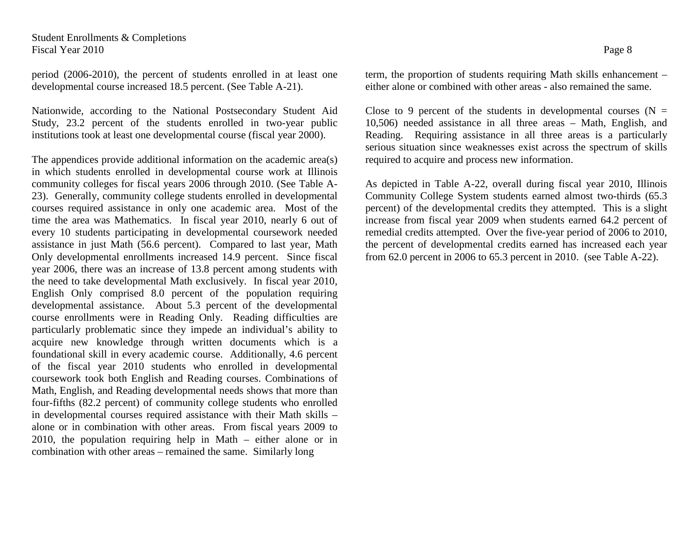Student Enrollments & Completions Fiscal Year 2010 Page 8

period (2006-2010), the percent of students enrolled in at least one developmental course increased 18.5 percent. (See Table A-21).

Nationwide, according to the National Postsecondary Student Aid Study, 23.2 percent of the students enrolled in two-year public institutions took at least one developmental course (fiscal year 2000).

The appendices provide additional information on the academic area(s) in which students enrolled in developmental course work at Illinois community colleges for fiscal years 2006 through 2010. (See Table A-23). Generally, community college students enrolled in developmental courses required assistance in only one academic area. Most of the time the area was Mathematics. In fiscal year 2010, nearly 6 out of every 10 students participating in developmental coursework needed assistance in just Math (56.6 percent). Compared to last year, Math Only developmental enrollments increased 14.9 percent. Since fiscal year 2006, there was an increase of 13.8 percent among students with the need to take developmental Math exclusively. In fiscal year 2010, English Only comprised 8.0 percent of the population requiring developmental assistance. About 5.3 percent of the developmental course enrollments were in Reading Only. Reading difficulties are particularly problematic since they impede an individual's ability to acquire new knowledge through written documents which is a foundational skill in every academic course. Additionally, 4.6 percent of the fiscal year 2010 students who enrolled in developmental coursework took both English and Reading courses. Combinations of Math, English, and Reading developmental needs shows that more than four-fifths (82.2 percent) of community college students who enrolled in developmental courses required assistance with their Math skills – alone or in combination with other areas. From fiscal years 2009 to 2010, the population requiring help in Math – either alone or in combination with other areas – remained the same. Similarly long

term, the proportion of students requiring Math skills enhancement – either alone or combined with other areas - also remained the same.

Close to 9 percent of the students in developmental courses  $(N =$ 10,506) needed assistance in all three areas – Math, English, and Reading. Requiring assistance in all three areas is a particularly serious situation since weaknesses exist across the spectrum of skills required to acquire and process new information.

As depicted in Table A-22, overall during fiscal year 2010, Illinois Community College System students earned almost two-thirds (65.3 percent) of the developmental credits they attempted. This is a slight increase from fiscal year 2009 when students earned 64.2 percent of remedial credits attempted. Over the five-year period of 2006 to 2010, the percent of developmental credits earned has increased each year from 62.0 percent in 2006 to 65.3 percent in 2010. (see Table A-22).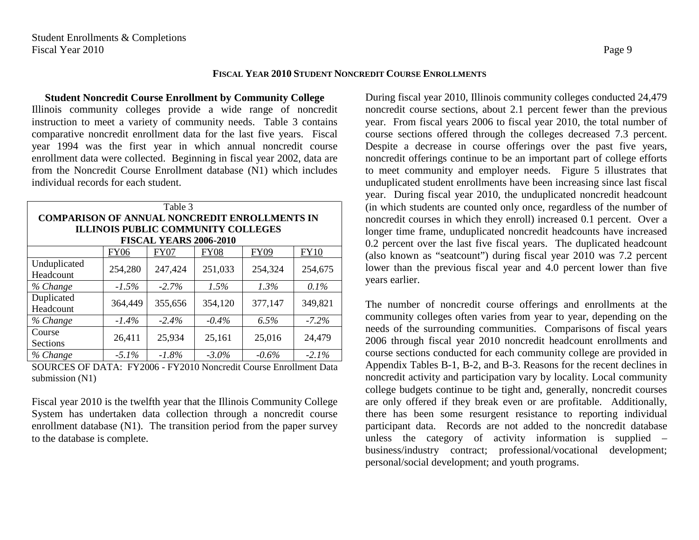# **FISCAL YEAR 2010 STUDENT NONCREDIT COURSE ENROLLMENTS**

<span id="page-17-1"></span><span id="page-17-0"></span>**Student Noncredit Course Enrollment by Community College** Illinois community colleges provide a wide range of noncredit instruction to meet a variety of community needs. Table 3 contains comparative noncredit enrollment data for the last five years. Fiscal year 1994 was the first year in which annual noncredit course enrollment data were collected. Beginning in fiscal year 2002, data are from the Noncredit Course Enrollment database (N1) which includes individual records for each student.

| Table 3                                                                    |             |             |             |         |             |  |  |  |  |  |
|----------------------------------------------------------------------------|-------------|-------------|-------------|---------|-------------|--|--|--|--|--|
| <b>COMPARISON OF ANNUAL NONCREDIT ENROLLMENTS IN</b>                       |             |             |             |         |             |  |  |  |  |  |
| <b>ILLINOIS PUBLIC COMMUNITY COLLEGES</b><br><b>FISCAL YEARS 2006-2010</b> |             |             |             |         |             |  |  |  |  |  |
|                                                                            |             |             |             |         |             |  |  |  |  |  |
|                                                                            | <b>FY06</b> | <b>FY07</b> | <b>FY08</b> | FY09    | <b>FY10</b> |  |  |  |  |  |
| Unduplicated                                                               | 254,280     | 247,424     | 251,033     | 254,324 | 254,675     |  |  |  |  |  |
| Headcount                                                                  |             |             |             |         |             |  |  |  |  |  |
| % Change                                                                   | $-1.5\%$    | $-2.7\%$    | $1.5\%$     | $1.3\%$ | $0.1\%$     |  |  |  |  |  |
| Duplicated<br>Headcount                                                    | 364,449     | 355,656     | 354,120     | 377,147 | 349,821     |  |  |  |  |  |
| % Change                                                                   | $-1.4\%$    | $-2.4\%$    | $-0.4\%$    | $6.5\%$ | $-7.2\%$    |  |  |  |  |  |
| Course<br>Sections                                                         | 26,411      | 25,934      | 25,161      | 25,016  | 24,479      |  |  |  |  |  |
| % Change                                                                   | $-5.1\%$    | $-1.8\%$    | $-3.0\%$    | $-0.6%$ | $-2.1%$     |  |  |  |  |  |

SOURCES OF DATA: FY2006 - FY2010 Noncredit Course Enrollment Data submission (N1)

Fiscal year 2010 is the twelfth year that the Illinois Community College System has undertaken data collection through a noncredit course enrollment database (N1). The transition period from the paper survey to the database is complete.

During fiscal year 2010, Illinois community colleges conducted 24,479 noncredit course sections, about 2.1 percent fewer than the previous year. From fiscal years 2006 to fiscal year 2010, the total number of course sections offered through the colleges decreased 7.3 percent. Despite a decrease in course offerings over the past five years, noncredit offerings continue to be an important part of college efforts to meet community and employer needs. Figure 5 illustrates that unduplicated student enrollments have been increasing since last fiscal year. During fiscal year 2010, the unduplicated noncredit headcount (in which students are counted only once, regardless of the number of noncredit courses in which they enroll) increased 0.1 percent. Over a longer time frame, unduplicated noncredit headcounts have increased 0.2 percent over the last five fiscal years. The duplicated headcount (also known as "seatcount") during fiscal year 2010 was 7.2 percent lower than the previous fiscal year and 4.0 percent lower than five years earlier.

The number of noncredit course offerings and enrollments at the community colleges often varies from year to year, depending on the needs of the surrounding communities. Comparisons of fiscal years 2006 through fiscal year 2010 noncredit headcount enrollments and course sections conducted for each community college are provided in Appendix Tables B-1, B-2, and B-3. Reasons for the recent declines in noncredit activity and participation vary by locality. Local community college budgets continue to be tight and, generally, noncredit courses are only offered if they break even or are profitable. Additionally, there has been some resurgent resistance to reporting individual participant data. Records are not added to the noncredit database unless the category of activity information is supplied – business/industry contract; professional/vocational development; personal/social development; and youth programs.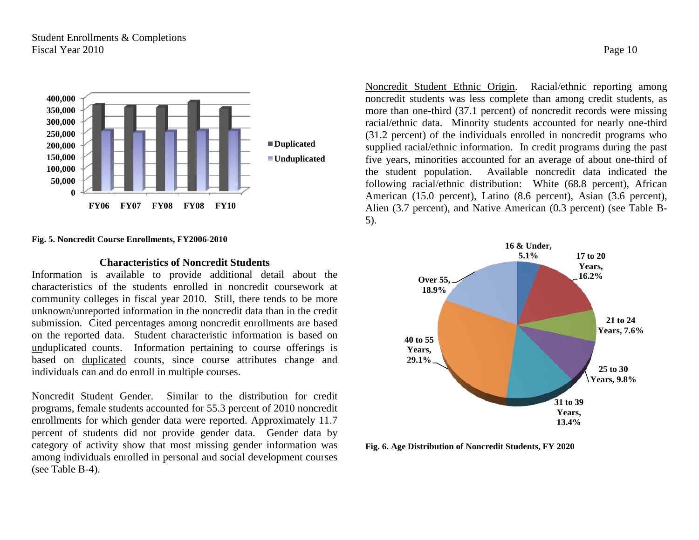

#### **Fig. 5. Noncredit Course Enrollments, FY2006-2010**

## **Characteristics of Noncredit Students**

Information is available to provide additional detail about the characteristics of the students enrolled in noncredit coursework at community colleges in fiscal year 2010. Still, there tends to be more unknown/unreported information in the noncredit data than in the credit submission. Cited percentages among noncredit enrollments are based on the reported data. Student characteristic information is based on unduplicated counts. Information pertaining to course offerings is based on duplicated counts, since course attributes change and individuals can and do enroll in multiple courses.

Noncredit Student Gender. Similar to the distribution for credit programs, female students accounted for 55.3 percent of 2010 noncredit enrollments for which gender data were reported. Approximately 11.7 percent of students did not provide gender data. Gender data by category of activity show that most missing gender information was among individuals enrolled in personal and social development courses (see Table B-4).

Noncredit Student Ethnic Origin. Racial/ethnic reporting among noncredit students was less complete than among credit students, as more than one-third (37.1 percent) of noncredit records were missing racial/ethnic data. Minority students accounted for nearly one-third (31.2 percent) of the individuals enrolled in noncredit programs who supplied racial/ethnic information. In credit programs during the past five years, minorities accounted for an average of about one-third of the student population. Available noncredit data indicated the following racial/ethnic distribution: White (68.8 percent), African American (15.0 percent), Latino (8.6 percent), Asian (3.6 percent), Alien (3.7 percent), and Native American (0.3 percent) (see Table B-5).



**Fig. 6. Age Distribution of Noncredit Students, FY 2020**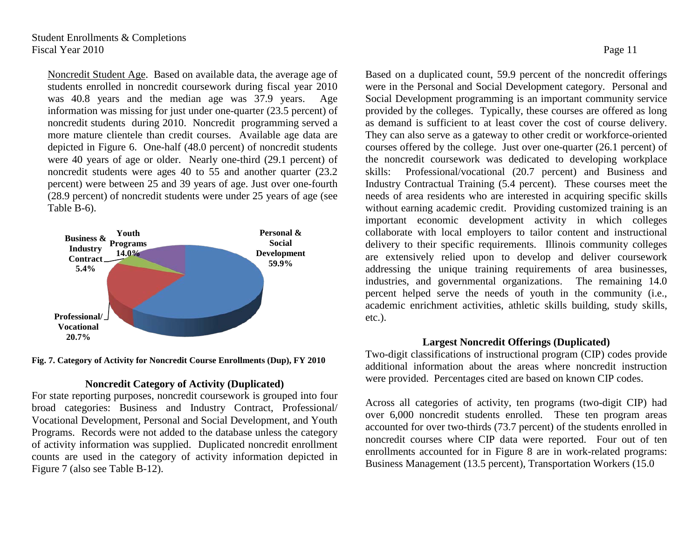Noncredit Student Age. Based on available data, the average age of students enrolled in noncredit coursework during fiscal year 2010 was 40.8 years and the median age was 37.9 years. Age information was missing for just under one-quarter (23.5 percent) of noncredit students during 2010. Noncredit programming served a more mature clientele than credit courses. Available age data are depicted in Figure 6. One-half (48.0 percent) of noncredit students were 40 years of age or older. Nearly one-third (29.1 percent) of noncredit students were ages 40 to 55 and another quarter (23.2 percent) were between 25 and 39 years of age. Just over one-fourth (28.9 percent) of noncredit students were under 25 years of age (see Table B-6).



**Fig. 7. Category of Activity for Noncredit Course Enrollments (Dup), FY 2010**

# <span id="page-19-0"></span>**Noncredit Category of Activity (Duplicated)**

For state reporting purposes, noncredit coursework is grouped into four broad categories: Business and Industry Contract, Professional/ Vocational Development, Personal and Social Development, and Youth Programs. Records were not added to the database unless the category of activity information was supplied. Duplicated noncredit enrollment counts are used in the category of activity information depicted in Figure 7 (also see Table B-12).

Based on a duplicated count, 59.9 percent of the noncredit offerings were in the Personal and Social Development category. Personal and Social Development programming is an important community service provided by the colleges. Typically, these courses are offered as long as demand is sufficient to at least cover the cost of course delivery. They can also serve as a gateway to other credit or workforce-oriented courses offered by the college. Just over one-quarter (26.1 percent) of the noncredit coursework was dedicated to developing workplace skills: Professional/vocational (20.7 percent) and Business and Industry Contractual Training (5.4 percent). These courses meet the needs of area residents who are interested in acquiring specific skills without earning academic credit. Providing customized training is an important economic development activity in which colleges collaborate with local employers to tailor content and instructional delivery to their specific requirements. Illinois community colleges are extensively relied upon to develop and deliver coursework addressing the unique training requirements of area businesses, industries, and governmental organizations. The remaining 14.0 percent helped serve the needs of youth in the community (i.e., academic enrichment activities, athletic skills building, study skills, etc.).

# **Largest Noncredit Offerings (Duplicated)**

Two-digit classifications of instructional program (CIP) codes provide additional information about the areas where noncredit instruction were provided. Percentages cited are based on known CIP codes.

Across all categories of activity, ten programs (two-digit CIP) had over 6,000 noncredit students enrolled. These ten program areas accounted for over two-thirds (73.7 percent) of the students enrolled in noncredit courses where CIP data were reported. Four out of ten enrollments accounted for in Figure 8 are in work-related programs: Business Management (13.5 percent), Transportation Workers (15.0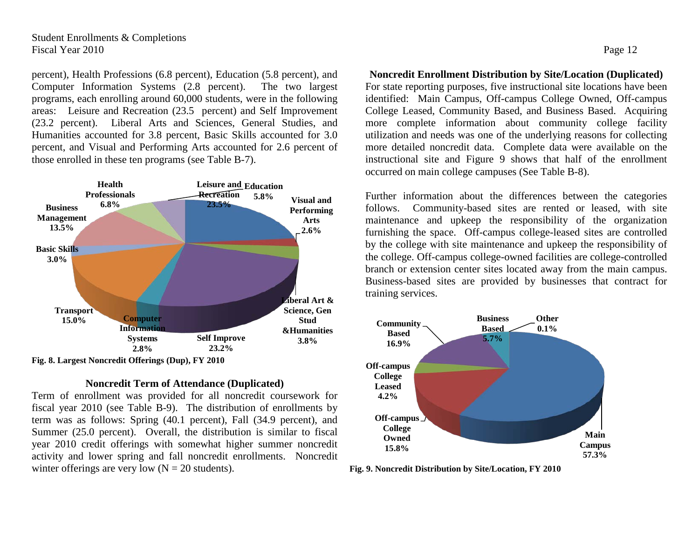# Student Enrollments & Completions Fiscal Year 2010 Page 12

percent), Health Professions (6.8 percent), Education (5.8 percent), and Computer Information Systems (2.8 percent). The two largest programs, each enrolling around 60,000 students, were in the following areas: Leisure and Recreation (23.5 percent) and Self Improvement (23.2 percent). Liberal Arts and Sciences, General Studies, and Humanities accounted for 3.8 percent, Basic Skills accounted for 3.0 percent, and Visual and Performing Arts accounted for 2.6 percent of those enrolled in these ten programs (see Table B-7).



# <span id="page-20-0"></span>**Noncredit Term of Attendance (Duplicated)**

Term of enrollment was provided for all noncredit coursework for fiscal year 2010 (see Table B-9). The distribution of enrollments by term was as follows: Spring (40.1 percent), Fall (34.9 percent), and Summer (25.0 percent). Overall, the distribution is similar to fiscal year 2010 credit offerings with somewhat higher summer noncredit activity and lower spring and fall noncredit enrollments. Noncredit winter offerings are very low  $(N = 20$  students).

<span id="page-20-1"></span>**Noncredit Enrollment Distribution by Site/Location (Duplicated)** For state reporting purposes, five instructional site locations have been identified: Main Campus, Off-campus College Owned, Off-campus College Leased, Community Based, and Business Based. Acquiring more complete information about community college facility utilization and needs was one of the underlying reasons for collecting more detailed noncredit data. Complete data were available on the instructional site and Figure 9 shows that half of the enrollment occurred on main college campuses (See Table B-8).

Further information about the differences between the categories follows. Community-based sites are rented or leased, with site maintenance and upkeep the responsibility of the organization furnishing the space. Off-campus college-leased sites are controlled by the college with site maintenance and upkeep the responsibility of the college. Off-campus college-owned facilities are college-controlled branch or extension center sites located away from the main campus. Business-based sites are provided by businesses that contract for training services.



**Fig. 9. Noncredit Distribution by Site/Location, FY 2010**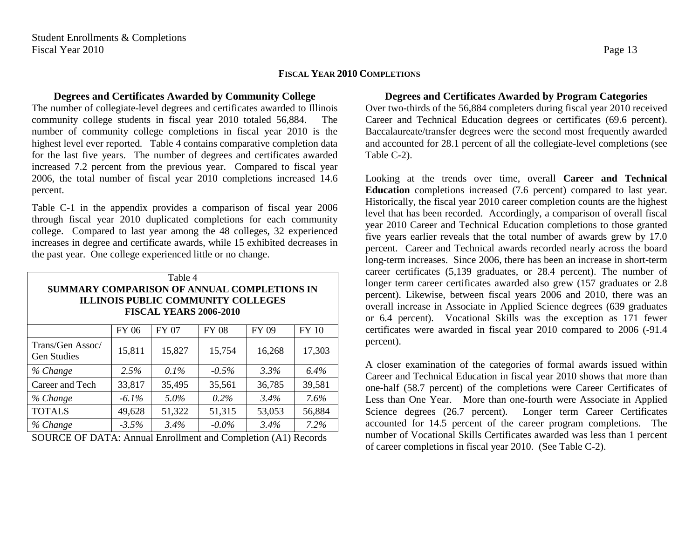# **FISCAL YEAR 2010 COMPLETIONS**

## <span id="page-21-1"></span><span id="page-21-0"></span>**Degrees and Certificates Awarded by Community College**

The number of collegiate-level degrees and certificates awarded to Illinois community college students in fiscal year 2010 totaled 56,884. The number of community college completions in fiscal year 2010 is the highest level ever reported. Table 4 contains comparative completion data for the last five years. The number of degrees and certificates awarded increased 7.2 percent from the previous year. Compared to fiscal year 2006, the total number of fiscal year 2010 completions increased 14.6 percent.

Table C-1 in the appendix provides a comparison of fiscal year 2006 through fiscal year 2010 duplicated completions for each community college. Compared to last year among the 48 colleges, 32 experienced increases in degree and certificate awards, while 15 exhibited decreases in the past year. One college experienced little or no change.

| SUMMARY COMPARISON OF ANNUAL COMPLETIONS IN |              | Table 4<br><b>ILLINOIS PUBLIC COMMUNITY COLLEGES</b><br><b>FISCAL YEARS 2006-2010</b> |              |         |              |  |  |  |  |  |  |
|---------------------------------------------|--------------|---------------------------------------------------------------------------------------|--------------|---------|--------------|--|--|--|--|--|--|
|                                             | <b>FY 06</b> | <b>FY 07</b>                                                                          | <b>FY 08</b> | FY 09   | <b>FY 10</b> |  |  |  |  |  |  |
| Trans/Gen Assoc/<br><b>Gen Studies</b>      | 15,811       | 15,827                                                                                | 15,754       | 16,268  | 17,303       |  |  |  |  |  |  |
| % Change                                    | 2.5%         | $0.1\%$                                                                               | $-0.5\%$     | 3.3%    | 6.4%         |  |  |  |  |  |  |
| Career and Tech                             | 33,817       | 35,495                                                                                | 35,561       | 36,785  | 39,581       |  |  |  |  |  |  |
| % Change                                    | $-6.1\%$     | 5.0%                                                                                  | $0.2\%$      | $3.4\%$ | $7.6\%$      |  |  |  |  |  |  |
| <b>TOTALS</b>                               | 49,628       | 51,322                                                                                | 51,315       | 53,053  | 56,884       |  |  |  |  |  |  |
| % Change                                    | $-3.5\%$     | 3.4%                                                                                  | $-0.0\%$     | 3.4%    | 7.2%         |  |  |  |  |  |  |

SOURCE OF DATA: Annual Enrollment and Completion (A1) Records

# <span id="page-21-2"></span>**Degrees and Certificates Awarded by Program Categories**

Over two-thirds of the 56,884 completers during fiscal year 2010 received Career and Technical Education degrees or certificates (69.6 percent). Baccalaureate/transfer degrees were the second most frequently awarded and accounted for 28.1 percent of all the collegiate-level completions (see Table C-2).

Looking at the trends over time, overall **Career and Technical Education** completions increased (7.6 percent) compared to last year. Historically, the fiscal year 2010 career completion counts are the highest level that has been recorded. Accordingly, a comparison of overall fiscal year 2010 Career and Technical Education completions to those granted five years earlier reveals that the total number of awards grew by 17.0 percent. Career and Technical awards recorded nearly across the board long-term increases. Since 2006, there has been an increase in short-term career certificates (5,139 graduates, or 28.4 percent). The number of longer term career certificates awarded also grew (157 graduates or 2.8 percent). Likewise, between fiscal years 2006 and 2010, there was an overall increase in Associate in Applied Science degrees (639 graduates or 6.4 percent). Vocational Skills was the exception as 171 fewer certificates were awarded in fiscal year 2010 compared to 2006 (-91.4 percent).

A closer examination of the categories of formal awards issued within Career and Technical Education in fiscal year 2010 shows that more than one-half (58.7 percent) of the completions were Career Certificates of Less than One Year. More than one-fourth were Associate in Applied Science degrees (26.7 percent). Longer term Career Certificates accounted for 14.5 percent of the career program completions. The number of Vocational Skills Certificates awarded was less than 1 percent of career completions in fiscal year 2010. (See Table C-2).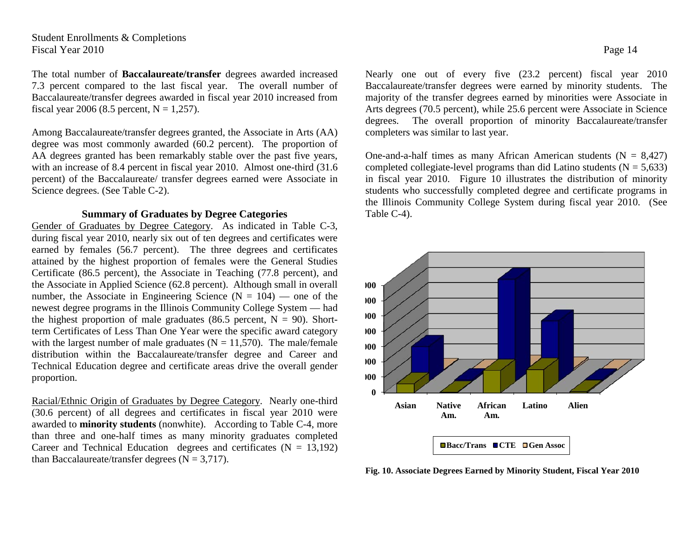# Student Enrollments & Completions Fiscal Year 2010 Page 14

The total number of **Baccalaureate/transfer** degrees awarded increased 7.3 percent compared to the last fiscal year. The overall number of Baccalaureate/transfer degrees awarded in fiscal year 2010 increased from fiscal year 2006 (8.5 percent,  $N = 1,257$ ).

Among Baccalaureate/transfer degrees granted, the Associate in Arts (AA) degree was most commonly awarded (60.2 percent). The proportion of AA degrees granted has been remarkably stable over the past five years, with an increase of 8.4 percent in fiscal year 2010. Almost one-third (31.6 percent) of the Baccalaureate/ transfer degrees earned were Associate in Science degrees. (See Table C-2).

# **Summary of Graduates by Degree Categories**

Gender of Graduates by Degree Category. As indicated in Table C-3, during fiscal year 2010, nearly six out of ten degrees and certificates were earned by females (56.7 percent). The three degrees and certificates attained by the highest proportion of females were the General Studies Certificate (86.5 percent), the Associate in Teaching (77.8 percent), and the Associate in Applied Science (62.8 percent). Although small in overall number, the Associate in Engineering Science ( $N = 104$ ) — one of the newest degree programs in the Illinois Community College System — had the highest proportion of male graduates (86.5 percent,  $N = 90$ ). Shortterm Certificates of Less Than One Year were the specific award category with the largest number of male graduates ( $N = 11,570$ ). The male/female distribution within the Baccalaureate/transfer degree and Career and Technical Education degree and certificate areas drive the overall gender proportion.

Racial/Ethnic Origin of Graduates by Degree Category. Nearly one-third (30.6 percent) of all degrees and certificates in fiscal year 2010 were awarded to **minority students** (nonwhite). According to Table C-4, more than three and one-half times as many minority graduates completed Career and Technical Education degrees and certificates  $(N = 13,192)$ than Baccalaureate/transfer degrees  $(N = 3,717)$ .

Nearly one out of every five (23.2 percent) fiscal year 2010 Baccalaureate/transfer degrees were earned by minority students. The majority of the transfer degrees earned by minorities were Associate in Arts degrees (70.5 percent), while 25.6 percent were Associate in Science degrees. The overall proportion of minority Baccalaureate/transfer completers was similar to last year.

One-and-a-half times as many African American students  $(N = 8,427)$ completed collegiate-level programs than did Latino students  $(N = 5,633)$ in fiscal year 2010. Figure 10 illustrates the distribution of minority students who successfully completed degree and certificate programs in the Illinois Community College System during fiscal year 2010. (See Table C-4).



**Fig. 10. Associate Degrees Earned by Minority Student, Fiscal Year 2010**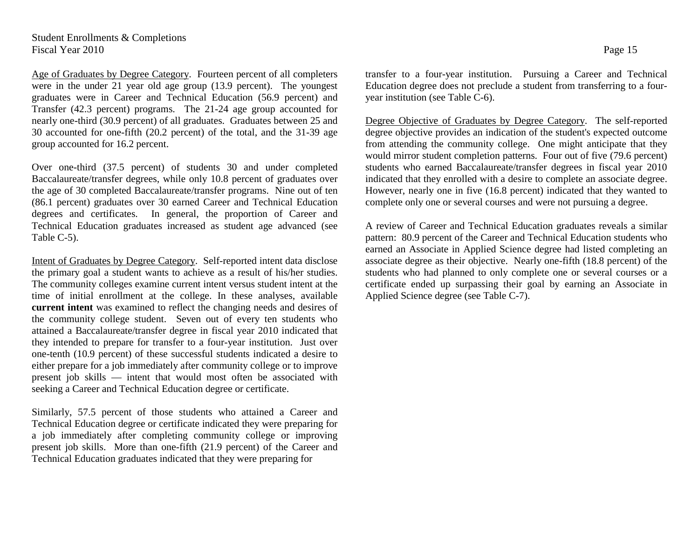Age of Graduates by Degree Category. Fourteen percent of all completers were in the under 21 year old age group (13.9 percent). The youngest graduates were in Career and Technical Education (56.9 percent) and Transfer (42.3 percent) programs. The 21-24 age group accounted for nearly one-third (30.9 percent) of all graduates. Graduates between 25 and 30 accounted for one-fifth (20.2 percent) of the total, and the 31-39 age group accounted for 16.2 percent.

Over one-third (37.5 percent) of students 30 and under completed Baccalaureate/transfer degrees, while only 10.8 percent of graduates over the age of 30 completed Baccalaureate/transfer programs. Nine out of ten (86.1 percent) graduates over 30 earned Career and Technical Education degrees and certificates. In general, the proportion of Career and Technical Education graduates increased as student age advanced (see Table C-5).

Intent of Graduates by Degree Category. Self-reported intent data disclose the primary goal a student wants to achieve as a result of his/her studies. The community colleges examine current intent versus student intent at the time of initial enrollment at the college. In these analyses, available **current intent** was examined to reflect the changing needs and desires of the community college student. Seven out of every ten students who attained a Baccalaureate/transfer degree in fiscal year 2010 indicated that they intended to prepare for transfer to a four-year institution. Just over one-tenth (10.9 percent) of these successful students indicated a desire to either prepare for a job immediately after community college or to improve present job skills — intent that would most often be associated with seeking a Career and Technical Education degree or certificate.

Similarly, 57.5 percent of those students who attained a Career and Technical Education degree or certificate indicated they were preparing for a job immediately after completing community college or improving present job skills. More than one-fifth (21.9 percent) of the Career and Technical Education graduates indicated that they were preparing for

transfer to a four-year institution. Pursuing a Career and Technical Education degree does not preclude a student from transferring to a fouryear institution (see Table C-6).

Degree Objective of Graduates by Degree Category. The self-reported degree objective provides an indication of the student's expected outcome from attending the community college. One might anticipate that they would mirror student completion patterns. Four out of five (79.6 percent) students who earned Baccalaureate/transfer degrees in fiscal year 2010 indicated that they enrolled with a desire to complete an associate degree. However, nearly one in five (16.8 percent) indicated that they wanted to complete only one or several courses and were not pursuing a degree.

A review of Career and Technical Education graduates reveals a similar pattern: 80.9 percent of the Career and Technical Education students who earned an Associate in Applied Science degree had listed completing an associate degree as their objective. Nearly one-fifth (18.8 percent) of the students who had planned to only complete one or several courses or a certificate ended up surpassing their goal by earning an Associate in Applied Science degree (see Table C-7).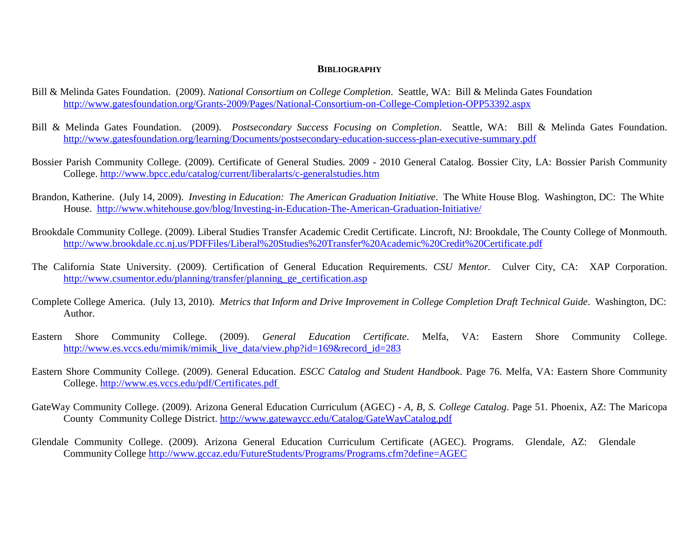- Bill & Melinda Gates Foundation. (2009). *National Consortium on College Completion*. Seattle, WA: Bill & Melinda Gates Foundation <http://www.gatesfoundation.org/Grants-2009/Pages/National-Consortium-on-College-Completion-OPP53392.aspx>
- Bill & Melinda Gates Foundation. (2009). *Postsecondary Success Focusing on Completion*. Seattle, WA: Bill & Melinda Gates Foundation. <http://www.gatesfoundation.org/learning/Documents/postsecondary-education-success-plan-executive-summary.pdf>
- Bossier Parish Community College. (2009). Certificate of General Studies. 2009 2010 General Catalog. Bossier City, LA: Bossier Parish Community College. <http://www.bpcc.edu/catalog/current/liberalarts/c-generalstudies.htm>
- Brandon, Katherine. (July 14, 2009). *Investing in Education: The American Graduation Initiative*. The White House Blog. Washington, DC: The White House. <http://www.whitehouse.gov/blog/Investing-in-Education-The-American-Graduation-Initiative/>
- Brookdale Community College. (2009). Liberal Studies Transfer Academic Credit Certificate. Lincroft, NJ: Brookdale, The County College of Monmouth. <http://www.brookdale.cc.nj.us/PDFFiles/Liberal%20Studies%20Transfer%20Academic%20Credit%20Certificate.pdf>
- The California State University. (2009). Certification of General Education Requirements. *CSU Mentor.* Culver City, CA: XAP Corporation. [http://www.csumentor.edu/planning/transfer/planning\\_ge\\_certification.asp](http://www.csumentor.edu/planning/transfer/planning_ge_certification.asp)
- Complete College America. (July 13, 2010). *Metrics that Inform and Drive Improvement in College Completion Draft Technical Guide*. Washington, DC: Author.
- Eastern Shore Community College. (2009). *General Education Certificate*. Melfa, VA: Eastern Shore Community College. [http://www.es.vccs.edu/mimik/mimik\\_live\\_data/view.php?id=169&record\\_id=283](http://www.es.vccs.edu/mimik/mimik_live_data/view.php?id=169&record_id=283)
- Eastern Shore Community College. (2009). General Education. *ESCC Catalog and Student Handbook*. Page 76. Melfa, VA: Eastern Shore Community College. <http://www.es.vccs.edu/pdf/Certificates.pdf>
- GateWay Community College. (2009). Arizona General Education Curriculum (AGEC) *A, B, S. College Catalog*. Page 51. Phoenix, AZ: The Maricopa County Community College District.<http://www.gatewaycc.edu/Catalog/GateWayCatalog.pdf>
- Glendale Community College. (2009). Arizona General Education Curriculum Certificate (AGEC). Programs. Glendale, AZ: Glendale Community College <http://www.gccaz.edu/FutureStudents/Programs/Programs.cfm?define=AGEC>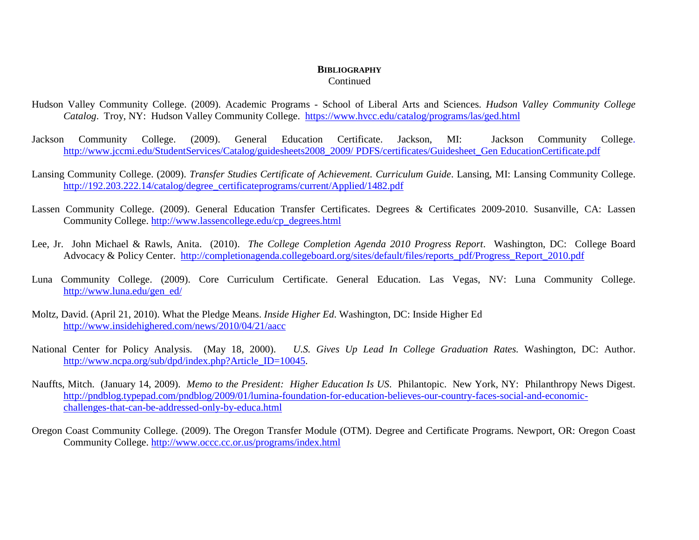Continued

- Hudson Valley Community College. (2009). Academic Programs School of Liberal Arts and Sciences. *Hudson Valley Community College Catalog*. Troy, NY: Hudson Valley Community College. <https://www.hvcc.edu/catalog/programs/las/ged.html>
- Jackson Community College. (2009). General Education Certificate. Jackson, MI: Jackson Community College. [http://www.jccmi.edu/StudentServices/Catalog/guidesheets2008\\_2009/ PDFS/certificates/Guidesheet\\_Gen EducationCertificate.pdf](http://www.jccmi.edu/StudentServices/Catalog/guidesheets2008_2009/)
- Lansing Community College. (2009). *Transfer Studies Certificate of Achievement. Curriculum Guide*. Lansing, MI: Lansing Community College. [http://192.203.222.14/catalog/degree\\_certificateprograms/current/Applied/1482.pdf](http://192.203.222.14/catalog/degree_certificateprograms/current/Applied/1482.pdf)
- Lassen Community College. (2009). General Education Transfer Certificates. Degrees & Certificates 2009-2010. Susanville, CA: Lassen Community College. [http://www.lassencollege.edu/cp\\_degrees.html](http://www.lassencollege.edu/cp_degrees.html)
- Lee, Jr. John Michael & Rawls, Anita. (2010). *The College Completion Agenda 2010 Progress Report*. Washington, DC: College Board Advocacy & Policy Center. http://completionagenda.collegeboard.org/sites/default/files/reports\_pdf/Progress\_Report\_2010.pdf
- Luna Community College. (2009). Core Curriculum Certificate. General Education. Las Vegas, NV: Luna Community College. [http://www.luna.edu/gen\\_ed/](http://www.luna.edu/gen_ed/)
- Moltz, David. (April 21, 2010). What the Pledge Means. *Inside Higher Ed*. Washington, DC: Inside Higher Ed http://www.insidehighered.com/news/2010/04/21/aacc
- National Center for Policy Analysis. (May 18, 2000). *U.S. Gives Up Lead In College Graduation Rates.* Washington, DC: Author. [http://www.ncpa.org/sub/dpd/index.php?Article\\_ID=10045.](http://www.ncpa.org/sub/dpd/index.php?Article_ID=10045)
- Nauffts, Mitch. (January 14, 2009). *Memo to the President: Higher Education Is US*. Philantopic. New York, NY: Philanthropy News Digest. [http://pndblog.typepad.com/pndblog/2009/01/lumina-foundation-for-education-believes-our-country-faces-social-and-economic](http://pndblog.typepad.com/pndblog/2009/01/lumina-foundation-for-education-believes-our-country-faces-social-and-economic-chall)[challenges-that-can-be-addressed-only-by-educa.html](http://pndblog.typepad.com/pndblog/2009/01/lumina-foundation-for-education-believes-our-country-faces-social-and-economic-chall)
- Oregon Coast Community College. (2009). The Oregon Transfer Module (OTM). Degree and Certificate Programs. Newport, OR: Oregon Coast Community College.<http://www.occc.cc.or.us/programs/index.html>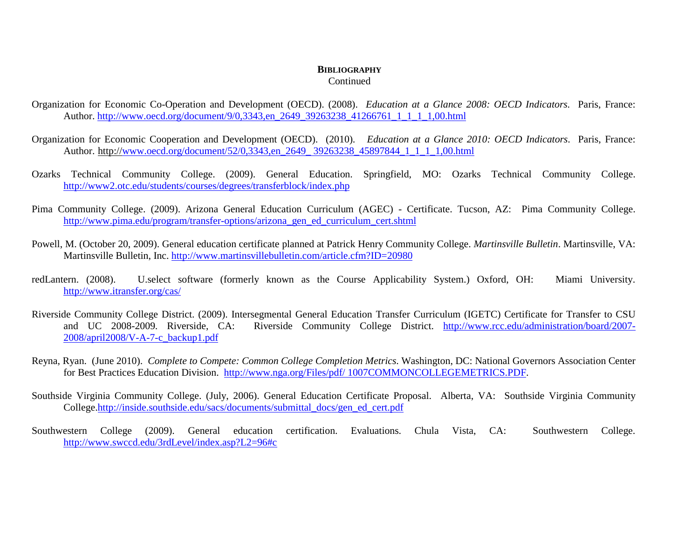## Continued

- Organization for Economic Co-Operation and Development (OECD). (2008). *Education at a Glance 2008: OECD Indicators*. Paris, France: Author. http://www.oecd.org/document/9/0,3343.en\_2649\_39263238\_41266761\_1\_1\_1\_1,00.html
- Organization for Economic Cooperation and Development (OECD). (2010). *Education at a Glance 2010: OECD Indicators*. Paris, France: Author. http://www.oecd.org/document/52/0,3343,en\_2649\_ 39263238\_45897844\_1\_1\_1\_1,00.html
- Ozarks Technical Community College. (2009). General Education. Springfield, MO: Ozarks Technical Community College. <http://www2.otc.edu/students/courses/degrees/transferblock/index.php>
- Pima Community College. (2009). Arizona General Education Curriculum (AGEC) Certificate. Tucson, AZ: Pima Community College. [http://www.pima.edu/program/transfer-options/arizona\\_gen\\_ed\\_curriculum\\_cert.shtml](http://www.pima.edu/program/transfer-options/arizona_gen_ed_curriculum_cert.shtml)
- Powell, M. (October 20, 2009). General education certificate planned at Patrick Henry Community College. *Martinsville Bulletin*. Martinsville, VA: Martinsville Bulletin, Inc.<http://www.martinsvillebulletin.com/article.cfm?ID=20980>
- redLantern. (2008). U.select software (formerly known as the Course Applicability System.) Oxford, OH: Miami University. <http://www.itransfer.org/cas/>
- Riverside Community College District. (2009). Intersegmental General Education Transfer Curriculum (IGETC) Certificate for Transfer to CSU and UC 2008-2009. Riverside, CA: Riverside Community College District. [http://www.rcc.edu/administration/board/2007-](http://www.rcc.edu/administration/board/2007-2008/april2008/V-A-7-c_backup1.pdf) [2008/april2008/V-A-7-c\\_backup1.pdf](http://www.rcc.edu/administration/board/2007-2008/april2008/V-A-7-c_backup1.pdf)
- Reyna, Ryan. (June 2010). *Complete to Compete: Common College Completion Metrics*. Washington, DC: National Governors Association Center for Best Practices Education Division. http://www.nga.org/Files/pdf/ 1007COMMONCOLLEGEMETRICS.PDF.
- Southside Virginia Community College. (July, 2006). General Education Certificate Proposal. Alberta, VA: Southside Virginia Community College[.http://inside.southside.edu/sacs/documents/submittal\\_docs/gen\\_ed\\_cert.pdf](http://inside.southside.edu/sacs/documents/submittal_docs/gen_ed_cert.pdf)
- Southwestern College (2009). General education certification. Evaluations. Chula Vista, CA: Southwestern College. <http://www.swccd.edu/3rdLevel/index.asp?L2=96#c>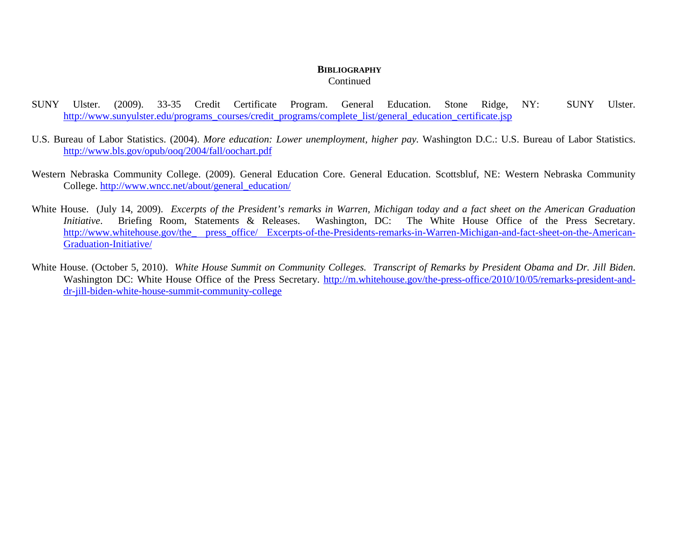Continued

- SUNY Ulster. (2009). 33-35 Credit Certificate Program. General Education. Stone Ridge, NY: SUNY Ulster. [http://www.sunyulster.edu/programs\\_courses/credit\\_programs/complete\\_list/general\\_education\\_certificate.jsp](http://www.sunyulster.edu/programs_courses/credit_programs/complete_list/general_education_certificate.jsp)
- U.S. Bureau of Labor Statistics. (2004). *More education: Lower unemployment, higher pay.* Washington D.C.: U.S. Bureau of Labor Statistics. <http://www.bls.gov/opub/ooq/2004/fall/oochart.pdf>
- Western Nebraska Community College. (2009). General Education Core. General Education. Scottsbluf, NE: Western Nebraska Community College. [http://www.wncc.net/about/general\\_education/](http://www.wncc.net/about/general_education/)
- White House. (July 14, 2009). *Excerpts of the President's remarks in Warren, Michigan today and a fact sheet on the American Graduation Initiative*. Briefing Room, Statements & Releases. Washington, DC: The White House Office of the Press Secretary. http://www.whitehouse.gov/the press\_office/ Excerpts-of-the-Presidents-remarks-in-Warren-Michigan-and-fact-sheet-on-the-American-Graduation-Initiative/
- White House. (October 5, 2010). *White House Summit on Community Colleges. Transcript of Remarks by President Obama and Dr. Jill Biden*. Washington DC: White House Office of the Press Secretary. [http://m.whitehouse.gov/the-press-office/2010/10/05/remarks-president-and](http://m.whitehouse.gov/the-press-office/2010/10/05/remarks-president-and-dr-jill-biden-white-house-summit-community-college)[dr-jill-biden-white-house-summit-community-college](http://m.whitehouse.gov/the-press-office/2010/10/05/remarks-president-and-dr-jill-biden-white-house-summit-community-college)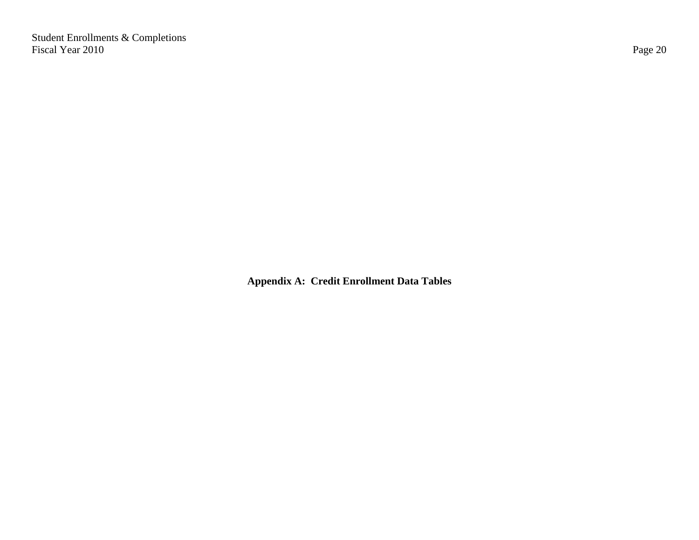Student Enrollments & Completions Fiscal Year 2010 Page 20

**Appendix A: Credit Enrollment Data Tables**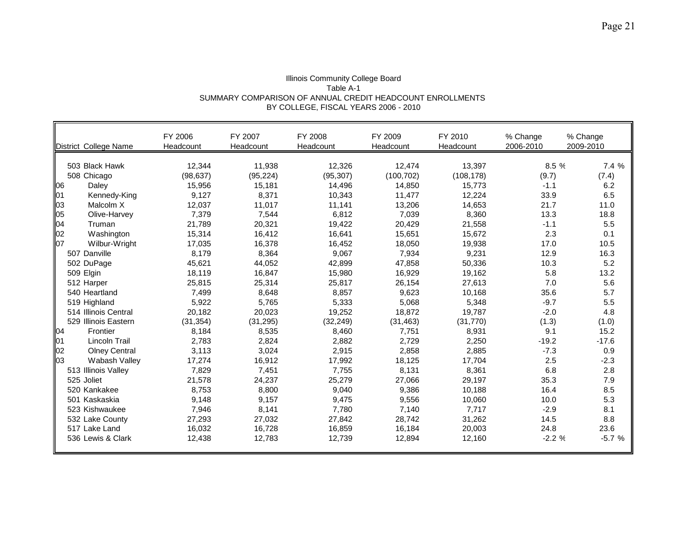#### Illinois Community College Board Table A-1 SUMMARY COMPARISON OF ANNUAL CREDIT HEADCOUNT ENROLLMENTS BY COLLEGE, FISCAL YEARS 2006 - 2010

|    | District College Name | FY 2006<br>Headcount | FY 2007<br>Headcount | FY 2008<br>Headcount | FY 2009<br>Headcount | FY 2010<br>Headcount | % Change<br>2006-2010 | % Change<br>2009-2010 |
|----|-----------------------|----------------------|----------------------|----------------------|----------------------|----------------------|-----------------------|-----------------------|
|    | 503 Black Hawk        | 12,344               | 11,938               | 12,326               | 12,474               | 13,397               | 8.5 %                 | 7.4%                  |
|    | 508 Chicago           | (98, 637)            | (95, 224)            | (95, 307)            | (100, 702)           | (108, 178)           | (9.7)                 | (7.4)                 |
| 06 | Daley                 | 15,956               | 15,181               | 14,496               | 14,850               | 15,773               | $-1.1$                | 6.2                   |
| 01 | Kennedy-King          | 9,127                | 8,371                | 10,343               | 11,477               | 12,224               | 33.9                  | 6.5                   |
| 03 | Malcolm X             | 12,037               | 11,017               | 11,141               | 13,206               | 14,653               | 21.7                  | 11.0                  |
| 05 | Olive-Harvey          | 7,379                | 7,544                | 6,812                | 7,039                | 8,360                | 13.3                  | 18.8                  |
| 04 | Truman                | 21,789               | 20,321               | 19,422               | 20,429               | 21,558               | $-1.1$                | 5.5                   |
| 02 | Washington            | 15,314               | 16,412               | 16,641               | 15,651               | 15,672               | 2.3                   | 0.1                   |
| 07 | Wilbur-Wright         | 17,035               | 16,378               | 16,452               | 18,050               | 19,938               | 17.0                  | 10.5                  |
|    | 507 Danville          | 8,179                | 8,364                | 9,067                | 7,934                | 9,231                | 12.9                  | 16.3                  |
|    | 502 DuPage            | 45,621               | 44,052               | 42,899               | 47,858               | 50,336               | 10.3                  | 5.2                   |
|    | 509 Elgin             | 18,119               | 16,847               | 15,980               | 16,929               | 19,162               | 5.8                   | 13.2                  |
|    | 512 Harper            | 25,815               | 25,314               | 25,817               | 26,154               | 27,613               | 7.0                   | 5.6                   |
|    | 540 Heartland         | 7,499                | 8,648                | 8,857                | 9,623                | 10,168               | 35.6                  | 5.7                   |
|    | 519 Highland          | 5,922                | 5,765                | 5,333                | 5,068                | 5,348                | $-9.7$                | 5.5                   |
|    | 514 Illinois Central  | 20,182               | 20,023               | 19,252               | 18,872               | 19,787               | $-2.0$                | 4.8                   |
|    | 529 Illinois Eastern  | (31, 354)            | (31, 295)            | (32, 249)            | (31, 463)            | (31, 770)            | (1.3)                 | (1.0)                 |
| 04 | Frontier              | 8,184                | 8,535                | 8,460                | 7,751                | 8,931                | 9.1                   | 15.2                  |
| 01 | Lincoln Trail         | 2,783                | 2,824                | 2,882                | 2,729                | 2,250                | $-19.2$               | $-17.6$               |
| 02 | <b>Olney Central</b>  | 3,113                | 3,024                | 2,915                | 2,858                | 2,885                | $-7.3$                | 0.9                   |
| 03 | Wabash Valley         | 17,274               | 16,912               | 17,992               | 18,125               | 17,704               | 2.5                   | $-2.3$                |
|    | 513 Illinois Valley   | 7,829                | 7,451                | 7,755                | 8,131                | 8,361                | 6.8                   | 2.8                   |
|    | 525 Joliet            | 21,578               | 24,237               | 25,279               | 27,066               | 29,197               | 35.3                  | 7.9                   |
|    | 520 Kankakee          | 8,753                | 8,800                | 9,040                | 9,386                | 10,188               | 16.4                  | 8.5                   |
|    | 501 Kaskaskia         | 9,148                | 9,157                | 9,475                | 9,556                | 10,060               | 10.0                  | 5.3                   |
|    | 523 Kishwaukee        | 7,946                | 8,141                | 7,780                | 7,140                | 7,717                | $-2.9$                | 8.1                   |
|    | 532 Lake County       | 27,293               | 27,032               | 27,842               | 28,742               | 31,262               | 14.5                  | 8.8                   |
|    | 517 Lake Land         | 16,032               | 16,728               | 16,859               | 16,184               | 20,003               | 24.8                  | 23.6                  |
|    | 536 Lewis & Clark     | 12,438               | 12,783               | 12,739               | 12,894               | 12,160               | $-2.2%$               | $-5.7%$               |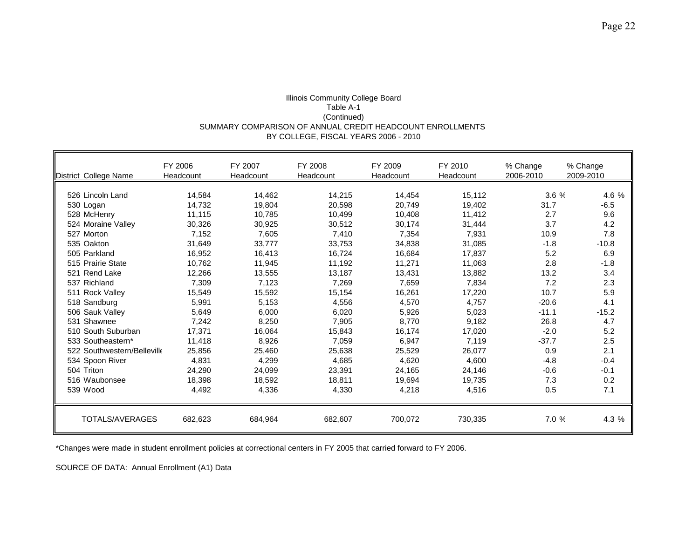## Illinois Community College Board Table A-1 (Continued) SUMMARY COMPARISON OF ANNUAL CREDIT HEADCOUNT ENROLLMENTS BY COLLEGE, FISCAL YEARS 2006 - 2010

| District College Name       | FY 2006<br>Headcount | FY 2007<br>Headcount | FY 2008<br>Headcount | FY 2009<br><b>Headcount</b> | FY 2010<br>Headcount | % Change<br>2006-2010 | % Change<br>2009-2010 |
|-----------------------------|----------------------|----------------------|----------------------|-----------------------------|----------------------|-----------------------|-----------------------|
| 526 Lincoln Land            | 14,584               | 14,462               | 14,215               | 14,454                      | 15,112               | 3.6 %                 | 4.6 %                 |
| 530 Logan                   | 14,732               | 19,804               | 20,598               | 20,749                      | 19.402               | 31.7                  | $-6.5$                |
| 528 McHenry                 | 11,115               | 10,785               | 10,499               | 10,408                      | 11,412               | 2.7                   | 9.6                   |
| 524 Moraine Valley          | 30,326               | 30,925               | 30,512               | 30,174                      | 31,444               | 3.7                   | 4.2                   |
| 527 Morton                  | 7.152                | 7,605                | 7,410                | 7,354                       | 7,931                | 10.9                  | 7.8                   |
| 535 Oakton                  | 31,649               | 33.777               | 33,753               | 34,838                      | 31.085               | $-1.8$                | $-10.8$               |
| 505 Parkland                | 16,952               | 16,413               | 16,724               | 16,684                      | 17,837               | 5.2                   | 6.9                   |
| 515 Prairie State           | 10.762               | 11,945               | 11,192               | 11,271                      | 11.063               | 2.8                   | $-1.8$                |
| 521 Rend Lake               | 12,266               | 13,555               | 13,187               | 13,431                      | 13,882               | 13.2                  | 3.4                   |
| 537 Richland                | 7,309                | 7,123                | 7,269                | 7,659                       | 7,834                | 7.2                   | 2.3                   |
|                             |                      |                      |                      |                             |                      | 10.7                  | 5.9                   |
| 511 Rock Valley             | 15,549               | 15,592               | 15,154               | 16,261                      | 17,220               |                       |                       |
| 518 Sandburg                | 5,991                | 5,153                | 4,556                | 4,570                       | 4,757                | $-20.6$               | 4.1                   |
| 506 Sauk Valley             | 5,649                | 6,000                | 6,020                | 5,926                       | 5,023                | $-11.1$               | $-15.2$               |
| 531 Shawnee                 | 7,242                | 8,250                | 7,905                | 8,770                       | 9,182                | 26.8                  | 4.7                   |
| 510 South Suburban          | 17.371               | 16,064               | 15,843               | 16,174                      | 17.020               | $-2.0$                | 5.2                   |
| 533 Southeastern*           | 11,418               | 8,926                | 7,059                | 6,947                       | 7,119                | $-37.7$               | 2.5                   |
| 522 Southwestern/Belleville | 25,856               | 25,460               | 25,638               | 25,529                      | 26.077               | 0.9                   | 2.1                   |
| 534 Spoon River             | 4,831                | 4,299                | 4,685                | 4,620                       | 4,600                | $-4.8$                | $-0.4$                |
| 504 Triton                  | 24,290               | 24,099               | 23,391               | 24,165                      | 24,146               | $-0.6$                | $-0.1$                |
| 516 Waubonsee               | 18,398               | 18,592               | 18,811               | 19,694                      | 19,735               | 7.3                   | 0.2                   |
| 539 Wood                    | 4,492                | 4,336                | 4,330                | 4,218                       | 4,516                | 0.5                   | 7.1                   |
| TOTALS/AVERAGES             | 682,623              | 684,964              | 682,607              | 700,072                     | 730,335              | 7.0 %                 | 4.3 %                 |

\*Changes were made in student enrollment policies at correctional centers in FY 2005 that carried forward to FY 2006.

SOURCE OF DATA: Annual Enrollment (A1) Data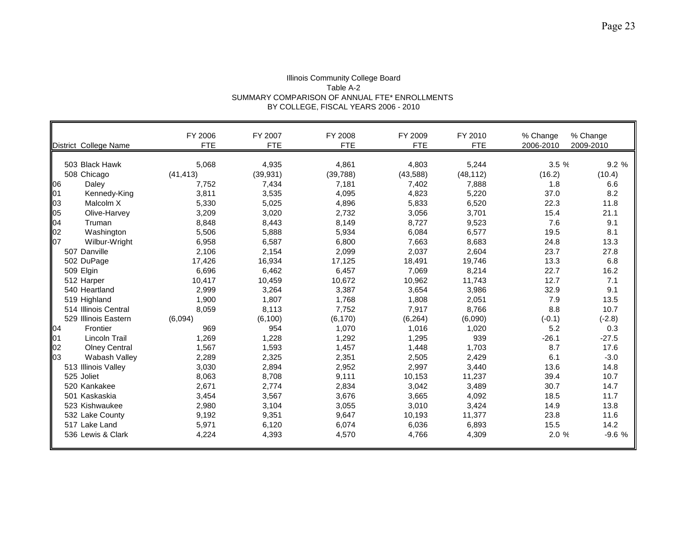#### Illinois Community College Board Table A-2 SUMMARY COMPARISON OF ANNUAL FTE\* ENROLLMENTS BY COLLEGE, FISCAL YEARS 2006 - 2010

|    | District College Name     | FY 2006<br><b>FTE</b> | FY 2007<br><b>FTE</b> | FY 2008<br><b>FTE</b> | FY 2009<br><b>FTE</b> | FY 2010<br><b>FTE</b> | % Change<br>2006-2010 | % Change<br>2009-2010 |
|----|---------------------------|-----------------------|-----------------------|-----------------------|-----------------------|-----------------------|-----------------------|-----------------------|
|    | 503 Black Hawk            | 5,068                 | 4,935                 | 4,861                 | 4,803                 | 5,244                 | 3.5%                  | 9.2%                  |
|    | 508 Chicago               | (41, 413)             | (39, 931)             | (39, 788)             | (43,588)              | (48, 112)             | (16.2)                | (10.4)                |
| 06 | Daley                     | 7,752                 | 7,434                 | 7,181                 | 7,402                 | 7,888                 | 1.8                   | 6.6                   |
| 01 |                           | 3,811                 | 3,535                 | 4,095                 | 4,823                 | 5,220                 | 37.0                  | 8.2                   |
| 03 | Kennedy-King<br>Malcolm X | 5,330                 | 5,025                 | 4,896                 | 5,833                 |                       | 22.3                  | 11.8                  |
| 05 |                           |                       |                       |                       |                       | 6,520                 |                       |                       |
|    | Olive-Harvey              | 3,209                 | 3,020                 | 2,732                 | 3,056                 | 3,701                 | 15.4                  | 21.1                  |
| 04 | Truman                    | 8,848                 | 8,443                 | 8,149                 | 8,727                 | 9,523                 | 7.6                   | 9.1                   |
| 02 | Washington                | 5,506                 | 5,888                 | 5,934                 | 6,084                 | 6,577                 | 19.5                  | 8.1                   |
| 07 | Wilbur-Wright             | 6,958                 | 6,587                 | 6,800                 | 7,663                 | 8,683                 | 24.8                  | 13.3                  |
|    | 507 Danville              | 2,106                 | 2,154                 | 2,099                 | 2,037                 | 2,604                 | 23.7                  | 27.8                  |
|    | 502 DuPage                | 17,426                | 16,934                | 17,125                | 18,491                | 19,746                | 13.3                  | 6.8                   |
|    | 509 Elgin                 | 6,696                 | 6,462                 | 6,457                 | 7,069                 | 8,214                 | 22.7                  | 16.2                  |
|    | 512 Harper                | 10,417                | 10,459                | 10,672                | 10,962                | 11,743                | 12.7                  | 7.1                   |
|    | 540 Heartland             | 2,999                 | 3,264                 | 3,387                 | 3,654                 | 3,986                 | 32.9                  | 9.1                   |
|    | 519 Highland              | 1,900                 | 1,807                 | 1,768                 | 1,808                 | 2,051                 | 7.9                   | 13.5                  |
|    | 514 Illinois Central      | 8,059                 | 8,113                 | 7,752                 | 7,917                 | 8,766                 | 8.8                   | 10.7                  |
|    | 529 Illinois Eastern      | (6,094)               | (6, 100)              | (6, 170)              | (6, 264)              | (6,090)               | $(-0.1)$              | $(-2.8)$              |
| 04 | Frontier                  | 969                   | 954                   | 1,070                 | 1,016                 | 1,020                 | 5.2                   | 0.3                   |
| 01 | <b>Lincoln Trail</b>      | 1,269                 | 1,228                 | 1,292                 | 1,295                 | 939                   | $-26.1$               | $-27.5$               |
| 02 | <b>Olney Central</b>      | 1,567                 | 1,593                 | 1,457                 | 1,448                 | 1,703                 | 8.7                   | 17.6                  |
| 03 | Wabash Valley             | 2,289                 | 2,325                 | 2,351                 | 2,505                 | 2,429                 | 6.1                   | $-3.0$                |
|    | 513 Illinois Valley       | 3,030                 | 2,894                 | 2,952                 | 2,997                 | 3,440                 | 13.6                  | 14.8                  |
|    | 525 Joliet                | 8,063                 | 8,708                 | 9,111                 | 10,153                | 11,237                | 39.4                  | 10.7                  |
|    | 520 Kankakee              | 2,671                 | 2,774                 | 2,834                 | 3,042                 | 3,489                 | 30.7                  | 14.7                  |
|    | 501 Kaskaskia             | 3,454                 | 3,567                 | 3,676                 | 3,665                 | 4,092                 | 18.5                  | 11.7                  |
|    | 523 Kishwaukee            | 2,980                 | 3,104                 | 3,055                 | 3,010                 | 3,424                 | 14.9                  | 13.8                  |
|    | 532 Lake County           | 9,192                 | 9,351                 | 9,647                 | 10,193                | 11,377                | 23.8                  | 11.6                  |
|    | 517 Lake Land             | 5,971                 | 6,120                 | 6,074                 | 6,036                 | 6,893                 | 15.5                  | 14.2                  |
|    | 536 Lewis & Clark         | 4,224                 | 4,393                 | 4,570                 | 4,766                 | 4,309                 | 2.0 %                 | $-9.6%$               |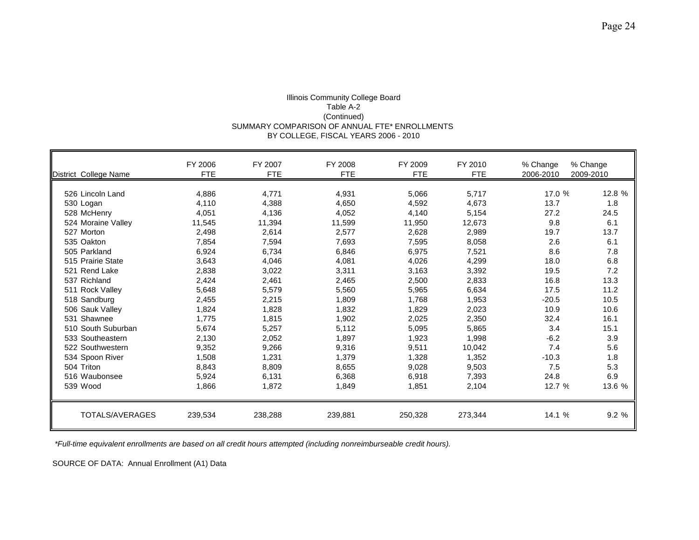## Illinois Community College Board Table A-2 (Continued) SUMMARY COMPARISON OF ANNUAL FTE\* ENROLLMENTS BY COLLEGE, FISCAL YEARS 2006 - 2010

| District College Name  | FY 2006<br><b>FTE</b> | FY 2007<br><b>FTE</b> | FY 2008<br><b>FTE</b> | FY 2009<br><b>FTE</b> | FY 2010<br><b>FTE</b> | % Change<br>2006-2010 | % Change<br>2009-2010 |
|------------------------|-----------------------|-----------------------|-----------------------|-----------------------|-----------------------|-----------------------|-----------------------|
| 526 Lincoln Land       | 4,886                 | 4.771                 | 4,931                 | 5,066                 | 5.717                 | 17.0 %                | 12.8 %                |
| 530 Logan              | 4,110                 | 4,388                 | 4,650                 | 4,592                 | 4,673                 | 13.7                  | 1.8                   |
| 528 McHenry            | 4,051                 | 4,136                 | 4,052                 | 4,140                 | 5,154                 | 27.2                  | 24.5                  |
| 524 Moraine Valley     | 11,545                | 11,394                | 11,599                | 11,950                | 12,673                | 9.8                   | 6.1                   |
| 527 Morton             | 2,498                 | 2,614                 | 2,577                 | 2,628                 | 2,989                 | 19.7                  | 13.7                  |
| 535 Oakton             | 7,854                 | 7,594                 | 7,693                 | 7,595                 | 8,058                 | 2.6                   | 6.1                   |
| 505 Parkland           | 6,924                 | 6,734                 | 6,846                 | 6,975                 | 7,521                 | 8.6                   | 7.8                   |
| 515 Prairie State      | 3,643                 | 4,046                 | 4,081                 | 4,026                 | 4,299                 | 18.0                  | 6.8                   |
| 521 Rend Lake          | 2,838                 | 3,022                 | 3,311                 | 3,163                 | 3,392                 | 19.5                  | 7.2                   |
| 537 Richland           | 2,424                 | 2,461                 | 2,465                 | 2,500                 | 2,833                 | 16.8                  | 13.3                  |
| 511 Rock Valley        | 5,648                 | 5,579                 | 5,560                 | 5,965                 | 6,634                 | 17.5                  | 11.2                  |
| 518 Sandburg           | 2,455                 | 2,215                 | 1,809                 | 1,768                 | 1,953                 | $-20.5$               | 10.5                  |
| 506 Sauk Valley        | 1,824                 | 1,828                 | 1,832                 | 1,829                 | 2,023                 | 10.9                  | 10.6                  |
| 531 Shawnee            | 1,775                 | 1,815                 | 1,902                 | 2,025                 | 2,350                 | 32.4                  | 16.1                  |
| 510 South Suburban     | 5.674                 | 5,257                 | 5,112                 | 5,095                 | 5,865                 | 3.4                   | 15.1                  |
| 533 Southeastern       | 2,130                 | 2,052                 | 1,897                 | 1,923                 | 1,998                 | $-6.2$                | 3.9                   |
| 522 Southwestern       | 9,352                 | 9,266                 | 9,316                 | 9,511                 | 10,042                | 7.4                   | 5.6                   |
| 534 Spoon River        | 1,508                 | 1,231                 | 1,379                 | 1,328                 | 1,352                 | $-10.3$               | 1.8                   |
| 504 Triton             | 8,843                 | 8,809                 | 8,655                 | 9,028                 | 9,503                 | 7.5                   | 5.3                   |
| 516 Waubonsee          | 5,924                 | 6,131                 | 6,368                 | 6,918                 | 7,393                 | 24.8                  | 6.9                   |
| 539 Wood               | 1,866                 | 1,872                 | 1,849                 | 1,851                 | 2,104                 | 12.7 %                | 13.6 %                |
| <b>TOTALS/AVERAGES</b> | 239,534               | 238,288               | 239,881               | 250,328               | 273,344               | 14.1 %                | 9.2 %                 |

 *\*Full-time equivalent enrollments are based on all credit hours attempted (including nonreimburseable credit hours).*

SOURCE OF DATA: Annual Enrollment (A1) Data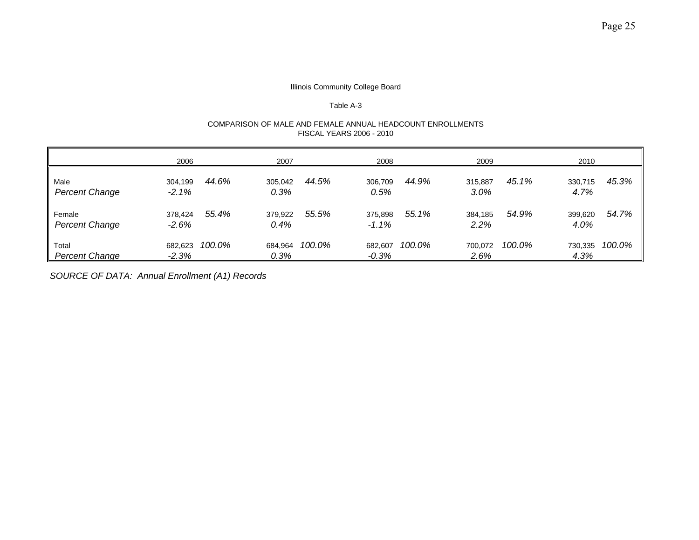#### Table A-3

#### COMPARISON OF MALE AND FEMALE ANNUAL HEADCOUNT ENROLLMENTS FISCAL YEARS 2006 - 2010

|                                 | 2006                |        | 2007            |        | 2008                |        | 2009            |        | 2010            |        |
|---------------------------------|---------------------|--------|-----------------|--------|---------------------|--------|-----------------|--------|-----------------|--------|
| Male<br><b>Percent Change</b>   | 304.199<br>$-2.1%$  | 44.6%  | 305.042<br>0.3% | 44.5%  | 306,709<br>0.5%     | 44.9%  | 315.887<br>3.0% | 45.1%  | 330,715<br>4.7% | 45.3%  |
| Female<br><b>Percent Change</b> | 378.424<br>$-2.6%$  | 55.4%  | 379,922<br>0.4% | 55.5%  | 375,898<br>$-1.1\%$ | 55.1%  | 384.185<br>2.2% | 54.9%  | 399,620<br>4.0% | 54.7%  |
| Total<br><b>Percent Change</b>  | 682.623<br>$-2.3\%$ | 100.0% | 684,964<br>0.3% | 100.0% | 682,607<br>$-0.3\%$ | 100.0% | 700.072<br>2.6% | 100.0% | 730,335<br>4.3% | 100.0% |

*SOURCE OF DATA: Annual Enrollment (A1) Records*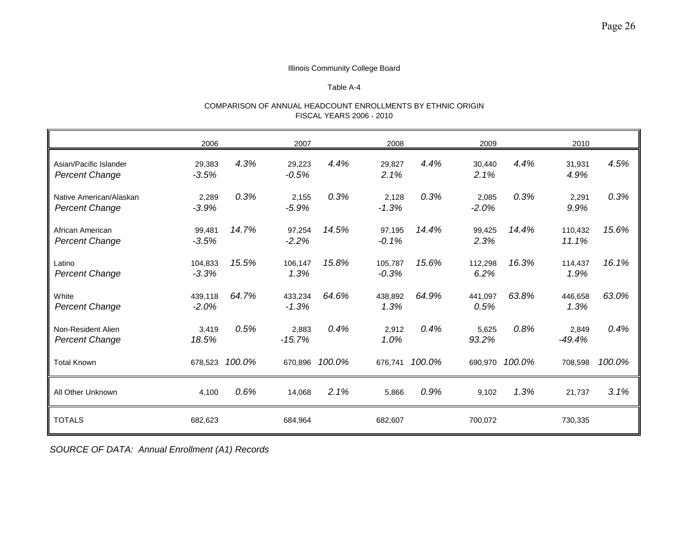## Table A-4

## COMPARISON OF ANNUAL HEADCOUNT ENROLLMENTS BY ETHNIC ORIGIN FISCAL YEARS 2006 - 2010

|                                                  | 2006               |                | 2007               |                | 2008               |                | 2009             |                | 2010              |        |
|--------------------------------------------------|--------------------|----------------|--------------------|----------------|--------------------|----------------|------------------|----------------|-------------------|--------|
| Asian/Pacific Islander<br><b>Percent Change</b>  | 29,383<br>$-3.5%$  | 4.3%           | 29,223<br>$-0.5%$  | 4.4%           | 29,827<br>2.1%     | 4.4%           | 30,440<br>2.1%   | 4.4%           | 31,931<br>4.9%    | 4.5%   |
| Native American/Alaskan<br><b>Percent Change</b> | 2,289<br>$-3.9%$   | 0.3%           | 2,155<br>$-5.9%$   | 0.3%           | 2,128<br>$-1.3%$   | 0.3%           | 2,085<br>$-2.0%$ | 0.3%           | 2,291<br>9.9%     | 0.3%   |
| African American<br><b>Percent Change</b>        | 99,481<br>$-3.5%$  | 14.7%          | 97,254<br>$-2.2%$  | 14.5%          | 97,195<br>$-0.1%$  | 14.4%          | 99,425<br>2.3%   | 14.4%          | 110,432<br>11.1%  | 15.6%  |
| Latino<br><b>Percent Change</b>                  | 104,833<br>$-3.3%$ | 15.5%          | 106.147<br>1.3%    | 15.8%          | 105.787<br>$-0.3%$ | 15.6%          | 112,298<br>6.2%  | 16.3%          | 114.437<br>1.9%   | 16.1%  |
| White<br><b>Percent Change</b>                   | 439,118<br>$-2.0%$ | 64.7%          | 433,234<br>$-1.3%$ | 64.6%          | 438,892<br>1.3%    | 64.9%          | 441,097<br>0.5%  | 63.8%          | 446,658<br>1.3%   | 63.0%  |
| Non-Resident Alien<br><b>Percent Change</b>      | 3,419<br>18.5%     | 0.5%           | 2,883<br>$-15.7%$  | 0.4%           | 2,912<br>1.0%      | 0.4%           | 5,625<br>93.2%   | 0.8%           | 2,849<br>$-49.4%$ | 0.4%   |
| <b>Total Known</b>                               |                    | 678,523 100.0% |                    | 670,896 100.0% |                    | 676,741 100.0% |                  | 690,970 100.0% | 708,598           | 100.0% |
| All Other Unknown                                | 4,100              | 0.6%           | 14,068             | 2.1%           | 5,866              | 0.9%           | 9,102            | 1.3%           | 21,737            | 3.1%   |
| <b>TOTALS</b>                                    | 682,623            |                | 684,964            |                | 682,607            |                | 700,072          |                | 730,335           |        |

*SOURCE OF DATA: Annual Enrollment (A1) Records*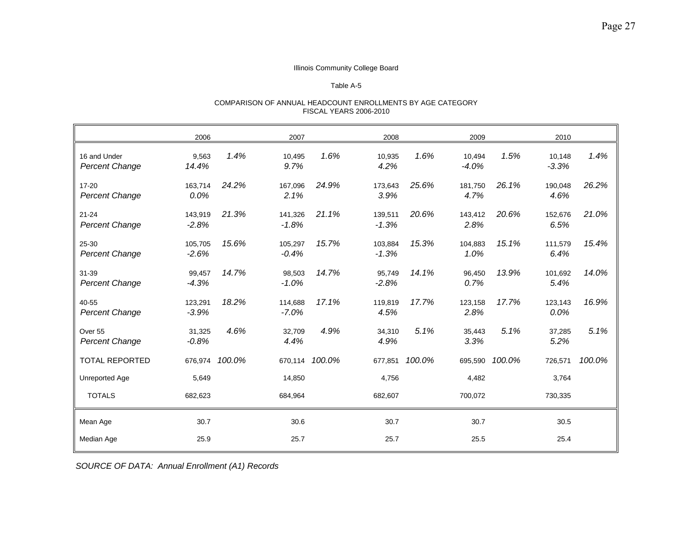## Table A-5

#### COMPARISON OF ANNUAL HEADCOUNT ENROLLMENTS BY AGE CATEGORY FISCAL YEARS 2006-2010

|                                       | 2006               |        | 2007               |        | 2008               |        | 2009              |        | 2010              |        |
|---------------------------------------|--------------------|--------|--------------------|--------|--------------------|--------|-------------------|--------|-------------------|--------|
| 16 and Under<br><b>Percent Change</b> | 9,563<br>14.4%     | 1.4%   | 10,495<br>9.7%     | 1.6%   | 10,935<br>4.2%     | 1.6%   | 10,494<br>$-4.0%$ | 1.5%   | 10,148<br>$-3.3%$ | 1.4%   |
| $17 - 20$<br><b>Percent Change</b>    | 163,714<br>0.0%    | 24.2%  | 167,096<br>2.1%    | 24.9%  | 173,643<br>3.9%    | 25.6%  | 181,750<br>4.7%   | 26.1%  | 190,048<br>4.6%   | 26.2%  |
| $21 - 24$<br><b>Percent Change</b>    | 143,919<br>$-2.8%$ | 21.3%  | 141,326<br>$-1.8%$ | 21.1%  | 139,511<br>$-1.3%$ | 20.6%  | 143,412<br>2.8%   | 20.6%  | 152,676<br>6.5%   | 21.0%  |
| 25-30<br><b>Percent Change</b>        | 105,705<br>$-2.6%$ | 15.6%  | 105,297<br>$-0.4%$ | 15.7%  | 103,884<br>$-1.3%$ | 15.3%  | 104,883<br>1.0%   | 15.1%  | 111,579<br>6.4%   | 15.4%  |
| 31-39<br><b>Percent Change</b>        | 99,457<br>$-4.3%$  | 14.7%  | 98,503<br>$-1.0%$  | 14.7%  | 95,749<br>$-2.8%$  | 14.1%  | 96,450<br>0.7%    | 13.9%  | 101,692<br>5.4%   | 14.0%  |
| 40-55<br><b>Percent Change</b>        | 123,291<br>$-3.9%$ | 18.2%  | 114.688<br>$-7.0%$ | 17.1%  | 119,819<br>4.5%    | 17.7%  | 123,158<br>2.8%   | 17.7%  | 123,143<br>0.0%   | 16.9%  |
| Over 55<br><b>Percent Change</b>      | 31,325<br>$-0.8%$  | 4.6%   | 32,709<br>4.4%     | 4.9%   | 34,310<br>4.9%     | 5.1%   | 35,443<br>3.3%    | 5.1%   | 37,285<br>5.2%    | 5.1%   |
| <b>TOTAL REPORTED</b>                 | 676,974            | 100.0% | 670,114            | 100.0% | 677,851            | 100.0% | 695,590           | 100.0% | 726,571           | 100.0% |
| Unreported Age                        | 5,649              |        | 14,850             |        | 4,756              |        | 4,482             |        | 3,764             |        |
| <b>TOTALS</b>                         | 682,623            |        | 684,964            |        | 682,607            |        | 700,072           |        | 730,335           |        |
| Mean Age                              | 30.7               |        | 30.6               |        | 30.7               |        | 30.7              |        | 30.5              |        |
| Median Age                            | 25.9               |        | 25.7               |        | 25.7               |        | 25.5              |        | 25.4              |        |

*SOURCE OF DATA: Annual Enrollment (A1) Records*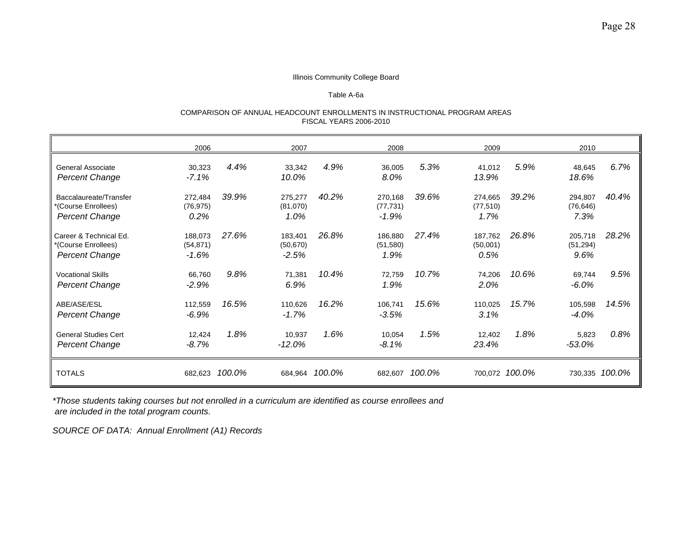#### Table A-6a

#### COMPARISON OF ANNUAL HEADCOUNT ENROLLMENTS IN INSTRUCTIONAL PROGRAM AREAS FISCAL YEARS 2006-2010

|                                                                        | 2006                             |        | 2007                            |        | 2008                            |        | 2009                         |                | 2010                         |                |
|------------------------------------------------------------------------|----------------------------------|--------|---------------------------------|--------|---------------------------------|--------|------------------------------|----------------|------------------------------|----------------|
| General Associate<br><b>Percent Change</b>                             | 30,323<br>$-7.1%$                | 4.4%   | 33,342<br>10.0%                 | 4.9%   | 36,005<br>8.0%                  | 5.3%   | 41,012<br>13.9%              | 5.9%           | 48,645<br>18.6%              | 6.7%           |
| Baccalaureate/Transfer<br>*(Course Enrollees)<br><b>Percent Change</b> | 272,484<br>(76, 975)<br>$0.2\%$  | 39.9%  | 275,277<br>(81,070)<br>1.0%     | 40.2%  | 270,168<br>(77, 731)<br>$-1.9%$ | 39.6%  | 274,665<br>(77, 510)<br>1.7% | 39.2%          | 294,807<br>(76, 646)<br>7.3% | 40.4%          |
| Career & Technical Ed.<br>*(Course Enrollees)<br><b>Percent Change</b> | 188,073<br>(54, 871)<br>$-1.6\%$ | 27.6%  | 183,401<br>(50, 670)<br>$-2.5%$ | 26.8%  | 186,880<br>(51, 580)<br>1.9%    | 27.4%  | 187,762<br>(50,001)<br>0.5%  | 26.8%          | 205,718<br>(51, 294)<br>9.6% | 28.2%          |
| <b>Vocational Skills</b><br><b>Percent Change</b>                      | 66,760<br>$-2.9%$                | 9.8%   | 71,381<br>6.9%                  | 10.4%  | 72,759<br>1.9%                  | 10.7%  | 74,206<br>2.0%               | 10.6%          | 69,744<br>$-6.0\%$           | 9.5%           |
| ABE/ASE/ESL<br><b>Percent Change</b>                                   | 112,559<br>-6.9%                 | 16.5%  | 110,626<br>$-1.7%$              | 16.2%  | 106,741<br>$-3.5%$              | 15.6%  | 110,025<br>3.1%              | 15.7%          | 105,598<br>$-4.0%$           | 14.5%          |
| <b>General Studies Cert</b><br><b>Percent Change</b>                   | 12,424<br>-8.7%                  | 1.8%   | 10,937<br>$-12.0%$              | 1.6%   | 10,054<br>$-8.1%$               | 1.5%   | 12,402<br>23.4%              | 1.8%           | 5,823<br>-53.0%              | 0.8%           |
| <b>TOTALS</b>                                                          | 682,623                          | 100.0% | 684,964                         | 100.0% | 682,607                         | 100.0% |                              | 700,072 100.0% |                              | 730,335 100.0% |

*\*Those students taking courses but not enrolled in a curriculum are identified as course enrollees and are included in the total program counts.*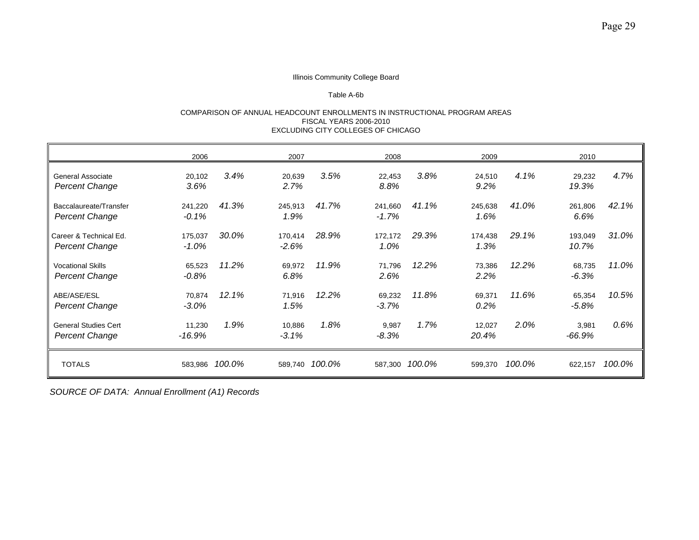#### Table A-6b

#### COMPARISON OF ANNUAL HEADCOUNT ENROLLMENTS IN INSTRUCTIONAL PROGRAM AREAS FISCAL YEARS 2006-2010 EXCLUDING CITY COLLEGES OF CHICAGO

|                                                      | 2006                |         | 2007                |                | 2008               |                | 2009              |        | 2010             |        |
|------------------------------------------------------|---------------------|---------|---------------------|----------------|--------------------|----------------|-------------------|--------|------------------|--------|
| General Associate<br><b>Percent Change</b>           | 20,102<br>3.6%      | $3.4\%$ | 20,639<br>2.7%      | 3.5%           | 22,453<br>8.8%     | 3.8%           | 24,510<br>9.2%    | 4.1%   | 29,232<br>19.3%  | 4.7%   |
| Baccalaureate/Transfer<br>Percent Change             | 241,220<br>$-0.1\%$ | 41.3%   | 245,913<br>1.9%     | 41.7%          | 241,660<br>$-1.7%$ | 41.1%          | 245,638<br>1.6%   | 41.0%  | 261,806<br>6.6%  | 42.1%  |
| Career & Technical Ed.<br><b>Percent Change</b>      | 175,037<br>-1.0%    | 30.0%   | 170,414<br>$-2.6\%$ | 28.9%          | 172.172<br>1.0%    | 29.3%          | 174,438<br>1.3%   | 29.1%  | 193,049<br>10.7% | 31.0%  |
| <b>Vocational Skills</b><br>Percent Change           | 65,523<br>$-0.8\%$  | 11.2%   | 69,972<br>6.8%      | 11.9%          | 71,796<br>2.6%     | 12.2%          | 73,386<br>2.2%    | 12.2%  | 68,735<br>-6.3%  | 11.0%  |
| ABE/ASE/ESL<br><b>Percent Change</b>                 | 70,874<br>$-3.0%$   | 12.1%   | 71,916<br>1.5%      | 12.2%          | 69,232<br>$-3.7\%$ | 11.8%          | 69,371<br>$0.2\%$ | 11.6%  | 65,354<br>-5.8%  | 10.5%  |
| <b>General Studies Cert</b><br><b>Percent Change</b> | 11,230<br>-16.9%    | 1.9%    | 10,886<br>$-3.1%$   | 1.8%           | 9,987<br>-8.3%     | 1.7%           | 12,027<br>20.4%   | 2.0%   | 3,981<br>-66.9%  | 0.6%   |
| <b>TOTALS</b>                                        | 583,986             | 100.0%  |                     | 589,740 100.0% |                    | 587,300 100.0% | 599,370           | 100.0% | 622,157          | 100.0% |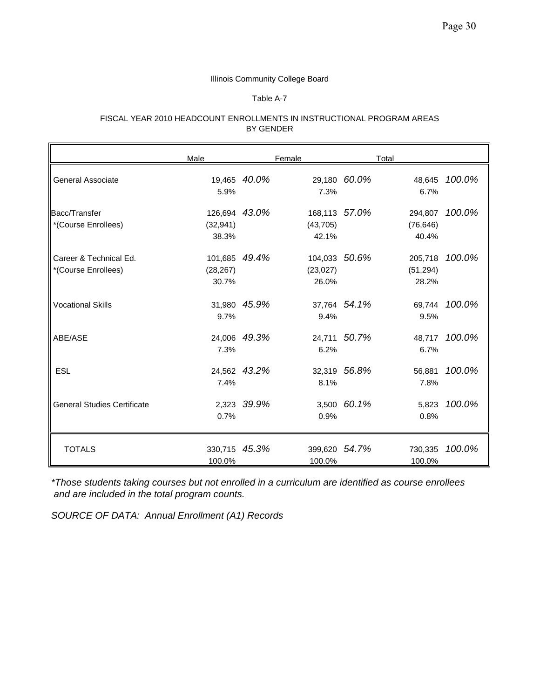Table A-7

#### FISCAL YEAR 2010 HEADCOUNT ENROLLMENTS IN INSTRUCTIONAL PROGRAM AREAS BY GENDER

|                                               | Male                                |              | Female                              |              | Total                         |        |
|-----------------------------------------------|-------------------------------------|--------------|-------------------------------------|--------------|-------------------------------|--------|
| <b>General Associate</b>                      | 5.9%                                | 19,465 40.0% | 7.3%                                | 29,180 60.0% | 48,645<br>6.7%                | 100.0% |
| Bacc/Transfer<br>*(Course Enrollees)          | 126,694 43.0%<br>(32, 941)<br>38.3% |              | 168,113 57.0%<br>(43, 705)<br>42.1% |              | 294,807<br>(76, 646)<br>40.4% | 100.0% |
| Career & Technical Ed.<br>*(Course Enrollees) | 101,685<br>(28, 267)<br>30.7%       | 49.4%        | 104,033 50.6%<br>(23, 027)<br>26.0% |              | 205,718<br>(51, 294)<br>28.2% | 100.0% |
| <b>Vocational Skills</b>                      | 9.7%                                | 31,980 45.9% | 9.4%                                | 37,764 54.1% | 69.744<br>9.5%                | 100.0% |
| ABE/ASE                                       | 7.3%                                | 24,006 49.3% | 6.2%                                | 24,711 50.7% | 48,717<br>6.7%                | 100.0% |
| <b>ESL</b>                                    | 7.4%                                | 24,562 43.2% | 8.1%                                | 32,319 56.8% | 56,881<br>7.8%                | 100.0% |
| <b>General Studies Certificate</b>            | 0.7%                                | 2,323 39.9%  | 0.9%                                | 3,500 60.1%  | 5,823<br>0.8%                 | 100.0% |
| <b>TOTALS</b>                                 | 330,715 45.3%<br>100.0%             |              | 399,620 54.7%<br>100.0%             |              | 730,335<br>100.0%             | 100.0% |

*\*Those students taking courses but not enrolled in a curriculum are identified as course enrollees and are included in the total program counts.*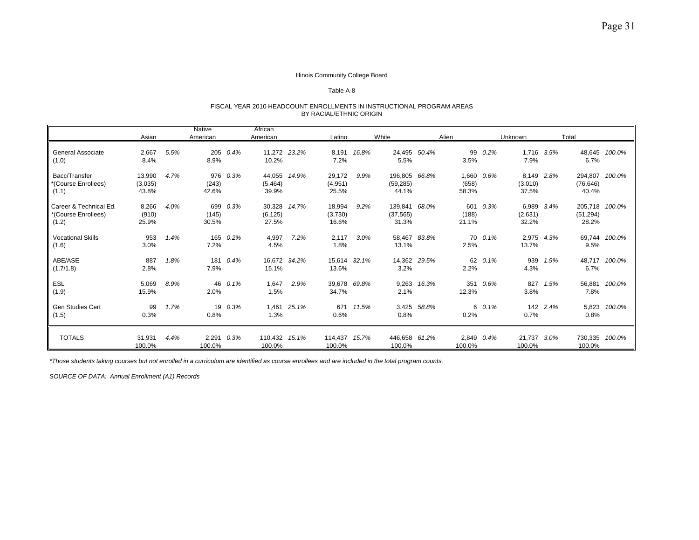#### Table A-8

#### FISCAL YEAR 2010 HEADCOUNT ENROLLMENTS IN INSTRUCTIONAL PROGRAM AREAS BY RACIAL/ETHNIC ORIGIN

|                                                        |                            |      | <b>Native</b>        |          | African                     |             |                            |       |                                     |             |                              |          |                                |          |                                      |               |
|--------------------------------------------------------|----------------------------|------|----------------------|----------|-----------------------------|-------------|----------------------------|-------|-------------------------------------|-------------|------------------------------|----------|--------------------------------|----------|--------------------------------------|---------------|
|                                                        | Asian                      |      | American             |          | American                    |             | Latino                     |       | White                               |             | Alien                        |          | Unknown                        | Total    |                                      |               |
| <b>General Associate</b><br>(1.0)                      | 2,667<br>8.4%              | 5.5% | 8.9%                 | 205 0.4% | 11,272 23.2%<br>10.2%       |             | 8,191<br>7.2%              | 16.8% | 24,495 50.4%<br>5.5%                |             | 99<br>3.5%                   | $0.2\%$  | 1,716 3.5%<br>7.9%             |          | 6.7%                                 | 48,645 100.0% |
| Bacc/Transfer<br>*(Course Enrollees)<br>(1.1)          | 13,990<br>(3,035)<br>43.8% | 4.7% | (243)<br>42.6%       | 976 0.3% | 44,055<br>(5, 464)<br>39.9% | 14.9%       | 29,172<br>(4,951)<br>25.5% | 9.9%  | 196,805 66.8%<br>(59, 285)<br>44.1% |             | 1,660 0.6%<br>(658)<br>58.3% |          | 8,149 2.8%<br>(3,010)<br>37.5% |          | 294,807 100.0%<br>(76, 646)<br>40.4% |               |
| Career & Technical Ed.<br>*(Course Enrollees)<br>(1.2) | 8,266<br>(910)<br>25.9%    | 4.0% | (145)<br>30.5%       | 699 0.3% | 30,328<br>(6, 125)<br>27.5% | 14.7%       | 18,994<br>(3,730)<br>16.6% | 9.2%  | 139,841 68.0%<br>(37, 565)<br>31.3% |             | (188)<br>21.1%               | 601 0.3% | 6,989 3.4%<br>(2,631)<br>32.2% |          | 205,718 100.0%<br>(51, 294)<br>28.2% |               |
| <b>Vocational Skills</b><br>(1.6)                      | 953<br>3.0%                | 1.4% | 165<br>7.2%          | 0.2%     | 4,997<br>4.5%               | 7.2%        | 2.117<br>1.8%              | 3.0%  | 58,467 83.8%<br>13.1%               |             | 2.5%                         | 70 0.1%  | 2,975 4.3%<br>13.7%            |          | 9.5%                                 | 69,744 100.0% |
| ABE/ASE<br>(1.7/1.8)                                   | 887<br>2.8%                | 1.8% | 181<br>7.9%          | 0.4%     | 16,672 34.2%<br>15.1%       |             | 15,614 32.1%<br>13.6%      |       | 14,362 29.5%<br>3.2%                |             | 2.2%                         | 62 0.1%  | 939<br>4.3%                    | 1.9%     | 6.7%                                 | 48,717 100.0% |
| <b>ESL</b><br>(1.9)                                    | 5,069<br>15.9%             | 8.9% | 2.0%                 | 46 0.1%  | 1.647<br>1.5%               | 2.9%        | 39.678 69.8%<br>34.7%      |       | 2.1%                                | 9.263 16.3% | 12.3%                        | 351 0.6% | 827<br>3.8%                    | 1.5%     | 7.8%                                 | 56.881 100.0% |
| Gen Studies Cert<br>(1.5)                              | 99<br>0.3%                 | 1.7% | 0.8%                 | 19 0.3%  | 1.3%                        | 1,461 25.1% | 671<br>0.6%                | 11.5% | 0.8%                                | 3,425 58.8% | 0.2%                         | 6 0.1%   | 0.7%                           | 142 2.4% | 0.8%                                 | 5,823 100.0%  |
| <b>TOTALS</b>                                          | 31,931<br>100.0%           | 4.4% | 2,291 0.3%<br>100.0% |          | 110,432 15.1%<br>100.0%     |             | 114,437 15.7%<br>100.0%    |       | 446,658 61.2%<br>100.0%             |             | 2,849 0.4%<br>100.0%         |          | 21,737 3.0%<br>100.0%          |          | 730,335 100.0%<br>100.0%             |               |

*\*Those students taking courses but not enrolled in a curriculum are identified as course enrollees and are included in the total program counts.*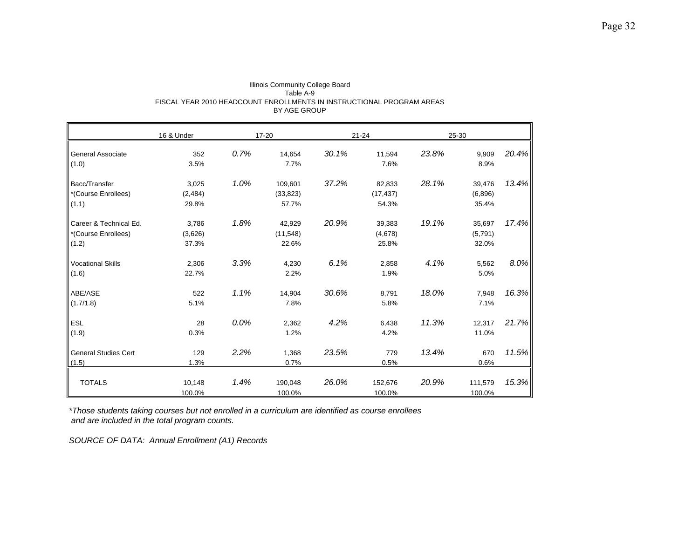|                             | 16 & Under |      | 17-20     |       | $21 - 24$ |       | 25-30   |       |
|-----------------------------|------------|------|-----------|-------|-----------|-------|---------|-------|
| General Associate           | 352        | 0.7% | 14,654    | 30.1% | 11,594    | 23.8% | 9,909   | 20.4% |
| (1.0)                       | 3.5%       |      | 7.7%      |       | 7.6%      |       | 8.9%    |       |
| Bacc/Transfer               | 3,025      | 1.0% | 109,601   | 37.2% | 82,833    | 28.1% | 39,476  | 13.4% |
| *(Course Enrollees)         | (2, 484)   |      | (33, 823) |       | (17, 437) |       | (6,896) |       |
| (1.1)                       | 29.8%      |      | 57.7%     |       | 54.3%     |       | 35.4%   |       |
| Career & Technical Ed.      | 3,786      | 1.8% | 42,929    | 20.9% | 39,383    | 19.1% | 35,697  | 17.4% |
| *(Course Enrollees)         | (3,626)    |      | (11,548)  |       | (4,678)   |       | (5,791) |       |
| (1.2)                       | 37.3%      |      | 22.6%     |       | 25.8%     |       | 32.0%   |       |
| <b>Vocational Skills</b>    | 2,306      | 3.3% | 4,230     | 6.1%  | 2,858     | 4.1%  | 5,562   | 8.0%  |
| (1.6)                       | 22.7%      |      | 2.2%      |       | 1.9%      |       | 5.0%    |       |
| ABE/ASE                     | 522        | 1.1% | 14,904    | 30.6% | 8,791     | 18.0% | 7,948   | 16.3% |
| (1.7/1.8)                   | 5.1%       |      | 7.8%      |       | 5.8%      |       | 7.1%    |       |
| <b>ESL</b>                  | 28         | 0.0% | 2,362     | 4.2%  | 6,438     | 11.3% | 12,317  | 21.7% |
| (1.9)                       | 0.3%       |      | 1.2%      |       | 4.2%      |       | 11.0%   |       |
| <b>General Studies Cert</b> | 129        | 2.2% | 1,368     | 23.5% | 779       | 13.4% | 670     | 11.5% |
| (1.5)                       | 1.3%       |      | 0.7%      |       | 0.5%      |       | 0.6%    |       |
| <b>TOTALS</b>               | 10,148     | 1.4% | 190,048   | 26.0% | 152,676   | 20.9% | 111,579 | 15.3% |
|                             | 100.0%     |      | 100.0%    |       | 100.0%    |       | 100.0%  |       |

#### Illinois Community College Board Table A-9 FISCAL YEAR 2010 HEADCOUNT ENROLLMENTS IN INSTRUCTIONAL PROGRAM AREAS BY AGE GROUP

*\*Those students taking courses but not enrolled in a curriculum are identified as course enrollees and are included in the total program counts.*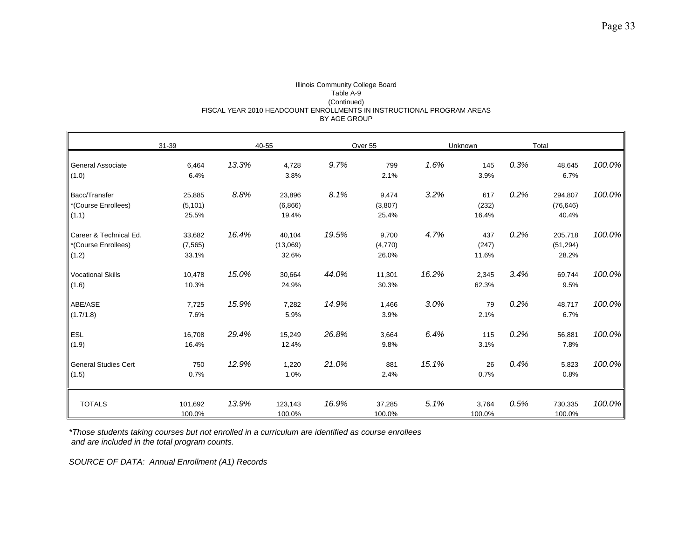#### Illinois Community College Board Table A-9 (Continued) FISCAL YEAR 2010 HEADCOUNT ENROLLMENTS IN INSTRUCTIONAL PROGRAM AREAS BY AGE GROUP

|                                                        | $31 - 39$                   |       | 40-55                       |       | Over 55                   |       | Unknown               |      | Total                         |        |
|--------------------------------------------------------|-----------------------------|-------|-----------------------------|-------|---------------------------|-------|-----------------------|------|-------------------------------|--------|
| <b>General Associate</b><br>(1.0)                      | 6,464<br>6.4%               | 13.3% | 4,728<br>3.8%               | 9.7%  | 799<br>2.1%               | 1.6%  | 145<br>3.9%           | 0.3% | 48,645<br>6.7%                | 100.0% |
| Bacc/Transfer<br>*(Course Enrollees)<br>(1.1)          | 25,885<br>(5, 101)<br>25.5% | 8.8%  | 23,896<br>(6,866)<br>19.4%  | 8.1%  | 9,474<br>(3,807)<br>25.4% | 3.2%  | 617<br>(232)<br>16.4% | 0.2% | 294,807<br>(76, 646)<br>40.4% | 100.0% |
| Career & Technical Ed.<br>*(Course Enrollees)<br>(1.2) | 33,682<br>(7, 565)<br>33.1% | 16.4% | 40,104<br>(13,069)<br>32.6% | 19.5% | 9,700<br>(4,770)<br>26.0% | 4.7%  | 437<br>(247)<br>11.6% | 0.2% | 205,718<br>(51, 294)<br>28.2% | 100.0% |
| <b>Vocational Skills</b><br>(1.6)                      | 10,478<br>10.3%             | 15.0% | 30,664<br>24.9%             | 44.0% | 11,301<br>30.3%           | 16.2% | 2,345<br>62.3%        | 3.4% | 69,744<br>9.5%                | 100.0% |
| ABE/ASE<br>(1.7/1.8)                                   | 7,725<br>7.6%               | 15.9% | 7,282<br>5.9%               | 14.9% | 1,466<br>3.9%             | 3.0%  | 79<br>2.1%            | 0.2% | 48,717<br>6.7%                | 100.0% |
| ESL<br>(1.9)                                           | 16,708<br>16.4%             | 29.4% | 15,249<br>12.4%             | 26.8% | 3,664<br>9.8%             | 6.4%  | 115<br>3.1%           | 0.2% | 56,881<br>7.8%                | 100.0% |
| <b>General Studies Cert</b><br>(1.5)                   | 750<br>0.7%                 | 12.9% | 1,220<br>1.0%               | 21.0% | 881<br>2.4%               | 15.1% | 26<br>0.7%            | 0.4% | 5,823<br>0.8%                 | 100.0% |
| <b>TOTALS</b>                                          | 101,692<br>100.0%           | 13.9% | 123,143<br>100.0%           | 16.9% | 37,285<br>100.0%          | 5.1%  | 3,764<br>100.0%       | 0.5% | 730,335<br>100.0%             | 100.0% |

*\*Those students taking courses but not enrolled in a curriculum are identified as course enrollees and are included in the total program counts.*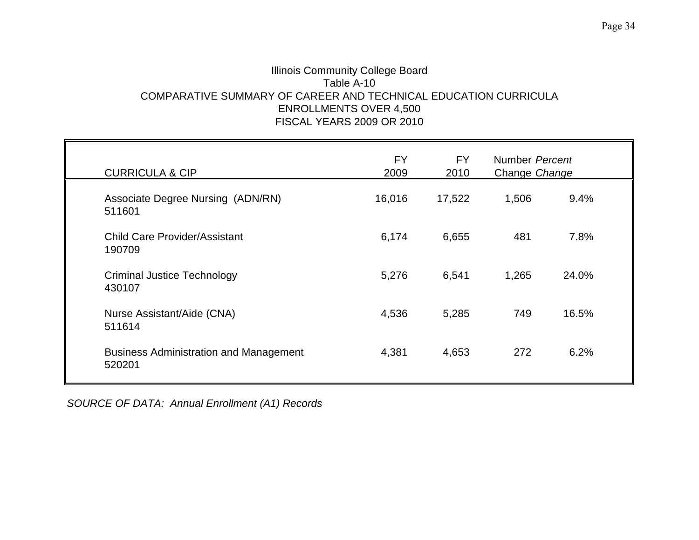## Illinois Community College Board Table A-10 COMPARATIVE SUMMARY OF CAREER AND TECHNICAL EDUCATION CURRICULA ENROLLMENTS OVER 4,500 FISCAL YEARS 2009 OR 2010

| <b>CURRICULA &amp; CIP</b>                              | <b>FY</b><br>2009 | <b>FY</b><br>2010 | Number Percent<br>Change Change |       |  |
|---------------------------------------------------------|-------------------|-------------------|---------------------------------|-------|--|
| Associate Degree Nursing (ADN/RN)<br>511601             | 16,016            | 17,522            | 1,506                           | 9.4%  |  |
| <b>Child Care Provider/Assistant</b><br>190709          | 6,174             | 6,655             | 481                             | 7.8%  |  |
| <b>Criminal Justice Technology</b><br>430107            | 5,276             | 6,541             | 1,265                           | 24.0% |  |
| Nurse Assistant/Aide (CNA)<br>511614                    | 4,536             | 5,285             | 749                             | 16.5% |  |
| <b>Business Administration and Management</b><br>520201 | 4,381             | 4,653             | 272                             | 6.2%  |  |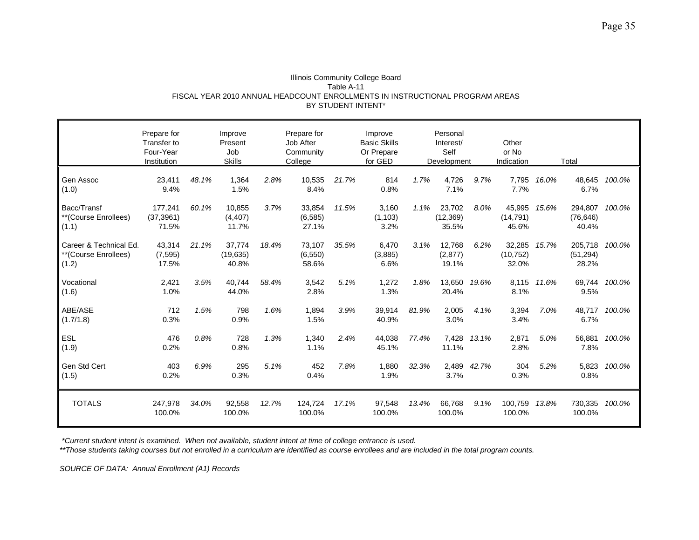| Illinois Community College Board                                             |
|------------------------------------------------------------------------------|
| Table A-11                                                                   |
| FISCAL YEAR 2010 ANNUAL HEADCOUNT ENROLLMENTS IN INSTRUCTIONAL PROGRAM AREAS |
| BY STUDENT INTENT*                                                           |

|                                                         | Prepare for<br>Transfer to<br>Four-Year<br>Institution |       | Improve<br>Present<br>Job<br><b>Skills</b> |       | Prepare for<br>Job After<br>Community<br>College |       | Improve<br><b>Basic Skills</b><br>Or Prepare<br>for GED |       | Personal<br>Interest/<br>Self<br>Development |       | Other<br>or No<br>Indication |             | Total                         |        |
|---------------------------------------------------------|--------------------------------------------------------|-------|--------------------------------------------|-------|--------------------------------------------------|-------|---------------------------------------------------------|-------|----------------------------------------------|-------|------------------------------|-------------|-------------------------------|--------|
| Gen Assoc<br>(1.0)                                      | 23,411<br>9.4%                                         | 48.1% | 1,364<br>1.5%                              | 2.8%  | 10,535<br>8.4%                                   | 21.7% | 814<br>0.8%                                             | 1.7%  | 4,726<br>7.1%                                | 9.7%  | 7,795<br>7.7%                | 16.0%       | 48,645<br>6.7%                | 100.0% |
| Bacc/Transf<br>**(Course Enrollees)<br>(1.1)            | 177,241<br>(37, 3961)<br>71.5%                         | 60.1% | 10,855<br>(4, 407)<br>11.7%                | 3.7%  | 33,854<br>(6, 585)<br>27.1%                      | 11.5% | 3,160<br>(1, 103)<br>3.2%                               | 1.1%  | 23,702<br>(12, 369)<br>35.5%                 | 8.0%  | 45,995<br>(14, 791)<br>45.6% | 15.6%       | 294,807<br>(76, 646)<br>40.4% | 100.0% |
| Career & Technical Ed.<br>**(Course Enrollees)<br>(1.2) | 43,314<br>(7, 595)<br>17.5%                            | 21.1% | 37,774<br>(19,635)<br>40.8%                | 18.4% | 73,107<br>(6, 550)<br>58.6%                      | 35.5% | 6,470<br>(3,885)<br>6.6%                                | 3.1%  | 12,768<br>(2, 877)<br>19.1%                  | 6.2%  | 32,285<br>(10, 752)<br>32.0% | 15.7%       | 205,718<br>(51, 294)<br>28.2% | 100.0% |
| Vocational<br>(1.6)                                     | 2,421<br>1.0%                                          | 3.5%  | 40,744<br>44.0%                            | 58.4% | 3,542<br>2.8%                                    | 5.1%  | 1,272<br>1.3%                                           | 1.8%  | 13,650<br>20.4%                              | 19.6% | 8.1%                         | 8,115 11.6% | 69,744<br>9.5%                | 100.0% |
| ABE/ASE<br>(1.7/1.8)                                    | 712<br>0.3%                                            | 1.5%  | 798<br>0.9%                                | 1.6%  | 1,894<br>1.5%                                    | 3.9%  | 39,914<br>40.9%                                         | 81.9% | 2,005<br>3.0%                                | 4.1%  | 3,394<br>3.4%                | 7.0%        | 48,717<br>6.7%                | 100.0% |
| <b>ESL</b><br>(1.9)                                     | 476<br>0.2%                                            | 0.8%  | 728<br>0.8%                                | 1.3%  | 1,340<br>1.1%                                    | 2.4%  | 44,038<br>45.1%                                         | 77.4% | 7,428<br>11.1%                               | 13.1% | 2,871<br>2.8%                | 5.0%        | 56,881<br>7.8%                | 100.0% |
| Gen Std Cert<br>(1.5)                                   | 403<br>0.2%                                            | 6.9%  | 295<br>0.3%                                | 5.1%  | 452<br>0.4%                                      | 7.8%  | 1,880<br>1.9%                                           | 32.3% | 2,489<br>3.7%                                | 42.7% | 304<br>0.3%                  | 5.2%        | 5,823<br>0.8%                 | 100.0% |
| <b>TOTALS</b>                                           | 247,978<br>100.0%                                      | 34.0% | 92,558<br>100.0%                           | 12.7% | 124,724<br>100.0%                                | 17.1% | 97,548<br>100.0%                                        | 13.4% | 66,768<br>100.0%                             | 9.1%  | 100,759<br>100.0%            | 13.8%       | 730,335<br>100.0%             | 100.0% |

 *\*Current student intent is examined. When not available, student intent at time of college entrance is used.*

*\*\*Those students taking courses but not enrolled in a curriculum are identified as course enrollees and are included in the total program counts.*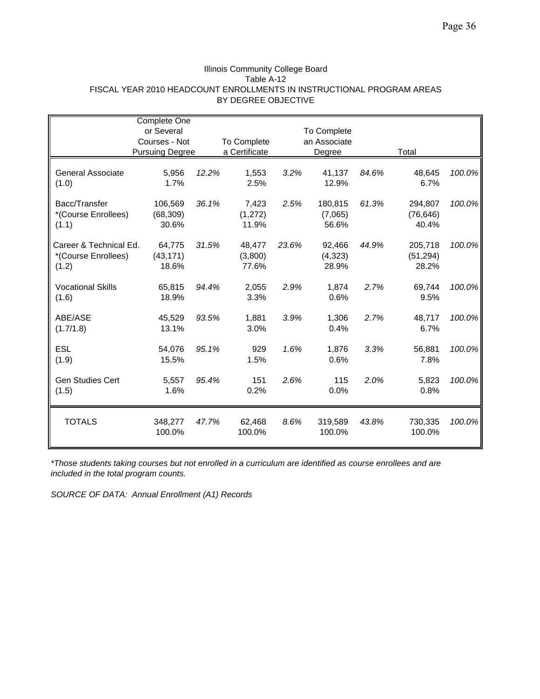#### Illinois Community College Board Table A-12 FISCAL YEAR 2010 HEADCOUNT ENROLLMENTS IN INSTRUCTIONAL PROGRAM AREAS BY DEGREE OBJECTIVE

|                                                        | <b>Complete One</b>                     |       |                              |       |                             |       |                               |        |  |
|--------------------------------------------------------|-----------------------------------------|-------|------------------------------|-------|-----------------------------|-------|-------------------------------|--------|--|
|                                                        | or Several                              |       |                              |       | <b>To Complete</b>          |       |                               |        |  |
|                                                        | Courses - Not<br><b>Pursuing Degree</b> |       | To Complete<br>a Certificate |       | an Associate<br>Degree      |       | Total                         |        |  |
|                                                        |                                         |       |                              |       |                             |       |                               |        |  |
| General Associate<br>(1.0)                             | 5,956<br>1.7%                           | 12.2% | 1,553<br>2.5%                | 3.2%  | 41,137<br>12.9%             | 84.6% | 48,645<br>6.7%                | 100.0% |  |
| Bacc/Transfer<br>*(Course Enrollees)<br>(1.1)          | 106,569<br>(68, 309)<br>30.6%           | 36.1% | 7,423<br>(1,272)<br>11.9%    | 2.5%  | 180,815<br>(7,065)<br>56.6% | 61.3% | 294,807<br>(76, 646)<br>40.4% | 100.0% |  |
| Career & Technical Ed.<br>*(Course Enrollees)<br>(1.2) | 64,775<br>(43, 171)<br>18.6%            | 31.5% | 48,477<br>(3,800)<br>77.6%   | 23.6% | 92,466<br>(4, 323)<br>28.9% | 44.9% | 205,718<br>(51, 294)<br>28.2% | 100.0% |  |
| <b>Vocational Skills</b><br>(1.6)                      | 65,815<br>18.9%                         | 94.4% | 2,055<br>3.3%                | 2.9%  | 1,874<br>0.6%               | 2.7%  | 69,744<br>9.5%                | 100.0% |  |
| ABE/ASE<br>(1.7/1.8)                                   | 45,529<br>13.1%                         | 93.5% | 1,881<br>3.0%                | 3.9%  | 1,306<br>0.4%               | 2.7%  | 48,717<br>6.7%                | 100.0% |  |
| <b>ESL</b><br>(1.9)                                    | 54,076<br>15.5%                         | 95.1% | 929<br>1.5%                  | 1.6%  | 1,876<br>0.6%               | 3.3%  | 56,881<br>7.8%                | 100.0% |  |
| <b>Gen Studies Cert</b><br>(1.5)                       | 5,557<br>1.6%                           | 95.4% | 151<br>0.2%                  | 2.6%  | 115<br>0.0%                 | 2.0%  | 5,823<br>0.8%                 | 100.0% |  |
| <b>TOTALS</b>                                          | 348,277<br>100.0%                       | 47.7% | 62,468<br>100.0%             | 8.6%  | 319,589<br>100.0%           | 43.8% | 730,335<br>100.0%             | 100.0% |  |

*\*Those students taking courses but not enrolled in a curriculum are identified as course enrollees and are included in the total program counts.*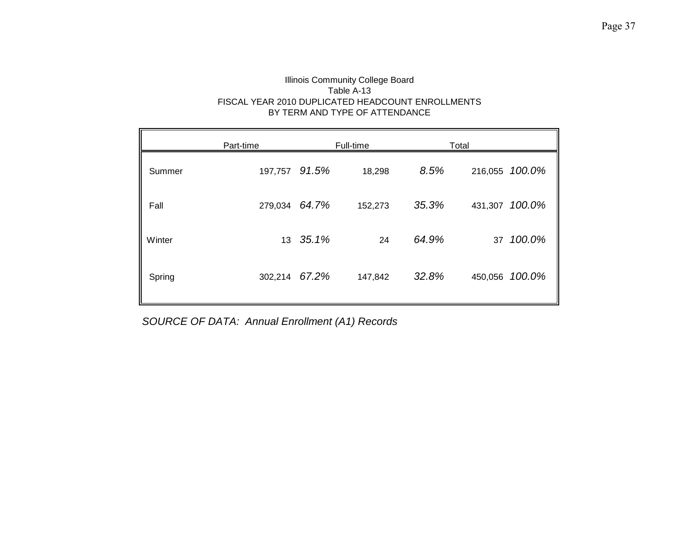### Illinois Community College Board Table A-13 FISCAL YEAR 2010 DUPLICATED HEADCOUNT ENROLLMENTS BY TERM AND TYPE OF ATTENDANCE

|        | Part-time        |       | Full-time |       | Total   |                |  |
|--------|------------------|-------|-----------|-------|---------|----------------|--|
| Summer | 197,757 91.5%    |       | 18,298    | 8.5%  | 216,055 | 100.0%         |  |
| Fall   | 279,034 64.7%    |       | 152,273   | 35.3% | 431,307 | 100.0%         |  |
| Winter | 13 <sup>13</sup> | 35.1% | 24        | 64.9% | 37      | 100.0%         |  |
| Spring | 302,214 67.2%    |       | 147,842   | 32.8% |         | 450,056 100.0% |  |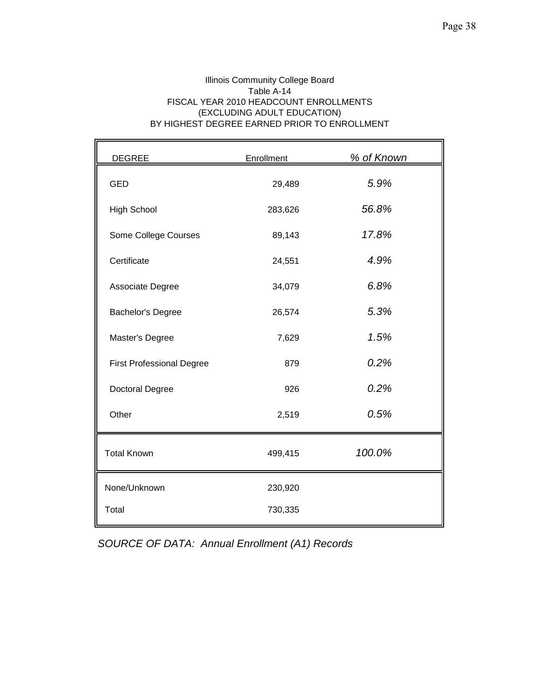Ŧ.

### Illinois Community College Board Table A-14 FISCAL YEAR 2010 HEADCOUNT ENROLLMENTS (EXCLUDING ADULT EDUCATION) BY HIGHEST DEGREE EARNED PRIOR TO ENROLLMENT

| <b>DEGREE</b>                    | Enrollment | % of Known |
|----------------------------------|------------|------------|
| <b>GED</b>                       | 29,489     | 5.9%       |
| <b>High School</b>               | 283,626    | 56.8%      |
| Some College Courses             | 89,143     | 17.8%      |
| Certificate                      | 24,551     | 4.9%       |
| Associate Degree                 | 34,079     | 6.8%       |
| <b>Bachelor's Degree</b>         | 26,574     | 5.3%       |
| Master's Degree                  | 7,629      | 1.5%       |
| <b>First Professional Degree</b> | 879        | 0.2%       |
| Doctoral Degree                  | 926        | 0.2%       |
| Other                            | 2,519      | 0.5%       |
| <b>Total Known</b>               | 499,415    | 100.0%     |
| None/Unknown                     | 230,920    |            |
| Total                            | 730,335    |            |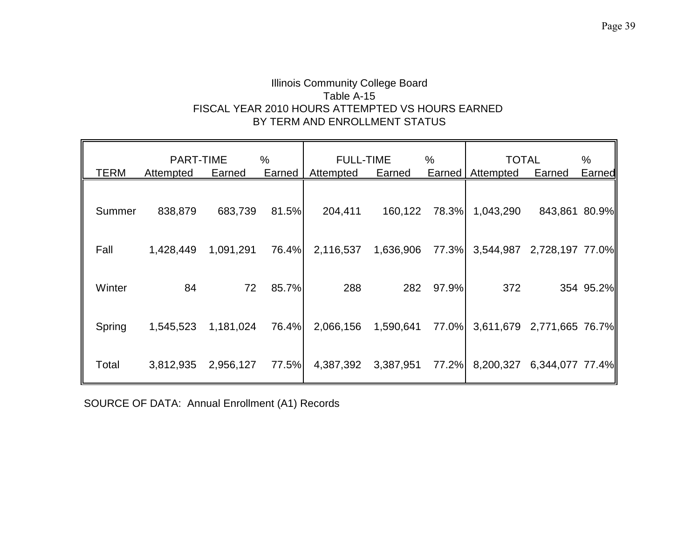## Illinois Community College Board Table A-15 FISCAL YEAR 2010 HOURS ATTEMPTED VS HOURS EARNED BY TERM AND ENROLLMENT STATUS

|             | <b>PART-TIME</b> |           | %      | <b>FULL-TIME</b>    |           | %      | <b>TOTAL</b>                    |               | %         |
|-------------|------------------|-----------|--------|---------------------|-----------|--------|---------------------------------|---------------|-----------|
| <b>TERM</b> | Attempted        | Earned    | Earned | Attempted           | Earned    | Earned | Attempted                       | Earned        | Earned    |
| Summer      | 838,879          | 683,739   | 81.5%  | 204,411             | 160,122   | 78.3%  | 1,043,290                       | 843,861 80.9% |           |
| Fall        | 1,428,449        | 1,091,291 | 76.4%  | 2,116,537           | 1,636,906 | 77.3%  | 3,544,987 2,728,197 77.0%       |               |           |
| Winter      | 84               | 72        | 85.7%  | 288                 | 282       | 97.9%  | 372                             |               | 354 95.2% |
| Spring      | 1,545,523        | 1,181,024 | 76.4%  | 2,066,156           | 1,590,641 | 77.0%  | 3,611,679 2,771,665 76.7%       |               |           |
| Total       | 3,812,935        | 2,956,127 | 77.5%  | 4,387,392 3,387,951 |           |        | 77.2% 8,200,327 6,344,077 77.4% |               |           |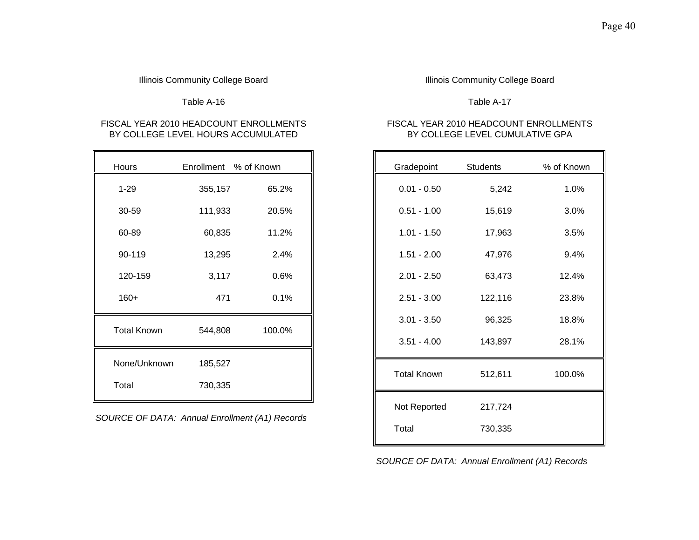Table A-16 Table A-17

# BY COLLEGE LEVEL HOURS ACCUMULATED

| Hours              |         | Enrollment % of Known |
|--------------------|---------|-----------------------|
| $1 - 29$           | 355,157 | 65.2%                 |
| 30-59              | 111,933 | 20.5%                 |
| 60-89              | 60,835  | 11.2%                 |
| 90-119             | 13,295  | 2.4%                  |
| 120-159            | 3,117   | 0.6%                  |
| $160+$             | 471     | 0.1%                  |
| <b>Total Known</b> | 544,808 | 100.0%                |
| None/Unknown       | 185,527 |                       |
| Total              | 730,335 |                       |

*SOURCE OF DATA: Annual Enrollment (A1) Records*

### Illinois Community College Board **Illinois Community College Board Illinois Community College Board**

# FISCAL YEAR 2010 HEADCOUNT ENROLLMENTS FISCAL YEAR 2010 HEADCOUNT ENROLLMENTS<br>BY COLLEGE LEVEL EVEL HOURS ACCUMULATED FOR THE RESERVENT OF A SERVEL CUMULATIVE GPA

| Hours              | Enrollment % of Known                               |        | Gradepoint         | Students | % of Known |
|--------------------|-----------------------------------------------------|--------|--------------------|----------|------------|
| $1 - 29$           | 355,157                                             | 65.2%  | $0.01 - 0.50$      | 5,242    | 1.0%       |
| 30-59              | 111,933                                             | 20.5%  | $0.51 - 1.00$      | 15,619   | 3.0%       |
| 60-89              | 60,835                                              | 11.2%  | $1.01 - 1.50$      | 17,963   | 3.5%       |
| 90-119             | 13,295                                              | 2.4%   | $1.51 - 2.00$      | 47,976   | 9.4%       |
| 120-159            | 3,117                                               | 0.6%   | $2.01 - 2.50$      | 63,473   | 12.4%      |
| $160+$             | 471                                                 | 0.1%   | $2.51 - 3.00$      | 122,116  | 23.8%      |
| <b>Total Known</b> | 544,808                                             | 100.0% | $3.01 - 3.50$      | 96,325   | 18.8%      |
|                    |                                                     |        | $3.51 - 4.00$      | 143,897  | 28.1%      |
| None/Unknown       | 185,527                                             |        | <b>Total Known</b> | 512,611  | 100.0%     |
| Total              | 730,335                                             |        |                    |          |            |
|                    | <b>IRCE OF DATA: Annual Enrollment (A1) Records</b> |        | Not Reported       | 217,724  |            |
|                    |                                                     |        | Total              | 730,335  |            |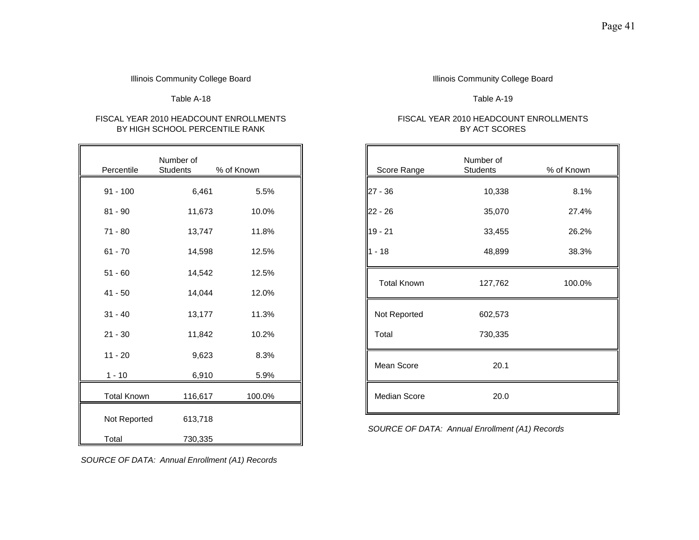## BY HIGH SCHOOL PERCENTILE RANK BY ACT SCORES

| Percentile         | Number of<br><b>Students</b> | % of Known |
|--------------------|------------------------------|------------|
| $91 - 100$         | 6,461                        | 5.5%       |
| $81 - 90$          | 11,673                       | 10.0%      |
| $71 - 80$          | 13,747                       | 11.8%      |
| $61 - 70$          | 14,598                       | 12.5%      |
| $51 - 60$          | 14,542                       | 12.5%      |
| $41 - 50$          | 14,044                       | 12.0%      |
| $31 - 40$          | 13,177                       | 11.3%      |
| $21 - 30$          | 11,842                       | 10.2%      |
| $11 - 20$          | 9,623                        | 8.3%       |
| $1 - 10$           | 6,910                        | 5.9%       |
| <b>Total Known</b> | 116,617                      | 100.0%     |
| Not Reported       | 613,718                      |            |
| Total              | 730,335                      |            |

### Illinois Community College Board **Illinois Community College Board Illinois Community College Board**

Table A-18 Table A-19

## FISCAL YEAR 2010 HEADCOUNT ENROLLMENTS FISCAL YEAR 2010 HEADCOUNT ENROLLMENTS

| Percentile         | Number of<br>Students | % of Known | Score Range        | Number of<br>Students | % of Known |
|--------------------|-----------------------|------------|--------------------|-----------------------|------------|
| $91 - 100$         | 6,461                 | 5.5%       | $27 - 36$          | 10,338                | 8.1%       |
| 81 - 90            | 11,673                | 10.0%      | $22 - 26$          | 35,070                | 27.4%      |
| $71 - 80$          | 13,747                | 11.8%      | $19 - 21$          | 33,455                | 26.2%      |
| $61 - 70$          | 14,598                | 12.5%      | $1 - 18$           | 48,899                | 38.3%      |
| $51 - 60$          | 14,542                | 12.5%      |                    |                       |            |
| $41 - 50$          | 14,044                | 12.0%      | <b>Total Known</b> | 127,762               | 100.0%     |
| $31 - 40$          | 13,177                | 11.3%      | Not Reported       | 602,573               |            |
| $21 - 30$          | 11,842                | 10.2%      | Total              | 730,335               |            |
| $11 - 20$          | 9,623                 | 8.3%       |                    |                       |            |
| 1 - 10             | 6,910                 | 5.9%       | Mean Score         | 20.1                  |            |
| <b>Total Known</b> | 116,617               | 100.0%     | Median Score       | 20.0                  |            |

*SOURCE OF DATA: Annual Enrollment (A1) Records*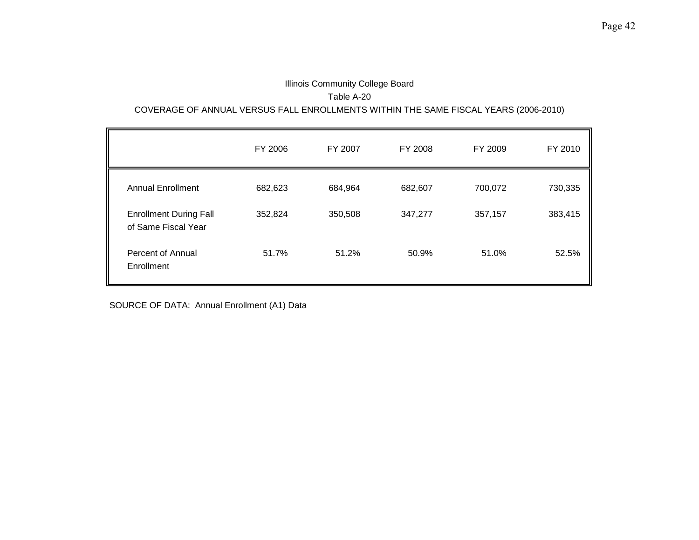## Illinois Community College Board Table A-20 COVERAGE OF ANNUAL VERSUS FALL ENROLLMENTS WITHIN THE SAME FISCAL YEARS (2006-2010)

|                                                      | FY 2006 | FY 2007 | FY 2008 | FY 2009 | FY 2010 |
|------------------------------------------------------|---------|---------|---------|---------|---------|
| <b>Annual Enrollment</b>                             | 682,623 | 684,964 | 682,607 | 700,072 | 730,335 |
| <b>Enrollment During Fall</b><br>of Same Fiscal Year | 352,824 | 350,508 | 347,277 | 357,157 | 383,415 |
| Percent of Annual<br>Enrollment                      | 51.7%   | 51.2%   | 50.9%   | 51.0%   | 52.5%   |

SOURCE OF DATA: Annual Enrollment (A1) Data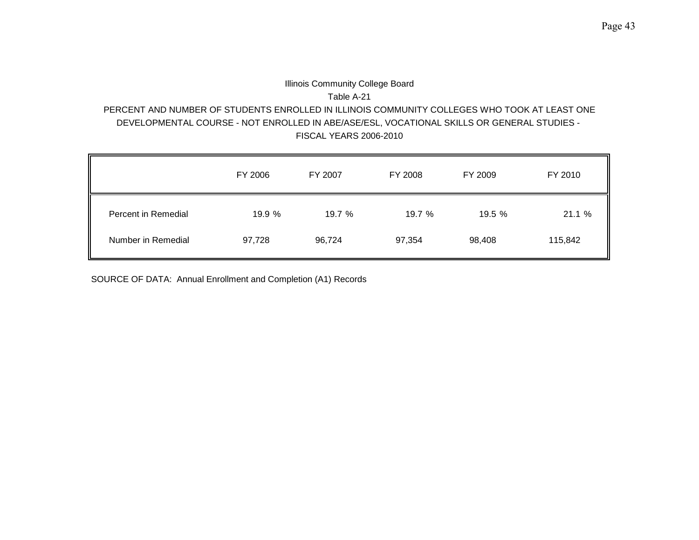## Illinois Community College Board Table A-21 PERCENT AND NUMBER OF STUDENTS ENROLLED IN ILLINOIS COMMUNITY COLLEGES WHO TOOK AT LEAST ONE DEVELOPMENTAL COURSE - NOT ENROLLED IN ABE/ASE/ESL, VOCATIONAL SKILLS OR GENERAL STUDIES - FISCAL YEARS 2006-2010

|                     | FY 2006 | FY 2007 | FY 2008 | FY 2009 | FY 2010 |
|---------------------|---------|---------|---------|---------|---------|
| Percent in Remedial | 19.9 %  | 19.7 %  | 19.7 %  | 19.5 %  | 21.1 %  |
| Number in Remedial  | 97,728  | 96,724  | 97,354  | 98,408  | 115,842 |

SOURCE OF DATA: Annual Enrollment and Completion (A1) Records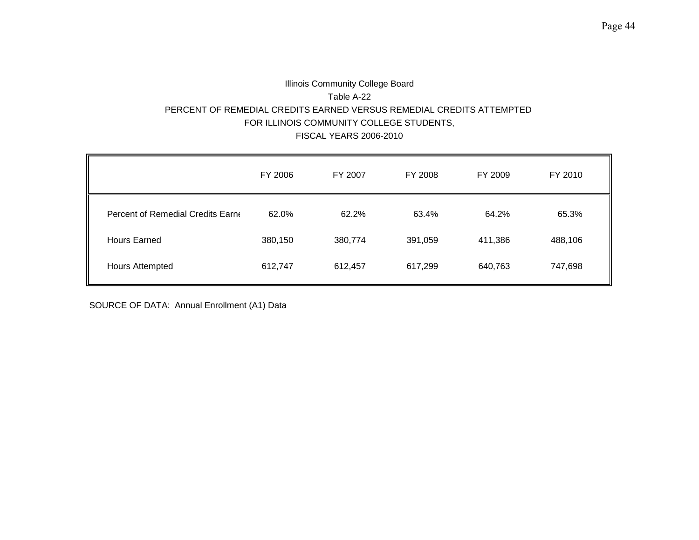## Illinois Community College Board Table A-22 PERCENT OF REMEDIAL CREDITS EARNED VERSUS REMEDIAL CREDITS ATTEMPTED FOR ILLINOIS COMMUNITY COLLEGE STUDENTS, FISCAL YEARS 2006-2010

|                                   | FY 2006 | FY 2007 | FY 2008 | FY 2009 | FY 2010 |
|-----------------------------------|---------|---------|---------|---------|---------|
| Percent of Remedial Credits Earne | 62.0%   | 62.2%   | 63.4%   | 64.2%   | 65.3%   |
| <b>Hours Earned</b>               | 380,150 | 380,774 | 391,059 | 411,386 | 488,106 |
| <b>Hours Attempted</b>            | 612,747 | 612,457 | 617,299 | 640,763 | 747,698 |

SOURCE OF DATA: Annual Enrollment (A1) Data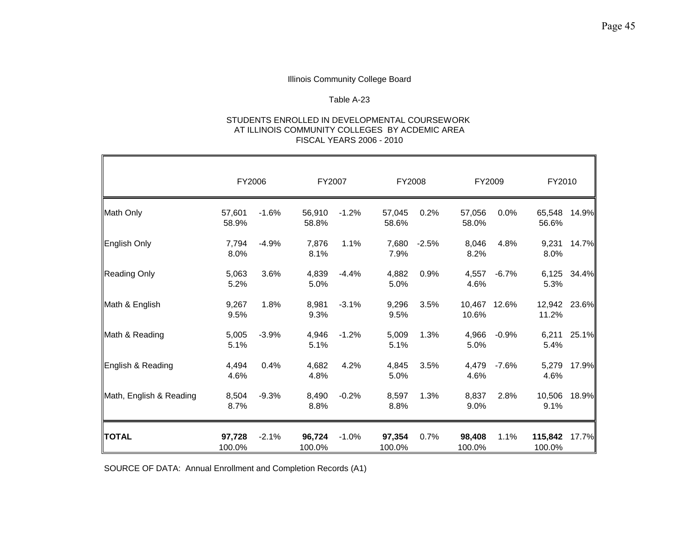### Table A-23

#### STUDENTS ENROLLED IN DEVELOPMENTAL COURSEWORK AT ILLINOIS COMMUNITY COLLEGES BY ACDEMIC AREA FISCAL YEARS 2006 - 2010

|                         | FY2006           |         | FY2007           |         | FY2008           |         | FY2009           |              | FY2010            |       |
|-------------------------|------------------|---------|------------------|---------|------------------|---------|------------------|--------------|-------------------|-------|
| Math Only               | 57,601<br>58.9%  | $-1.6%$ | 56,910<br>58.8%  | $-1.2%$ | 57,045<br>58.6%  | 0.2%    | 57,056<br>58.0%  | 0.0%         | 65,548<br>56.6%   | 14.9% |
| English Only            | 7,794<br>8.0%    | $-4.9%$ | 7,876<br>8.1%    | 1.1%    | 7,680<br>7.9%    | $-2.5%$ | 8,046<br>8.2%    | 4.8%         | 9,231<br>8.0%     | 14.7% |
| <b>Reading Only</b>     | 5,063<br>5.2%    | 3.6%    | 4,839<br>5.0%    | $-4.4%$ | 4,882<br>5.0%    | 0.9%    | 4,557<br>4.6%    | $-6.7%$      | 6,125<br>5.3%     | 34.4% |
| Math & English          | 9,267<br>9.5%    | 1.8%    | 8,981<br>9.3%    | $-3.1%$ | 9,296<br>9.5%    | 3.5%    | 10.6%            | 10,467 12.6% | 12,942<br>11.2%   | 23.6% |
| Math & Reading          | 5,005<br>5.1%    | $-3.9%$ | 4,946<br>5.1%    | $-1.2%$ | 5,009<br>5.1%    | 1.3%    | 4,966<br>5.0%    | $-0.9%$      | 6,211<br>5.4%     | 25.1% |
| English & Reading       | 4,494<br>4.6%    | 0.4%    | 4,682<br>4.8%    | 4.2%    | 4,845<br>5.0%    | 3.5%    | 4,479<br>4.6%    | $-7.6%$      | 5,279<br>4.6%     | 17.9% |
| Math, English & Reading | 8,504<br>8.7%    | $-9.3%$ | 8,490<br>8.8%    | $-0.2%$ | 8,597<br>8.8%    | 1.3%    | 8,837<br>9.0%    | 2.8%         | 10,506<br>9.1%    | 18.9% |
| <b>TOTAL</b>            | 97,728<br>100.0% | $-2.1%$ | 96,724<br>100.0% | $-1.0%$ | 97,354<br>100.0% | 0.7%    | 98,408<br>100.0% | 1.1%         | 115,842<br>100.0% | 17.7% |

SOURCE OF DATA: Annual Enrollment and Completion Records (A1)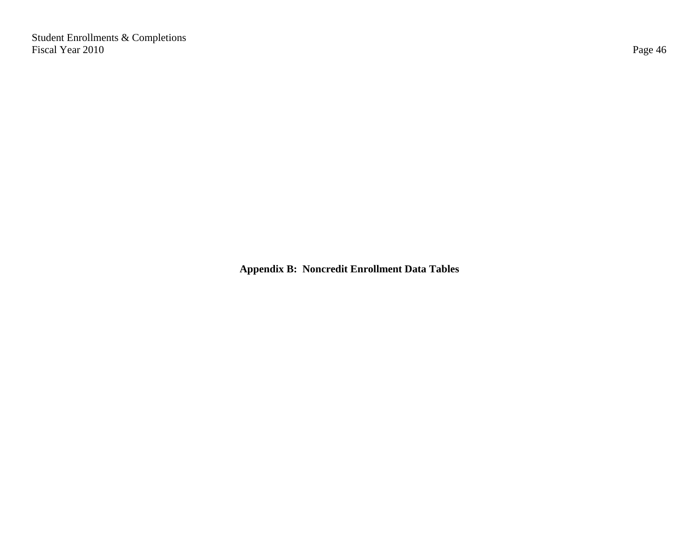Student Enrollments & Completions Fiscal Year 2010 Page 46

**Appendix B: Noncredit Enrollment Data Tables**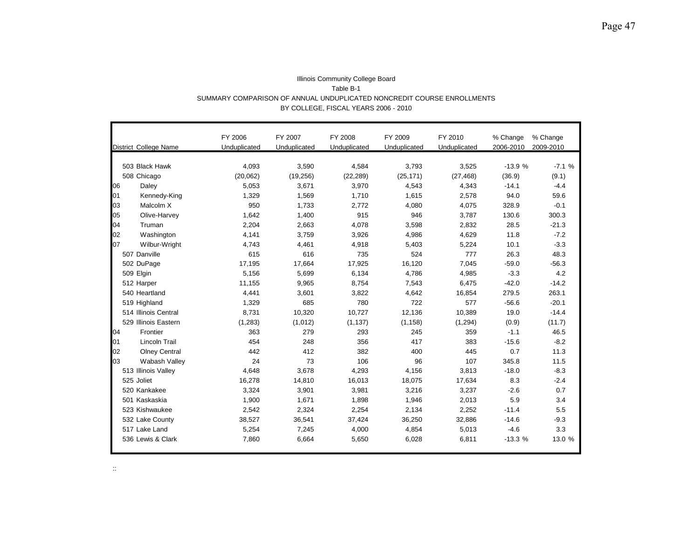|    |                              | FY 2006      | FY 2007      | FY 2008      | FY 2009      | FY 2010      | % Change  | % Change  |
|----|------------------------------|--------------|--------------|--------------|--------------|--------------|-----------|-----------|
|    | <b>District College Name</b> | Unduplicated | Unduplicated | Unduplicated | Unduplicated | Unduplicated | 2006-2010 | 2009-2010 |
|    |                              |              |              |              |              |              |           |           |
|    | 503 Black Hawk               | 4,093        | 3,590        | 4,584        | 3,793        | 3,525        | $-13.9%$  | $-7.1%$   |
|    | 508 Chicago                  | (20,062)     | (19, 256)    | (22, 289)    | (25, 171)    | (27, 468)    | (36.9)    | (9.1)     |
| 06 | Daley                        | 5,053        | 3,671        | 3,970        | 4,543        | 4,343        | $-14.1$   | $-4.4$    |
| 01 | Kennedy-King                 | 1,329        | 1,569        | 1.710        | 1.615        | 2,578        | 94.0      | 59.6      |
| 03 | Malcolm X                    | 950          | 1,733        | 2.772        | 4.080        | 4,075        | 328.9     | $-0.1$    |
| 05 | Olive-Harvey                 | 1,642        | 1,400        | 915          | 946          | 3,787        | 130.6     | 300.3     |
| 04 | Truman                       | 2,204        | 2,663        | 4,078        | 3,598        | 2,832        | 28.5      | $-21.3$   |
| 02 | Washington                   | 4,141        | 3,759        | 3,926        | 4,986        | 4,629        | 11.8      | $-7.2$    |
| 07 | Wilbur-Wright                | 4,743        | 4,461        | 4,918        | 5,403        | 5,224        | 10.1      | $-3.3$    |
|    | 507 Danville                 | 615          | 616          | 735          | 524          | 777          | 26.3      | 48.3      |
|    | 502 DuPage                   | 17,195       | 17,664       | 17,925       | 16,120       | 7,045        | $-59.0$   | $-56.3$   |
|    | 509 Elgin                    | 5,156        | 5,699        | 6,134        | 4,786        | 4,985        | $-3.3$    | 4.2       |
|    | 512 Harper                   | 11,155       | 9,965        | 8,754        | 7,543        | 6,475        | $-42.0$   | $-14.2$   |
|    | 540 Heartland                | 4,441        | 3,601        | 3,822        | 4,642        | 16,854       | 279.5     | 263.1     |
|    | 519 Highland                 | 1,329        | 685          | 780          | 722          | 577          | $-56.6$   | $-20.1$   |
|    | 514 Illinois Central         | 8,731        | 10,320       | 10,727       | 12,136       | 10,389       | 19.0      | $-14.4$   |
|    | 529 Illinois Eastern         | (1,283)      | (1,012)      | (1, 137)     | (1, 158)     | (1, 294)     | (0.9)     | (11.7)    |
| 04 | Frontier                     | 363          | 279          | 293          | 245          | 359          | $-1.1$    | 46.5      |
| 01 | <b>Lincoln Trail</b>         | 454          | 248          | 356          | 417          | 383          | $-15.6$   | $-8.2$    |
| 02 | <b>Olney Central</b>         | 442          | 412          | 382          | 400          | 445          | 0.7       | 11.3      |
| 03 | Wabash Valley                | 24           | 73           | 106          | 96           | 107          | 345.8     | 11.5      |
|    | 513 Illinois Valley          | 4,648        | 3,678        | 4,293        | 4,156        | 3,813        | $-18.0$   | $-8.3$    |
|    | 525 Joliet                   | 16,278       | 14,810       | 16,013       | 18,075       | 17,634       | 8.3       | $-2.4$    |
|    | 520 Kankakee                 | 3,324        | 3,901        | 3,981        | 3,216        | 3,237        | $-2.6$    | 0.7       |
|    | 501 Kaskaskia                | 1,900        | 1,671        | 1,898        | 1,946        | 2,013        | 5.9       | 3.4       |
|    | 523 Kishwaukee               | 2,542        | 2,324        | 2,254        | 2,134        | 2,252        | $-11.4$   | 5.5       |
|    | 532 Lake County              | 38,527       | 36,541       | 37,424       | 36,250       | 32,886       | $-14.6$   | $-9.3$    |
|    | 517 Lake Land                | 5,254        | 7,245        | 4,000        | 4,854        | 5,013        | $-4.6$    | 3.3       |
|    | 536 Lewis & Clark            | 7,860        | 6,664        | 5,650        | 6,028        | 6,811        | $-13.3%$  | 13.0 %    |

#### Illinois Community College Board Table B-1 SUMMARY COMPARISON OF ANNUAL UNDUPLICATED NONCREDIT COURSE ENROLLMENTS BY COLLEGE, FISCAL YEARS 2006 - 2010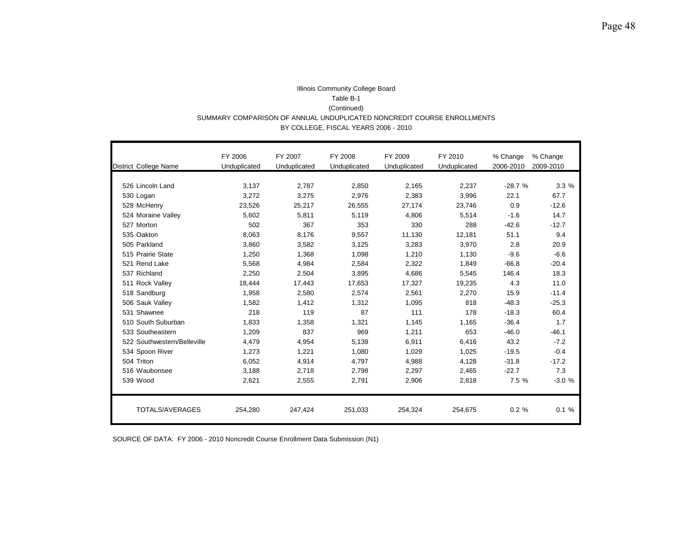#### Illinois Community College Board Table B-1 (Continued) SUMMARY COMPARISON OF ANNUAL UNDUPLICATED NONCREDIT COURSE ENROLLMENTS BY COLLEGE, FISCAL YEARS 2006 - 2010

|                              | FY 2006      | FY 2007      | FY 2008      | FY 2009      | FY 2010      | % Change  | % Change  |
|------------------------------|--------------|--------------|--------------|--------------|--------------|-----------|-----------|
| <b>District College Name</b> | Unduplicated | Unduplicated | Unduplicated | Unduplicated | Unduplicated | 2006-2010 | 2009-2010 |
|                              |              |              |              |              |              |           |           |
| 526 Lincoln Land             | 3.137        | 2,787        | 2,850        | 2,165        | 2,237        | $-28.7%$  | 3.3%      |
| 530 Logan                    | 3,272        | 3,275        | 2,976        | 2,383        | 3,996        | 22.1      | 67.7      |
| 528 McHenry                  | 23,526       | 25,217       | 26,555       | 27.174       | 23,746       | 0.9       | $-12.6$   |
| 524 Moraine Valley           | 5,602        | 5,811        | 5,119        | 4.806        | 5,514        | $-1.6$    | 14.7      |
| 527 Morton                   | 502          | 367          | 353          | 330          | 288          | $-42.6$   | $-12.7$   |
| 535 Oakton                   | 8.063        | 8.176        | 9.557        | 11.130       | 12.181       | 51.1      | 9.4       |
| 505 Parkland                 | 3,860        | 3,582        | 3,125        | 3,283        | 3,970        | 2.8       | 20.9      |
| 515 Prairie State            | 1.250        | 1.368        | 1.098        | 1.210        | 1.130        | $-9.6$    | $-6.6$    |
| 521 Rend Lake                | 5,568        | 4,984        | 2,584        | 2,322        | 1,849        | $-66.8$   | $-20.4$   |
| 537 Richland                 | 2,250        | 2,504        | 3,895        | 4,686        | 5,545        | 146.4     | 18.3      |
| 511 Rock Valley              | 18,444       | 17,443       | 17,653       | 17,327       | 19,235       | 4.3       | 11.0      |
| 518 Sandburg                 | 1,958        | 2.580        | 2.574        | 2.561        | 2,270        | 15.9      | $-11.4$   |
| 506 Sauk Valley              | 1.582        | 1.412        | 1.312        | 1,095        | 818          | $-48.3$   | $-25.3$   |
| 531 Shawnee                  | 218          | 119          | 87           | 111          | 178          | $-18.3$   | 60.4      |
| 510 South Suburban           | 1.833        | 1,358        | 1.321        | 1,145        | 1.165        | $-36.4$   | 1.7       |
| 533 Southeastern             | 1.209        | 837          | 969          | 1,211        | 653          | $-46.0$   | $-46.1$   |
| 522 Southwestern/Belleville  | 4,479        | 4,954        | 5.139        | 6.911        | 6,416        | 43.2      | $-7.2$    |
| 534 Spoon River              | 1,273        | 1,221        | 1,080        | 1,029        | 1,025        | $-19.5$   | $-0.4$    |
| 504 Triton                   | 6,052        | 4,914        | 4.797        | 4,988        | 4,128        | $-31.8$   | $-17.2$   |
| 516 Waubonsee                | 3,188        | 2,718        | 2,798        | 2,297        | 2,465        | $-22.7$   | 7.3       |
| 539 Wood                     | 2,621        | 2,555        | 2,791        | 2,906        | 2,818        | 7.5 %     | $-3.0%$   |
|                              |              |              |              |              |              |           |           |
| TOTALS/AVERAGES              | 254,280      | 247,424      | 251,033      | 254,324      | 254,675      | 0.2%      | 0.1%      |

SOURCE OF DATA: FY 2006 - 2010 Noncredit Course Enrollment Data Submission (N1)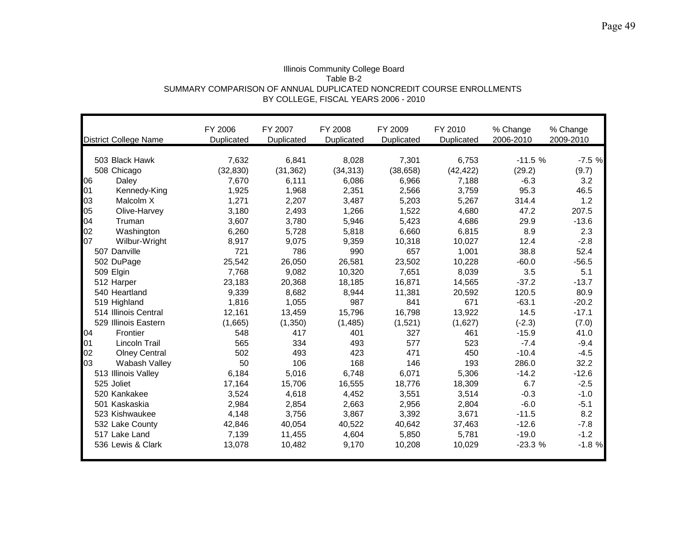| Illinois Community College Board                                     |
|----------------------------------------------------------------------|
| Table B-2                                                            |
| SUMMARY COMPARISON OF ANNUAL DUPLICATED NONCREDIT COURSE ENROLLMENTS |
| BY COLLEGE, FISCAL YEARS 2006 - 2010                                 |

|    | <b>District College Name</b> | FY 2006<br>Duplicated | FY 2007<br>Duplicated | FY 2008<br>Duplicated | FY 2009<br>Duplicated | FY 2010<br>Duplicated | % Change<br>2006-2010 | % Change<br>2009-2010 |
|----|------------------------------|-----------------------|-----------------------|-----------------------|-----------------------|-----------------------|-----------------------|-----------------------|
|    |                              |                       |                       |                       |                       |                       |                       |                       |
|    | 503 Black Hawk               | 7,632                 | 6,841                 | 8,028                 | 7,301                 | 6,753                 | $-11.5%$              | $-7.5%$               |
|    | 508 Chicago                  | (32, 830)             | (31, 362)             | (34, 313)             | (38, 658)             | (42, 422)             | (29.2)                | (9.7)                 |
| 06 | Daley                        | 7,670                 | 6,111                 | 6,086                 | 6,966                 | 7,188                 | $-6.3$                | 3.2                   |
| 01 | Kennedy-King                 | 1,925                 | 1,968                 | 2,351                 | 2,566                 | 3,759                 | 95.3                  | 46.5                  |
| 03 | Malcolm X                    | 1,271                 | 2,207                 | 3,487                 | 5,203                 | 5,267                 | 314.4                 | 1.2                   |
| 05 | Olive-Harvey                 | 3,180                 | 2,493                 | 1,266                 | 1,522                 | 4,680                 | 47.2                  | 207.5                 |
| 04 | Truman                       | 3,607                 | 3,780                 | 5,946                 | 5,423                 | 4,686                 | 29.9                  | $-13.6$               |
| 02 | Washington                   | 6,260                 | 5,728                 | 5,818                 | 6,660                 | 6,815                 | 8.9                   | 2.3                   |
| 07 | Wilbur-Wright                | 8,917                 | 9,075                 | 9,359                 | 10,318                | 10,027                | 12.4                  | $-2.8$                |
|    | 507 Danville                 | 721                   | 786                   | 990                   | 657                   | 1,001                 | 38.8                  | 52.4                  |
|    | 502 DuPage                   | 25,542                | 26,050                | 26,581                | 23,502                | 10,228                | $-60.0$               | $-56.5$               |
|    | 509 Elgin                    | 7,768                 | 9,082                 | 10,320                | 7,651                 | 8,039                 | 3.5                   | 5.1                   |
|    | 512 Harper                   | 23,183                | 20,368                | 18,185                | 16,871                | 14,565                | $-37.2$               | $-13.7$               |
|    | 540 Heartland                | 9,339                 | 8,682                 | 8,944                 | 11,381                | 20,592                | 120.5                 | 80.9                  |
|    | 519 Highland                 | 1,816                 | 1,055                 | 987                   | 841                   | 671                   | $-63.1$               | $-20.2$               |
|    | 514 Illinois Central         | 12,161                | 13,459                | 15,796                | 16,798                | 13,922                | 14.5                  | $-17.1$               |
|    | 529 Illinois Eastern         | (1,665)               | (1,350)               | (1, 485)              | (1,521)               | (1,627)               | $(-2.3)$              | (7.0)                 |
| 04 | Frontier                     | 548                   | 417                   | 401                   | 327                   | 461                   | $-15.9$               | 41.0                  |
| 01 | <b>Lincoln Trail</b>         | 565                   | 334                   | 493                   | 577                   | 523                   | $-7.4$                | $-9.4$                |
| 02 | <b>Olney Central</b>         | 502                   | 493                   | 423                   | 471                   | 450                   | $-10.4$               | $-4.5$                |
| 03 | Wabash Valley                | 50                    | 106                   | 168                   | 146                   | 193                   | 286.0                 | 32.2                  |
|    | 513 Illinois Valley          | 6.184                 | 5.016                 | 6.748                 | 6,071                 | 5,306                 | $-14.2$               | $-12.6$               |
|    | 525 Joliet                   | 17,164                | 15.706                | 16,555                | 18,776                | 18,309                | 6.7                   | $-2.5$                |
|    | 520 Kankakee                 | 3,524                 | 4,618                 | 4,452                 | 3,551                 | 3,514                 | $-0.3$                | $-1.0$                |
|    | 501 Kaskaskia                | 2,984                 | 2,854                 | 2,663                 | 2,956                 | 2,804                 | $-6.0$                | $-5.1$                |
|    | 523 Kishwaukee               | 4,148                 | 3,756                 | 3,867                 | 3,392                 | 3,671                 | $-11.5$               | 8.2                   |
|    | 532 Lake County              | 42,846                | 40,054                | 40,522                | 40,642                | 37,463                | $-12.6$               | $-7.8$                |
|    | 517 Lake Land                | 7,139                 | 11,455                | 4,604                 | 5,850                 | 5,781                 | $-19.0$               | $-1.2$                |
|    | 536 Lewis & Clark            | 13,078                | 10,482                | 9,170                 | 10,208                | 10,029                | $-23.3%$              | $-1.8%$               |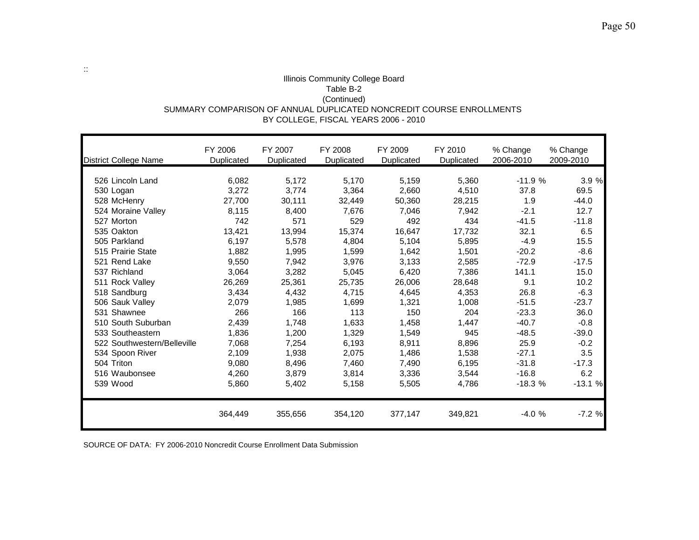#### Illinois Community College Board Table B-2 (Continued) SUMMARY COMPARISON OF ANNUAL DUPLICATED NONCREDIT COURSE ENROLLMENTS BY COLLEGE, FISCAL YEARS 2006 - 2010

| District College Name       | FY 2006<br>Duplicated | FY 2007<br>Duplicated | FY 2008<br>Duplicated | FY 2009<br>Duplicated | FY 2010<br>Duplicated | % Change<br>2006-2010 | % Change<br>2009-2010 |
|-----------------------------|-----------------------|-----------------------|-----------------------|-----------------------|-----------------------|-----------------------|-----------------------|
|                             |                       |                       |                       |                       |                       |                       |                       |
| 526 Lincoln Land            | 6,082                 | 5,172                 | 5,170                 | 5,159                 | 5,360                 | $-11.9%$              | 3.9 %                 |
| 530 Logan                   | 3,272                 | 3,774                 | 3,364                 | 2,660                 | 4,510                 | 37.8                  | 69.5                  |
| 528 McHenry                 | 27,700                | 30,111                | 32,449                | 50,360                | 28,215                | 1.9                   | $-44.0$               |
| 524 Moraine Valley          | 8,115                 | 8,400                 | 7,676                 | 7,046                 | 7,942                 | $-2.1$                | 12.7                  |
| 527 Morton                  | 742                   | 571                   | 529                   | 492                   | 434                   | $-41.5$               | $-11.8$               |
| 535 Oakton                  | 13,421                | 13,994                | 15,374                | 16,647                | 17,732                | 32.1                  | 6.5                   |
| 505 Parkland                | 6,197                 | 5,578                 | 4,804                 | 5,104                 | 5,895                 | $-4.9$                | 15.5                  |
| 515 Prairie State           | 1.882                 | 1,995                 | 1,599                 | 1,642                 | 1,501                 | $-20.2$               | $-8.6$                |
| 521 Rend Lake               | 9.550                 | 7.942                 | 3.976                 | 3,133                 | 2,585                 | $-72.9$               | $-17.5$               |
| 537 Richland                | 3,064                 | 3,282                 | 5,045                 | 6,420                 | 7,386                 | 141.1                 | 15.0                  |
| 511 Rock Valley             | 26,269                | 25,361                | 25,735                | 26,006                | 28,648                | 9.1                   | 10.2                  |
| 518 Sandburg                | 3,434                 | 4,432                 | 4,715                 | 4,645                 | 4,353                 | 26.8                  | $-6.3$                |
| 506 Sauk Valley             | 2,079                 | 1.985                 | 1,699                 | 1,321                 | 1,008                 | $-51.5$               | $-23.7$               |
| 531 Shawnee                 | 266                   | 166                   | 113                   | 150                   | 204                   | $-23.3$               | 36.0                  |
| 510 South Suburban          | 2,439                 | 1,748                 | 1,633                 | 1,458                 | 1,447                 | $-40.7$               | $-0.8$                |
| 533 Southeastern            | 1,836                 | 1,200                 | 1,329                 | 1,549                 | 945                   | $-48.5$               | $-39.0$               |
| 522 Southwestern/Belleville | 7,068                 | 7,254                 | 6,193                 | 8,911                 | 8,896                 | 25.9                  | $-0.2$                |
| 534 Spoon River             | 2,109                 | 1,938                 | 2,075                 | 1,486                 | 1,538                 | $-27.1$               | 3.5                   |
| 504 Triton                  | 9,080                 | 8.496                 | 7,460                 | 7,490                 | 6,195                 | $-31.8$               | $-17.3$               |
| 516 Waubonsee               | 4,260                 | 3,879                 | 3,814                 | 3,336                 | 3,544                 | $-16.8$               | 6.2                   |
| 539 Wood                    | 5,860                 | 5,402                 | 5,158                 | 5,505                 | 4,786                 | $-18.3%$              | $-13.1%$              |
|                             | 364,449               | 355,656               | 354,120               | 377,147               | 349,821               | $-4.0%$               | $-7.2%$               |

SOURCE OF DATA: FY 2006-2010 Noncredit Course Enrollment Data Submission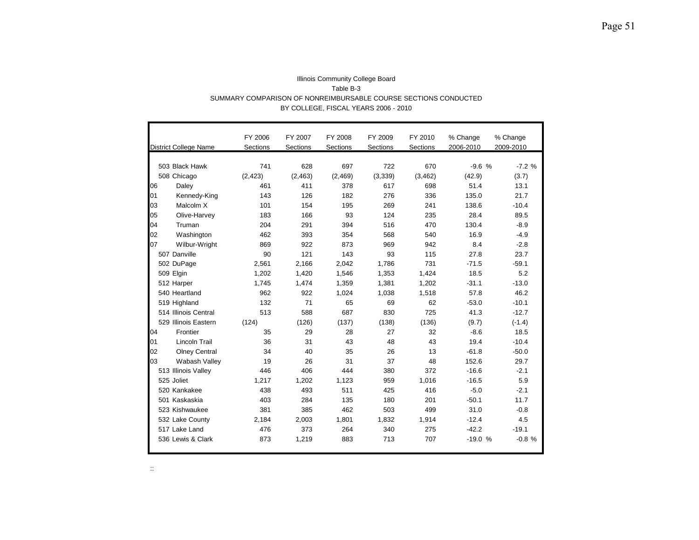|    |                              | FY 2006  | FY 2007  | FY 2008  | FY 2009  | FY 2010  | % Change  | % Change  |
|----|------------------------------|----------|----------|----------|----------|----------|-----------|-----------|
|    | <b>District College Name</b> | Sections | Sections | Sections | Sections | Sections | 2006-2010 | 2009-2010 |
|    |                              |          |          |          |          |          |           |           |
|    | 503 Black Hawk               | 741      | 628      | 697      | 722      | 670      | $-9.6%$   | $-7.2%$   |
|    | 508 Chicago                  | (2, 423) | (2, 463) | (2, 469) | (3,339)  | (3, 462) | (42.9)    | (3.7)     |
| 06 | Daley                        | 461      | 411      | 378      | 617      | 698      | 51.4      | 13.1      |
| 01 | Kennedy-King                 | 143      | 126      | 182      | 276      | 336      | 135.0     | 21.7      |
| 03 | Malcolm X                    | 101      | 154      | 195      | 269      | 241      | 138.6     | $-10.4$   |
| 05 | Olive-Harvey                 | 183      | 166      | 93       | 124      | 235      | 28.4      | 89.5      |
| 04 | Truman                       | 204      | 291      | 394      | 516      | 470      | 130.4     | $-8.9$    |
| 02 | Washington                   | 462      | 393      | 354      | 568      | 540      | 16.9      | $-4.9$    |
| 07 | Wilbur-Wright                | 869      | 922      | 873      | 969      | 942      | 8.4       | $-2.8$    |
|    | 507 Danville                 | 90       | 121      | 143      | 93       | 115      | 27.8      | 23.7      |
|    | 502 DuPage                   | 2,561    | 2,166    | 2,042    | 1,786    | 731      | $-71.5$   | $-59.1$   |
|    | 509 Elgin                    | 1,202    | 1,420    | 1,546    | 1,353    | 1,424    | 18.5      | 5.2       |
|    | 512 Harper                   | 1,745    | 1,474    | 1,359    | 1,381    | 1,202    | $-31.1$   | $-13.0$   |
|    | 540 Heartland                | 962      | 922      | 1,024    | 1,038    | 1,518    | 57.8      | 46.2      |
|    | 519 Highland                 | 132      | 71       | 65       | 69       | 62       | $-53.0$   | $-10.1$   |
|    | 514 Illinois Central         | 513      | 588      | 687      | 830      | 725      | 41.3      | $-12.7$   |
|    | 529 Illinois Eastern         | (124)    | (126)    | (137)    | (138)    | (136)    | (9.7)     | $(-1.4)$  |
| 04 | Frontier                     | 35       | 29       | 28       | 27       | 32       | $-8.6$    | 18.5      |
| 01 | <b>Lincoln Trail</b>         | 36       | 31       | 43       | 48       | 43       | 19.4      | $-10.4$   |
| 02 | <b>Olney Central</b>         | 34       | 40       | 35       | 26       | 13       | $-61.8$   | $-50.0$   |
| 03 | Wabash Valley                | 19       | 26       | 31       | 37       | 48       | 152.6     | 29.7      |
|    | 513 Illinois Valley          | 446      | 406      | 444      | 380      | 372      | $-16.6$   | $-2.1$    |
|    | 525 Joliet                   | 1.217    | 1,202    | 1,123    | 959      | 1,016    | $-16.5$   | 5.9       |
|    | 520 Kankakee                 | 438      | 493      | 511      | 425      | 416      | $-5.0$    | $-2.1$    |
|    | 501 Kaskaskia                | 403      | 284      | 135      | 180      | 201      | $-50.1$   | 11.7      |
|    | 523 Kishwaukee               | 381      | 385      | 462      | 503      | 499      | 31.0      | $-0.8$    |
|    | 532 Lake County              | 2,184    | 2,003    | 1,801    | 1,832    | 1,914    | $-12.4$   | 4.5       |
|    | 517 Lake Land                | 476      | 373      | 264      | 340      | 275      | $-42.2$   | $-19.1$   |
|    | 536 Lewis & Clark            | 873      | 1,219    | 883      | 713      | 707      | $-19.0%$  | $-0.8%$   |

#### Illinois Community College Board Table B-3 SUMMARY COMPARISON OF NONREIMBURSABLE COURSE SECTIONS CONDUCTED BY COLLEGE, FISCAL YEARS 2006 - 2010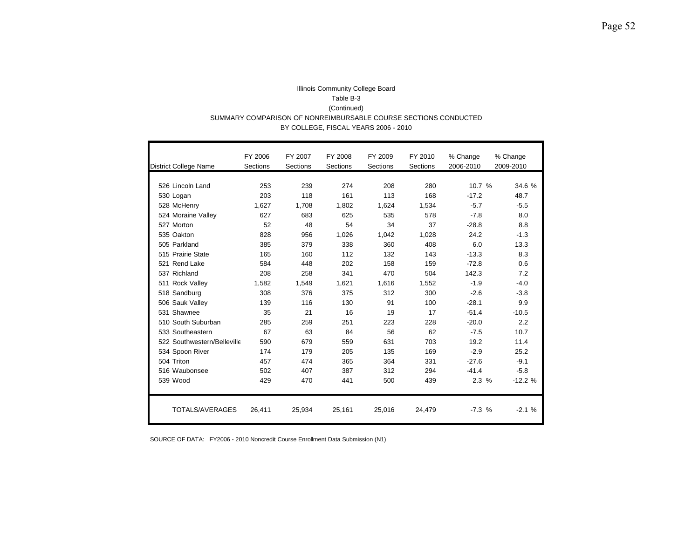#### Illinois Community College Board Table B-3 (Continued) SUMMARY COMPARISON OF NONREIMBURSABLE COURSE SECTIONS CONDUCTED BY COLLEGE, FISCAL YEARS 2006 - 2010

|                              | FY 2006         | FY 2007  | FY 2008  | FY 2009  | FY 2010  | % Change  | % Change  |
|------------------------------|-----------------|----------|----------|----------|----------|-----------|-----------|
| <b>District College Name</b> | <b>Sections</b> | Sections | Sections | Sections | Sections | 2006-2010 | 2009-2010 |
|                              |                 |          |          |          |          |           |           |
| 526 Lincoln Land             | 253             | 239      | 274      | 208      | 280      | 10.7%     | 34.6 %    |
| 530 Logan                    | 203             | 118      | 161      | 113      | 168      | $-17.2$   | 48.7      |
| 528 McHenry                  | 1.627           | 1,708    | 1.802    | 1.624    | 1.534    | $-5.7$    | $-5.5$    |
| 524 Moraine Valley           | 627             | 683      | 625      | 535      | 578      | $-7.8$    | 8.0       |
| 527 Morton                   | 52              | 48       | 54       | 34       | 37       | $-28.8$   | 8.8       |
| 535 Oakton                   | 828             | 956      | 1,026    | 1.042    | 1.028    | 24.2      | $-1.3$    |
| 505 Parkland                 | 385             | 379      | 338      | 360      | 408      | 6.0       | 13.3      |
| 515 Prairie State            | 165             | 160      | 112      | 132      | 143      | $-13.3$   | 8.3       |
| 521 Rend Lake                | 584             | 448      | 202      | 158      | 159      | $-72.8$   | 0.6       |
| 537 Richland                 | 208             | 258      | 341      | 470      | 504      | 142.3     | 7.2       |
| 511 Rock Valley              | 1,582           | 1,549    | 1.621    | 1.616    | 1.552    | $-1.9$    | $-4.0$    |
| 518 Sandburg                 | 308             | 376      | 375      | 312      | 300      | $-2.6$    | $-3.8$    |
| 506 Sauk Valley              | 139             | 116      | 130      | 91       | 100      | $-28.1$   | 9.9       |
| 531 Shawnee                  | 35              | 21       | 16       | 19       | 17       | $-51.4$   | $-10.5$   |
| 510 South Suburban           | 285             | 259      | 251      | 223      | 228      | $-20.0$   | 2.2       |
| 533 Southeastern             | 67              | 63       | 84       | 56       | 62       | $-7.5$    | 10.7      |
| 522 Southwestern/Belleville  | 590             | 679      | 559      | 631      | 703      | 19.2      | 11.4      |
| 534 Spoon River              | 174             | 179      | 205      | 135      | 169      | $-2.9$    | 25.2      |
| 504 Triton                   | 457             | 474      | 365      | 364      | 331      | $-27.6$   | $-9.1$    |
| 516 Waubonsee                | 502             | 407      | 387      | 312      | 294      | $-41.4$   | $-5.8$    |
| 539 Wood                     | 429             | 470      | 441      | 500      | 439      | 2.3%      | $-12.2%$  |
| TOTALS/AVERAGES              | 26,411          | 25,934   | 25,161   | 25,016   | 24,479   | $-7.3%$   | $-2.1%$   |
|                              |                 |          |          |          |          |           |           |

SOURCE OF DATA: FY2006 - 2010 Noncredit Course Enrollment Data Submission (N1)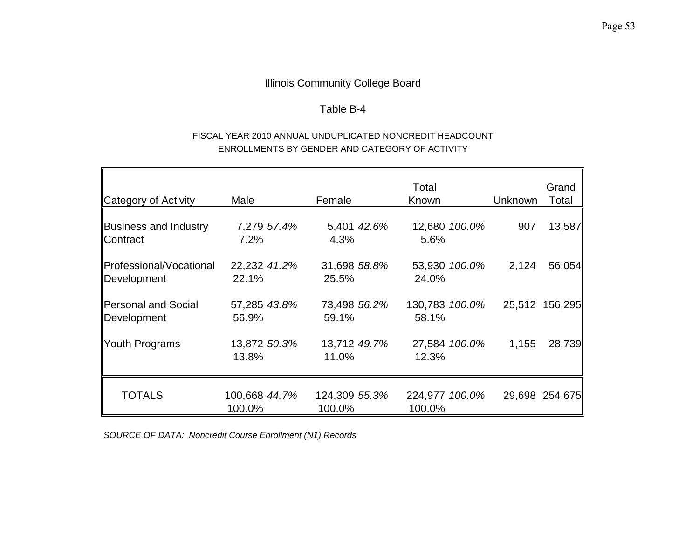## Table B-4

## FISCAL YEAR 2010 ANNUAL UNDUPLICATED NONCREDIT HEADCOUNT ENROLLMENTS BY GENDER AND CATEGORY OF ACTIVITY

| Category of Activity                            | Male                    | Female                  | Total<br>Known           | Unknown | Grand<br>Total |
|-------------------------------------------------|-------------------------|-------------------------|--------------------------|---------|----------------|
| <b>Business and Industry</b><br><b>Contract</b> | 7,279 57.4%<br>7.2%     | 5,401 42.6%<br>4.3%     | 12,680 100.0%<br>5.6%    | 907     | 13,587         |
| <b>IProfessional/Vocational</b><br>Development  | 22,232 41.2%<br>22.1%   | 31,698 58.8%<br>25.5%   | 53,930 100.0%<br>24.0%   | 2,124   | 56,054         |
| Personal and Social<br>Development              | 57,285 43.8%<br>56.9%   | 73,498 56.2%<br>59.1%   | 130,783 100.0%<br>58.1%  |         | 25,512 156,295 |
| Youth Programs                                  | 13,872 50.3%<br>13.8%   | 13,712 49.7%<br>11.0%   | 27,584 100.0%<br>12.3%   | 1,155   | 28,739         |
| <b>TOTALS</b>                                   | 100,668 44.7%<br>100.0% | 124,309 55.3%<br>100.0% | 224,977 100.0%<br>100.0% |         | 29,698 254,675 |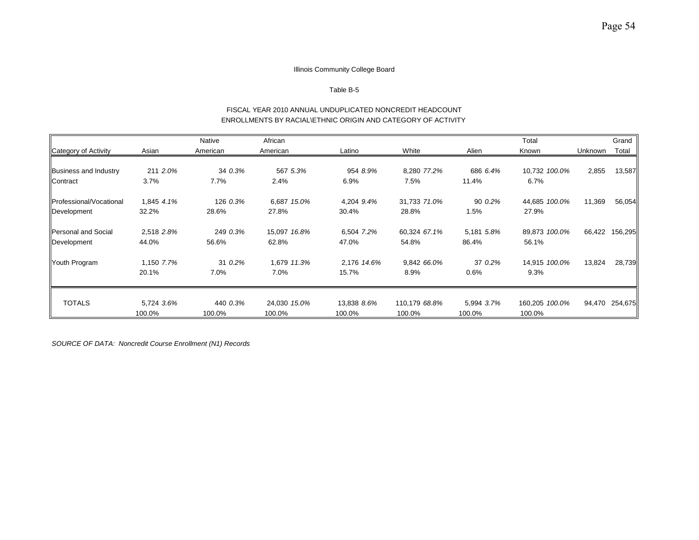#### Table B-5

#### FISCAL YEAR 2010 ANNUAL UNDUPLICATED NONCREDIT HEADCOUNT ENROLLMENTS BY RACIAL\ETHNIC ORIGIN AND CATEGORY OF ACTIVITY

|                              |            | Native   | African      |             |               |            | Total          |         | Grand          |
|------------------------------|------------|----------|--------------|-------------|---------------|------------|----------------|---------|----------------|
| Category of Activity         | Asian      | American | American     | Latino      | White         | Alien      | Known          | Unknown | Total          |
|                              |            |          |              |             |               |            |                |         |                |
| <b>Business and Industry</b> | 211 2.0%   | 34 0.3%  | 567 5.3%     | 954 8.9%    | 8,280 77.2%   | 686 6.4%   | 10,732 100.0%  | 2,855   | 13,587         |
| Contract                     | 3.7%       | 7.7%     | 2.4%         | 6.9%        | 7.5%          | 11.4%      | 6.7%           |         |                |
| Professional/Vocational      | 1,845 4.1% | 126 0.3% | 6,687 15.0%  | 4,204 9.4%  | 31,733 71.0%  | 90 0.2%    | 44,685 100.0%  | 11,369  | 56,054         |
| Development                  | 32.2%      | 28.6%    | 27.8%        | 30.4%       | 28.8%         | 1.5%       | 27.9%          |         |                |
| Personal and Social          | 2,518 2.8% | 249 0.3% | 15,097 16.8% | 6,504 7.2%  | 60,324 67.1%  | 5,181 5.8% | 89,873 100.0%  |         | 66,422 156,295 |
| Development                  | 44.0%      | 56.6%    | 62.8%        | 47.0%       | 54.8%         | 86.4%      | 56.1%          |         |                |
| Youth Program                | 1,150 7.7% | 31 0.2%  | 1,679 11.3%  | 2,176 14.6% | 9,842 66.0%   | 37 0.2%    | 14,915 100.0%  | 13,824  | 28,739         |
|                              | 20.1%      | 7.0%     | 7.0%         | 15.7%       | 8.9%          | 0.6%       | 9.3%           |         |                |
|                              |            |          |              |             |               |            |                |         |                |
| <b>TOTALS</b>                | 5,724 3.6% | 440 0.3% | 24,030 15.0% | 13,838 8.6% | 110,179 68.8% | 5,994 3.7% | 160,205 100.0% |         | 94,470 254,675 |
|                              | 100.0%     | 100.0%   | 100.0%       | 100.0%      | 100.0%        | 100.0%     | 100.0%         |         |                |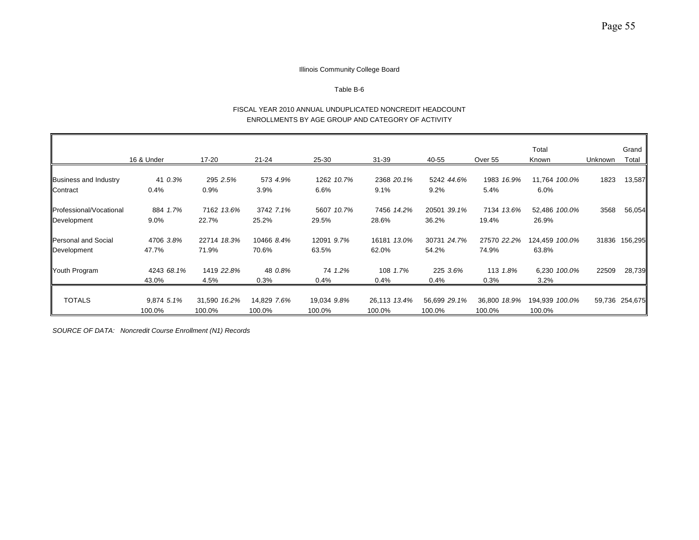#### Table B-6

#### FISCAL YEAR 2010 ANNUAL UNDUPLICATED NONCREDIT HEADCOUNT ENROLLMENTS BY AGE GROUP AND CATEGORY OF ACTIVITY

|                                 |            |              |             |             |              |              |              | Total          |         | Grand          |
|---------------------------------|------------|--------------|-------------|-------------|--------------|--------------|--------------|----------------|---------|----------------|
|                                 | 16 & Under | 17-20        | 21-24       | 25-30       | $31 - 39$    | 40-55        | Over 55      | Known          | Unknown | Total          |
|                                 |            |              |             |             |              |              |              |                |         |                |
| Business and Industry           | 41 0.3%    | 295 2.5%     | 573 4.9%    | 1262 10.7%  | 2368 20.1%   | 5242 44.6%   | 1983 16.9%   | 11,764 100.0%  | 1823    | 13,587         |
| Contract                        | 0.4%       | 0.9%         | 3.9%        | 6.6%        | 9.1%         | 9.2%         | 5.4%         | 6.0%           |         |                |
| <b>IProfessional/Vocational</b> | 884 1.7%   | 7162 13.6%   | 3742 7.1%   | 5607 10.7%  | 7456 14.2%   | 20501 39.1%  | 7134 13.6%   | 52,486 100.0%  | 3568    | 56,054         |
| Development                     | $9.0\%$    | 22.7%        | 25.2%       | 29.5%       | 28.6%        | 36.2%        | 19.4%        | 26.9%          |         |                |
| Personal and Social             | 4706 3.8%  | 22714 18.3%  | 10466 8.4%  | 12091 9.7%  | 16181 13.0%  | 30731 24.7%  | 27570 22.2%  | 124,459 100.0% |         | 31836 156,295  |
| Development                     | 47.7%      | 71.9%        | 70.6%       | 63.5%       | 62.0%        | 54.2%        | 74.9%        | 63.8%          |         |                |
| Youth Program                   | 4243 68.1% | 1419 22.8%   | 48 0.8%     | 74 1.2%     | 108 1.7%     | 225 3.6%     | 113 1.8%     | 6,230 100.0%   | 22509   | 28,739         |
|                                 | 43.0%      | 4.5%         | 0.3%        | 0.4%        | $0.4\%$      | 0.4%         | 0.3%         | 3.2%           |         |                |
| <b>TOTALS</b>                   | 9,874 5.1% | 31,590 16.2% | 14,829 7.6% | 19,034 9.8% | 26,113 13.4% | 56,699 29.1% | 36,800 18.9% | 194,939 100.0% |         | 59,736 254,675 |
|                                 |            |              |             |             |              |              |              |                |         |                |
|                                 | 100.0%     | 100.0%       | 100.0%      | 100.0%      | 100.0%       | 100.0%       | 100.0%       | 100.0%         |         |                |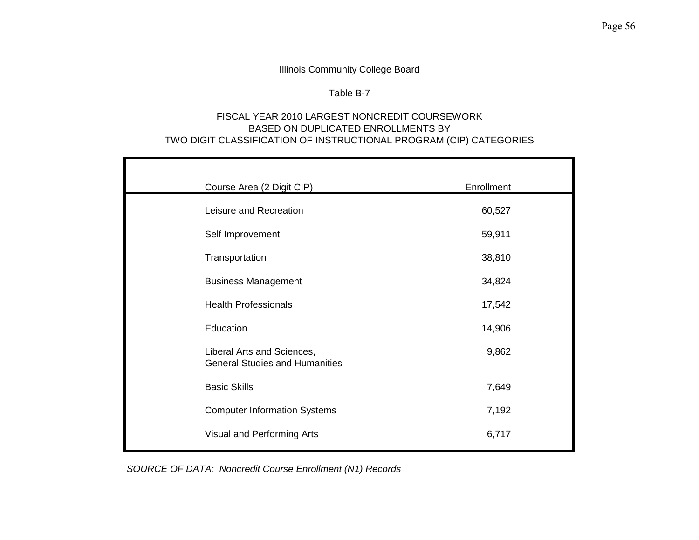## Table B-7

## FISCAL YEAR 2010 LARGEST NONCREDIT COURSEWORK BASED ON DUPLICATED ENROLLMENTS BY TWO DIGIT CLASSIFICATION OF INSTRUCTIONAL PROGRAM (CIP) CATEGORIES

| Course Area (2 Digit CIP)                                           | Enrollment |
|---------------------------------------------------------------------|------------|
| Leisure and Recreation                                              | 60,527     |
| Self Improvement                                                    | 59,911     |
| Transportation                                                      | 38,810     |
| <b>Business Management</b>                                          | 34,824     |
| <b>Health Professionals</b>                                         | 17,542     |
| Education                                                           | 14,906     |
| Liberal Arts and Sciences,<br><b>General Studies and Humanities</b> | 9,862      |
| <b>Basic Skills</b>                                                 | 7,649      |
| <b>Computer Information Systems</b>                                 | 7,192      |
| Visual and Performing Arts                                          | 6,717      |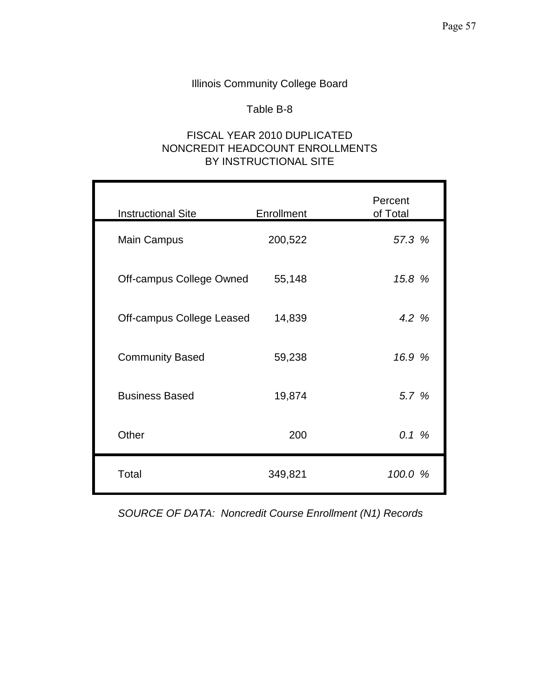## Table B-8

## FISCAL YEAR 2010 DUPLICATED NONCREDIT HEADCOUNT ENROLLMENTS BY INSTRUCTIONAL SITE

| <b>Instructional Site</b> | Enrollment | Percent<br>of Total |
|---------------------------|------------|---------------------|
| <b>Main Campus</b>        | 200,522    | 57.3 %              |
| Off-campus College Owned  | 55,148     | 15.8 %              |
| Off-campus College Leased | 14,839     | 4.2 %               |
| <b>Community Based</b>    | 59,238     | 16.9 %              |
| <b>Business Based</b>     | 19,874     | 5.7 %               |
| Other                     | 200        | 0.1%                |
| Total                     | 349,821    | 100.0 %             |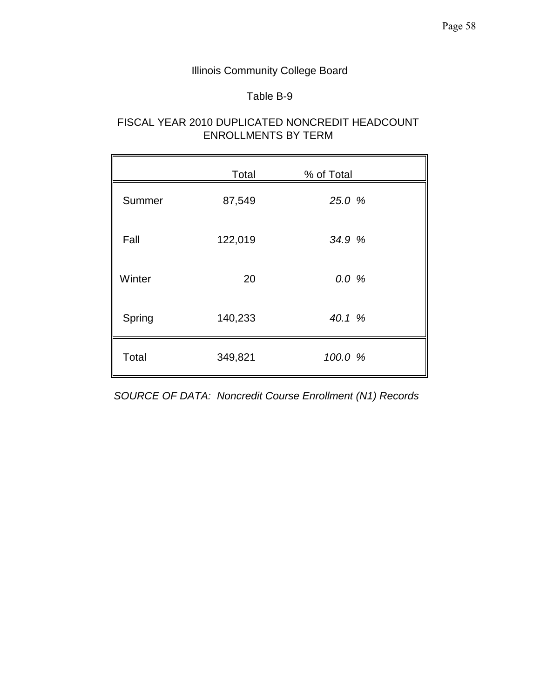## Table B-9

## FISCAL YEAR 2010 DUPLICATED NONCREDIT HEADCOUNT ENROLLMENTS BY TERM

|        | Total   | % of Total |  |
|--------|---------|------------|--|
| Summer | 87,549  | 25.0 %     |  |
| Fall   | 122,019 | 34.9 %     |  |
| Winter | 20      | 0.0%       |  |
| Spring | 140,233 | 40.1 %     |  |
| Total  | 349,821 | 100.0 %    |  |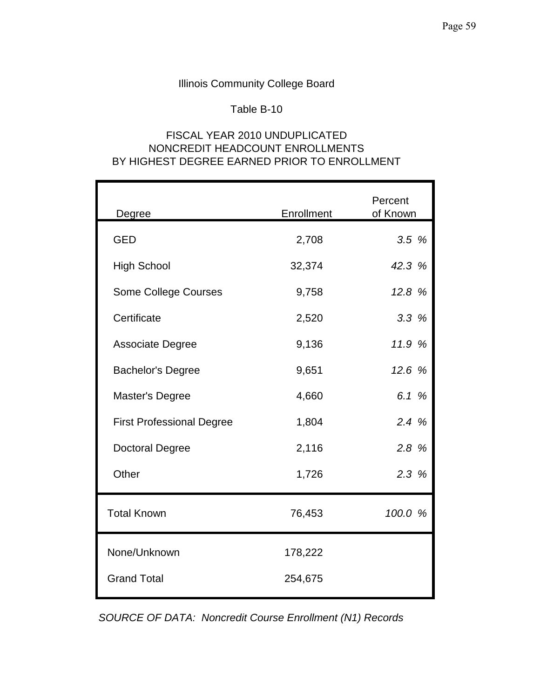## Table B-10

## FISCAL YEAR 2010 UNDUPLICATED NONCREDIT HEADCOUNT ENROLLMENTS BY HIGHEST DEGREE EARNED PRIOR TO ENROLLMENT

| Degree                           | Enrollment | Percent<br>of Known |
|----------------------------------|------------|---------------------|
| <b>GED</b>                       | 2,708      | 3.5%                |
| <b>High School</b>               | 32,374     | 42.3 %              |
| <b>Some College Courses</b>      | 9,758      | 12.8 %              |
| Certificate                      | 2,520      | 3.3%                |
| <b>Associate Degree</b>          | 9,136      | 11.9 %              |
| <b>Bachelor's Degree</b>         | 9,651      | 12.6 %              |
| Master's Degree                  | 4,660      | 6.1 %               |
| <b>First Professional Degree</b> | 1,804      | 2.4%                |
| <b>Doctoral Degree</b>           | 2,116      | 2.8 %               |
| Other                            | 1,726      | 2.3%                |
| <b>Total Known</b>               | 76,453     | 100.0 %             |
| None/Unknown                     | 178,222    |                     |
| <b>Grand Total</b>               | 254,675    |                     |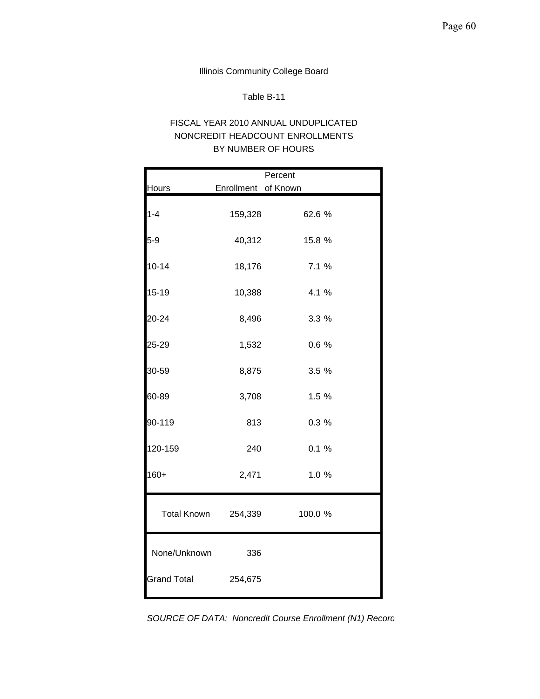### Table B-11

## FISCAL YEAR 2010 ANNUAL UNDUPLICATED NONCREDIT HEADCOUNT ENROLLMENTS BY NUMBER OF HOURS

|                     |                     | Percent |  |
|---------------------|---------------------|---------|--|
| <b>Hours</b>        | Enrollment of Known |         |  |
| $1 - 4$             | 159,328             | 62.6 %  |  |
| $5-9$               | 40,312              | 15.8 %  |  |
| $10 - 14$           | 18,176              | 7.1 %   |  |
| $15 - 19$           | 10,388              | 4.1 %   |  |
| 20-24               | 8,496               | 3.3%    |  |
| 25-29               | 1,532               | 0.6%    |  |
| 30-59               | 8,875               | 3.5%    |  |
| 60-89               | 3,708               | 1.5 %   |  |
| 90-119              | 813                 | 0.3%    |  |
| 120-159             | 240                 | 0.1%    |  |
| $160+$              | 2,471               | 1.0%    |  |
| Total Known 254,339 |                     | 100.0 % |  |
| None/Unknown        | 336                 |         |  |
| <b>Grand Total</b>  | 254,675             |         |  |

*SOURCE OF DATA: Noncredit Course Enrollment (N1) Record*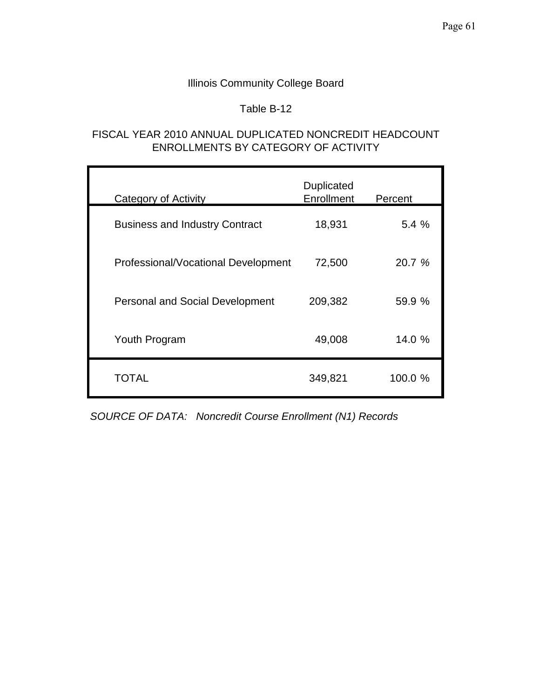## Table B-12

## FISCAL YEAR 2010 ANNUAL DUPLICATED NONCREDIT HEADCOUNT ENROLLMENTS BY CATEGORY OF ACTIVITY

| <b>Category of Activity</b>            | Duplicated<br>Enrollment | Percent |  |
|----------------------------------------|--------------------------|---------|--|
| <b>Business and Industry Contract</b>  | 18,931                   | 5.4%    |  |
| Professional/Vocational Development    | 72,500                   | 20.7 %  |  |
| <b>Personal and Social Development</b> | 209,382                  | 59.9 %  |  |
| Youth Program                          | 49,008                   | 14.0 %  |  |
| TOTAL                                  | 349,821                  | 100.0 % |  |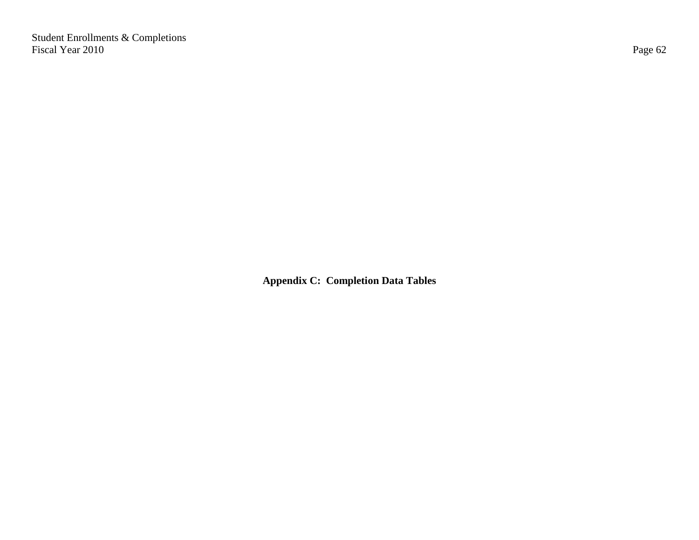Student Enrollments & Completions Fiscal Year 2010 Page 62

**Appendix C: Completion Data Tables**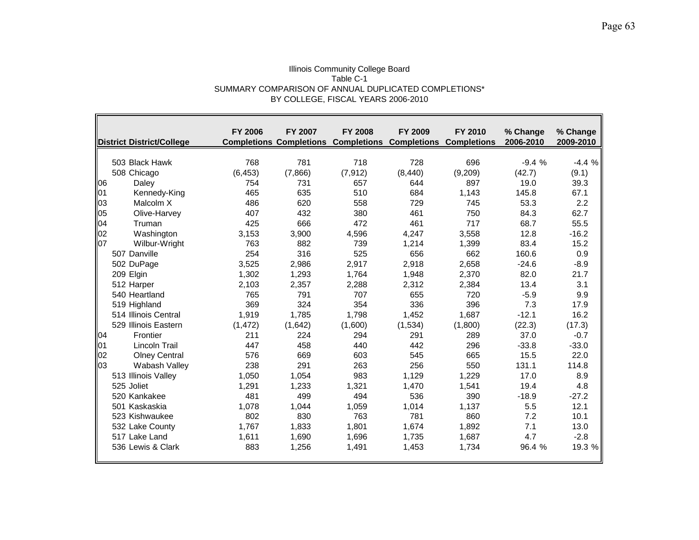### Illinois Community College Board Table C-1 SUMMARY COMPARISON OF ANNUAL DUPLICATED COMPLETIONS\* BY COLLEGE, FISCAL YEARS 2006-2010

- IF

|            | <b>District District/College</b> | <b>FY 2006</b> | FY 2007 | <b>FY 2008</b> | FY 2009<br><b>Completions Completions Completions Completions Completions</b> | FY 2010 | % Change<br>2006-2010 | % Change<br>2009-2010 |
|------------|----------------------------------|----------------|---------|----------------|-------------------------------------------------------------------------------|---------|-----------------------|-----------------------|
|            |                                  |                |         |                |                                                                               |         |                       |                       |
|            | 503 Black Hawk                   | 768            | 781     | 718            | 728                                                                           | 696     | $-9.4%$               | $-4.4%$               |
|            | 508 Chicago                      | (6, 453)       | (7,866) | (7, 912)       | (8, 440)                                                                      | (9,209) | (42.7)                | (9.1)                 |
| 106        | Daley                            | 754            | 731     | 657            | 644                                                                           | 897     | 19.0                  | 39.3                  |
| <b>101</b> | Kennedy-King                     | 465            | 635     | 510            | 684                                                                           | 1,143   | 145.8                 | 67.1                  |
| 03         | Malcolm X                        | 486            | 620     | 558            | 729                                                                           | 745     | 53.3                  | 2.2                   |
| 05         | Olive-Harvey                     | 407            | 432     | 380            | 461                                                                           | 750     | 84.3                  | 62.7                  |
| 04         | Truman                           | 425            | 666     | 472            | 461                                                                           | 717     | 68.7                  | 55.5                  |
| 02         | Washington                       | 3,153          | 3,900   | 4,596          | 4,247                                                                         | 3,558   | 12.8                  | $-16.2$               |
| 07         | Wilbur-Wright                    | 763            | 882     | 739            | 1,214                                                                         | 1.399   | 83.4                  | 15.2                  |
|            | 507 Danville                     | 254            | 316     | 525            | 656                                                                           | 662     | 160.6                 | 0.9                   |
|            | 502 DuPage                       | 3,525          | 2.986   | 2,917          | 2,918                                                                         | 2,658   | $-24.6$               | $-8.9$                |
|            | 209 Elgin                        | 1,302          | 1,293   | 1,764          | 1,948                                                                         | 2,370   | 82.0                  | 21.7                  |
|            | 512 Harper                       | 2,103          | 2,357   | 2,288          | 2,312                                                                         | 2,384   | 13.4                  | 3.1                   |
|            | 540 Heartland                    | 765            | 791     | 707            | 655                                                                           | 720     | $-5.9$                | 9.9                   |
|            | 519 Highland                     | 369            | 324     | 354            | 336                                                                           | 396     | 7.3                   | 17.9                  |
|            | 514 Illinois Central             | 1,919          | 1,785   | 1,798          | 1,452                                                                         | 1,687   | $-12.1$               | 16.2                  |
|            | 529 Illinois Eastern             | (1, 472)       | (1,642) | (1,600)        | (1,534)                                                                       | (1,800) | (22.3)                | (17.3)                |
| <b>104</b> | Frontier                         | 211            | 224     | 294            | 291                                                                           | 289     | 37.0                  | $-0.7$                |
| 01         | <b>Lincoln Trail</b>             | 447            | 458     | 440            | 442                                                                           | 296     | $-33.8$               | $-33.0$               |
| 02         | <b>Olney Central</b>             | 576            | 669     | 603            | 545                                                                           | 665     | 15.5                  | 22.0                  |
| 103        | Wabash Valley                    | 238            | 291     | 263            | 256                                                                           | 550     | 131.1                 | 114.8                 |
|            | 513 Illinois Valley              | 1,050          | 1.054   | 983            | 1,129                                                                         | 1,229   | 17.0                  | 8.9                   |
|            | 525 Joliet                       | 1,291          | 1,233   | 1,321          | 1,470                                                                         | 1,541   | 19.4                  | 4.8                   |
|            | 520 Kankakee                     | 481            | 499     | 494            | 536                                                                           | 390     | $-18.9$               | $-27.2$               |
|            | 501 Kaskaskia                    | 1,078          | 1.044   | 1,059          | 1,014                                                                         | 1,137   | 5.5                   | 12.1                  |
|            | 523 Kishwaukee                   | 802            | 830     | 763            | 781                                                                           | 860     | 7.2                   | 10.1                  |
|            | 532 Lake County                  | 1,767          | 1.833   | 1,801          | 1,674                                                                         | 1,892   | 7.1                   | 13.0                  |
|            | 517 Lake Land                    | 1,611          | 1,690   | 1,696          | 1,735                                                                         | 1,687   | 4.7                   | $-2.8$                |
|            | 536 Lewis & Clark                | 883            | 1,256   | 1,491          | 1,453                                                                         | 1,734   | 96.4 %                | 19.3 %                |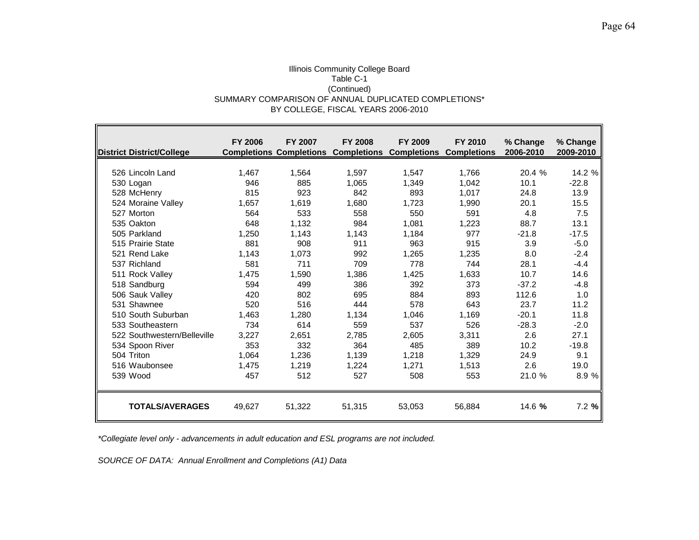# Illinois Community College Board Table C-1 (Continued) SUMMARY COMPARISON OF ANNUAL DUPLICATED COMPLETIONS\* BY COLLEGE, FISCAL YEARS 2006-2010

| District District/College   | <b>FY 2006</b> | <b>FY 2007</b><br><b>Completions Completions</b> | <b>FY 2008</b> | <b>FY 2009</b><br><b>Completions Completions Completions</b> | FY 2010 | % Change<br>2006-2010 | % Change<br>2009-2010 |
|-----------------------------|----------------|--------------------------------------------------|----------------|--------------------------------------------------------------|---------|-----------------------|-----------------------|
|                             |                |                                                  |                |                                                              |         |                       |                       |
| 526 Lincoln Land            | 1.467          | 1,564                                            | 1,597          | 1,547                                                        | 1,766   | 20.4 %                | 14.2 %                |
| 530 Logan                   | 946            | 885                                              | 1,065          | 1,349                                                        | 1,042   | 10.1                  | $-22.8$               |
| 528 McHenry                 | 815            | 923                                              | 842            | 893                                                          | 1,017   | 24.8                  | 13.9                  |
| 524 Moraine Valley          | 1,657          | 1,619                                            | 1,680          | 1,723                                                        | 1,990   | 20.1                  | 15.5                  |
| 527 Morton                  | 564            | 533                                              | 558            | 550                                                          | 591     | 4.8                   | 7.5                   |
| 535 Oakton                  | 648            | 1,132                                            | 984            | 1,081                                                        | 1,223   | 88.7                  | 13.1                  |
| 505 Parkland                | 1,250          | 1,143                                            | 1,143          | 1,184                                                        | 977     | $-21.8$               | $-17.5$               |
| 515 Prairie State           | 881            | 908                                              | 911            | 963                                                          | 915     | 3.9                   | $-5.0$                |
| 521 Rend Lake               | 1,143          | 1,073                                            | 992            | 1,265                                                        | 1,235   | 8.0                   | $-2.4$                |
| 537 Richland                | 581            | 711                                              | 709            | 778                                                          | 744     | 28.1                  | $-4.4$                |
| 511 Rock Valley             | 1,475          | 1,590                                            | 1,386          | 1,425                                                        | 1,633   | 10.7                  | 14.6                  |
| 518 Sandburg                | 594            | 499                                              | 386            | 392                                                          | 373     | $-37.2$               | $-4.8$                |
| 506 Sauk Valley             | 420            | 802                                              | 695            | 884                                                          | 893     | 112.6                 | 1.0                   |
| 531 Shawnee                 | 520            | 516                                              | 444            | 578                                                          | 643     | 23.7                  | 11.2                  |
| 510 South Suburban          | 1,463          | 1,280                                            | 1,134          | 1,046                                                        | 1,169   | $-20.1$               | 11.8                  |
| 533 Southeastern            | 734            | 614                                              | 559            | 537                                                          | 526     | $-28.3$               | $-2.0$                |
| 522 Southwestern/Belleville | 3,227          | 2,651                                            | 2,785          | 2,605                                                        | 3,311   | 2.6                   | 27.1                  |
| 534 Spoon River             | 353            | 332                                              | 364            | 485                                                          | 389     | 10.2                  | $-19.8$               |
| 504 Triton                  | 1.064          | 1.236                                            | 1.139          | 1.218                                                        | 1,329   | 24.9                  | 9.1                   |
| 516 Waubonsee               | 1.475          | 1,219                                            | 1,224          | 1.271                                                        | 1,513   | 2.6                   | 19.0                  |
| 539 Wood                    | 457            | 512                                              | 527            | 508                                                          | 553     | 21.0 %                | 8.9%                  |
| <b>TOTALS/AVERAGES</b>      | 49,627         | 51,322                                           | 51,315         | 53,053                                                       | 56,884  | 14.6 %                | 7.2%                  |

*\*Collegiate level only - advancements in adult education and ESL programs are not included.*

*SOURCE OF DATA: Annual Enrollment and Completions (A1) Data*

 $\blacksquare$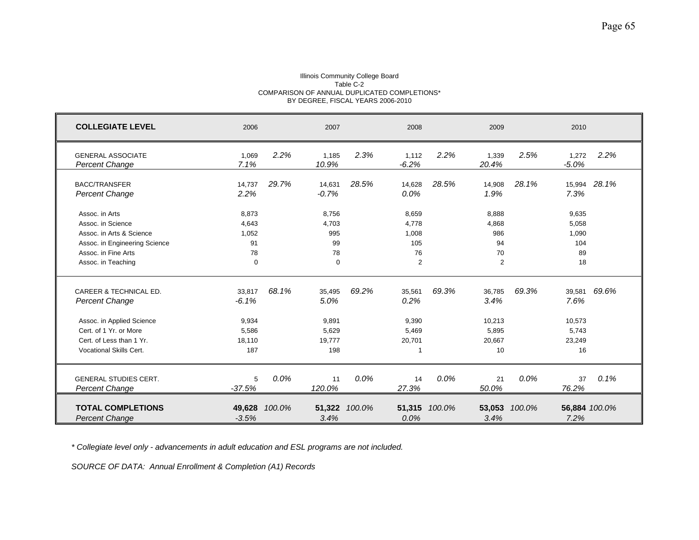### Illinois Community College Board Table C-2 COMPARISON OF ANNUAL DUPLICATED COMPLETIONS\* BY DEGREE, FISCAL YEARS 2006-2010

| <b>COLLEGIATE LEVEL</b>                                                                                                                                       | 2006                                                 |        | 2007                                              |               | 2008                                       |         | 2009                                              |         | 2010                                              |              |
|---------------------------------------------------------------------------------------------------------------------------------------------------------------|------------------------------------------------------|--------|---------------------------------------------------|---------------|--------------------------------------------|---------|---------------------------------------------------|---------|---------------------------------------------------|--------------|
| <b>GENERAL ASSOCIATE</b><br><b>Percent Change</b>                                                                                                             | 1,069<br>7.1%                                        | 2.2%   | 1,185<br>10.9%                                    | 2.3%          | 1,112<br>$-6.2%$                           | 2.2%    | 1,339<br>20.4%                                    | 2.5%    | 1,272<br>$-5.0%$                                  | 2.2%         |
| <b>BACC/TRANSFER</b><br><b>Percent Change</b>                                                                                                                 | 14,737<br>2.2%                                       | 29.7%  | 14,631<br>$-0.7%$                                 | 28.5%         | 14,628<br>$0.0\%$                          | 28.5%   | 14,908<br>1.9%                                    | 28.1%   | 7.3%                                              | 15,994 28.1% |
| Assoc. in Arts<br>Assoc. in Science<br>Assoc. in Arts & Science<br>Assoc. in Engineering Science<br>Assoc. in Fine Arts<br>Assoc. in Teaching                 | 8,873<br>4,643<br>1,052<br>91<br>78<br>$\mathbf 0$   |        | 8,756<br>4,703<br>995<br>99<br>78<br>$\Omega$     |               | 8,659<br>4,778<br>1.008<br>105<br>76<br>2  |         | 8,888<br>4,868<br>986<br>94<br>70<br>2            |         | 9,635<br>5,058<br>1,090<br>104<br>89<br>18        |              |
| CAREER & TECHNICAL ED.<br>Percent Change<br>Assoc. in Applied Science<br>Cert. of 1 Yr. or More<br>Cert. of Less than 1 Yr.<br><b>Vocational Skills Cert.</b> | 33,817<br>$-6.1%$<br>9,934<br>5,586<br>18,110<br>187 | 68.1%  | 35,495<br>5.0%<br>9,891<br>5,629<br>19,777<br>198 | 69.2%         | 35,561<br>0.2%<br>9,390<br>5,469<br>20,701 | 69.3%   | 36,785<br>3.4%<br>10,213<br>5,895<br>20,667<br>10 | 69.3%   | 39,581<br>7.6%<br>10,573<br>5,743<br>23,249<br>16 | 69.6%        |
| <b>GENERAL STUDIES CERT.</b><br><b>Percent Change</b>                                                                                                         | 5<br>$-37.5%$                                        | 0.0%   | 11<br>120.0%                                      | $0.0\%$       | 14<br>27.3%                                | $0.0\%$ | 21<br>50.0%                                       | $0.0\%$ | 37<br>76.2%                                       | 0.1%         |
| <b>TOTAL COMPLETIONS</b><br><b>Percent Change</b>                                                                                                             | 49,628<br>$-3.5%$                                    | 100.0% | 3.4%                                              | 51,322 100.0% | 51,315<br>$0.0\%$                          | 100.0%  | 53,053<br>3.4%                                    | 100.0%  | 56,884 100.0%<br>7.2%                             |              |

*\* Collegiate level only - advancements in adult education and ESL programs are not included.*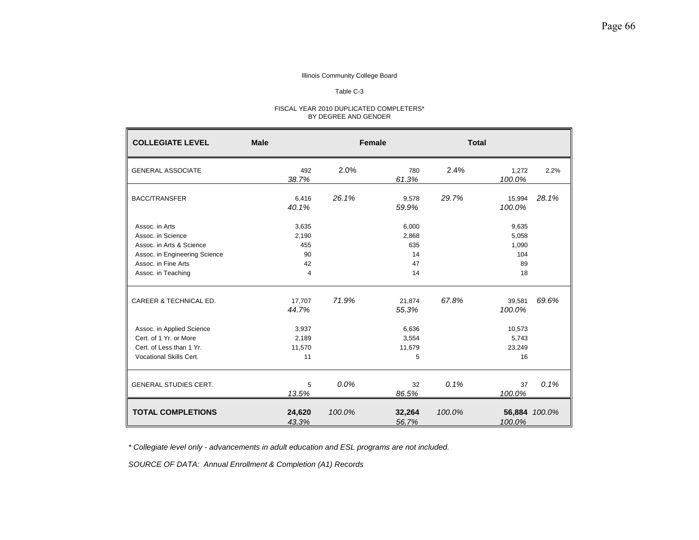# Table C-3

### FISCAL YEAR 2010 DUPLICATED COMPLETERS\* BY DEGREE AND GENDER

| <b>COLLEGIATE LEVEL</b>                   | <b>Male</b>     |        | <b>Female</b>   |        | <b>Total</b>     |               |
|-------------------------------------------|-----------------|--------|-----------------|--------|------------------|---------------|
| <b>GENERAL ASSOCIATE</b>                  | 492<br>38.7%    | 2.0%   | 780<br>61.3%    | 2.4%   | 1,272<br>100.0%  | 2.2%          |
| <b>BACC/TRANSFER</b>                      | 6,416<br>40.1%  | 26.1%  | 9,578<br>59.9%  | 29.7%  | 15,994<br>100.0% | 28.1%         |
| Assoc. in Arts                            | 3,635           |        | 6,000           |        | 9,635            |               |
| Assoc. in Science                         | 2.190           |        | 2,868           |        | 5,058            |               |
| Assoc. in Arts & Science                  | 455             |        | 635             |        | 1,090            |               |
| Assoc. in Engineering Science             | 90              |        | 14              |        | 104              |               |
| Assoc. in Fine Arts<br>Assoc. in Teaching | 42<br>4         |        | 47<br>14        |        | 89<br>18         |               |
| CAREER & TECHNICAL ED.                    | 17,707<br>44.7% | 71.9%  | 21,874<br>55.3% | 67.8%  | 39,581<br>100.0% | 69.6%         |
| Assoc. in Applied Science                 | 3,937           |        | 6,636           |        | 10,573           |               |
| Cert. of 1 Yr. or More                    | 2,189           |        | 3,554           |        | 5,743            |               |
| Cert. of Less than 1 Yr.                  | 11,570          |        | 11,679          |        | 23,249           |               |
| Vocational Skills Cert.                   | 11              |        | 5               |        | 16               |               |
| <b>GENERAL STUDIES CERT.</b>              | 5<br>13.5%      | 0.0%   | 32<br>86.5%     | 0.1%   | 37<br>100.0%     | 0.1%          |
| <b>TOTAL COMPLETIONS</b>                  | 24,620<br>43.3% | 100.0% | 32,264<br>56.7% | 100.0% | 100.0%           | 56,884 100.0% |

*\* Collegiate level only - advancements in adult education and ESL programs are not included.*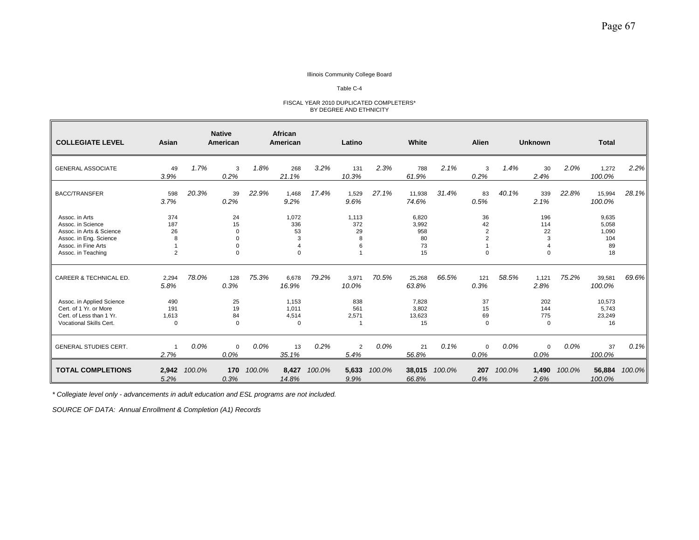#### Table C-4

#### FISCAL YEAR 2010 DUPLICATED COMPLETERS\* BY DEGREE AND ETHNICITY

| <b>COLLEGIATE LEVEL</b>                                                                                                                | Asian                      |         | <b>Native</b><br>American        |        | African<br><b>American</b>               |        | Latino                       |        | White                                   |        | Alien                        |        | <b>Unknown</b>             |        | <b>Total</b>                               |        |
|----------------------------------------------------------------------------------------------------------------------------------------|----------------------------|---------|----------------------------------|--------|------------------------------------------|--------|------------------------------|--------|-----------------------------------------|--------|------------------------------|--------|----------------------------|--------|--------------------------------------------|--------|
| <b>GENERAL ASSOCIATE</b>                                                                                                               | 49<br>3.9%                 | 1.7%    | 3<br>0.2%                        | 1.8%   | 268<br>21.1%                             | 3.2%   | 131<br>10.3%                 | 2.3%   | 788<br>61.9%                            | 2.1%   | 3<br>0.2%                    | 1.4%   | 30<br>2.4%                 | 2.0%   | 1,272<br>100.0%                            | 2.2%   |
| <b>BACC/TRANSFER</b>                                                                                                                   | 598<br>3.7%                | 20.3%   | 39<br>0.2%                       | 22.9%  | 1,468<br>9.2%                            | 17.4%  | 1,529<br>9.6%                | 27.1%  | 11,938<br>74.6%                         | 31.4%  | 83<br>0.5%                   | 40.1%  | 339<br>2.1%                | 22.8%  | 15,994<br>100.0%                           | 28.1%  |
| Assoc. in Arts<br>Assoc. in Science<br>Assoc. in Arts & Science<br>Assoc. in Eng. Science<br>Assoc. in Fine Arts<br>Assoc. in Teaching | 374<br>187<br>26<br>8<br>2 |         | 24<br>15<br>$\Omega$<br>$\Omega$ |        | 1,072<br>336<br>53<br>3<br>$\Delta$<br>0 |        | 1.113<br>372<br>29<br>8<br>6 |        | 6,820<br>3,992<br>958<br>80<br>73<br>15 |        | 36<br>42<br>2<br>$\mathbf 0$ |        | 196<br>114<br>22<br>3<br>0 |        | 9.635<br>5,058<br>1,090<br>104<br>89<br>18 |        |
| CAREER & TECHNICAL ED.                                                                                                                 | 2,294<br>5.8%              | 78.0%   | 128<br>0.3%                      | 75.3%  | 6,678<br>16.9%                           | 79.2%  | 3,971<br>10.0%               | 70.5%  | 25,268<br>63.8%                         | 66.5%  | 121<br>0.3%                  | 58.5%  | 1,121<br>2.8%              | 75.2%  | 39,581<br>100.0%                           | 69.6%  |
| Assoc. in Applied Science<br>Cert. of 1 Yr. or More<br>Cert. of Less than 1 Yr.<br>Vocational Skills Cert.                             | 490<br>191<br>1,613<br>0   |         | 25<br>19<br>84<br>$\mathbf 0$    |        | 1,153<br>1,011<br>4,514<br>$\mathbf 0$   |        | 838<br>561<br>2,571          |        | 7,828<br>3,802<br>13,623<br>15          |        | 37<br>15<br>69<br>$\Omega$   |        | 202<br>144<br>775<br>0     |        | 10,573<br>5,743<br>23,249<br>16            |        |
| <b>GENERAL STUDIES CERT.</b>                                                                                                           | -1<br>2.7%                 | $0.0\%$ | $\mathbf 0$<br>0.0%              | 0.0%   | 13<br>35.1%                              | 0.2%   | $\overline{2}$<br>5.4%       | 0.0%   | 21<br>56.8%                             | 0.1%   | $\mathbf 0$<br>0.0%          | 0.0%   | $\mathbf 0$<br>0.0%        | 0.0%   | 37<br>100.0%                               | 0.1%   |
| <b>TOTAL COMPLETIONS</b>                                                                                                               | 2,942<br>5.2%              | 100.0%  | 170<br>0.3%                      | 100.0% | 8,427<br>14.8%                           | 100.0% | 5,633<br>9.9%                | 100.0% | 38,015<br>66.8%                         | 100.0% | 207<br>0.4%                  | 100.0% | 1,490<br>2.6%              | 100.0% | 56,884<br>100.0%                           | 100.0% |

*\* Collegiate level only - advancements in adult education and ESL programs are not included.*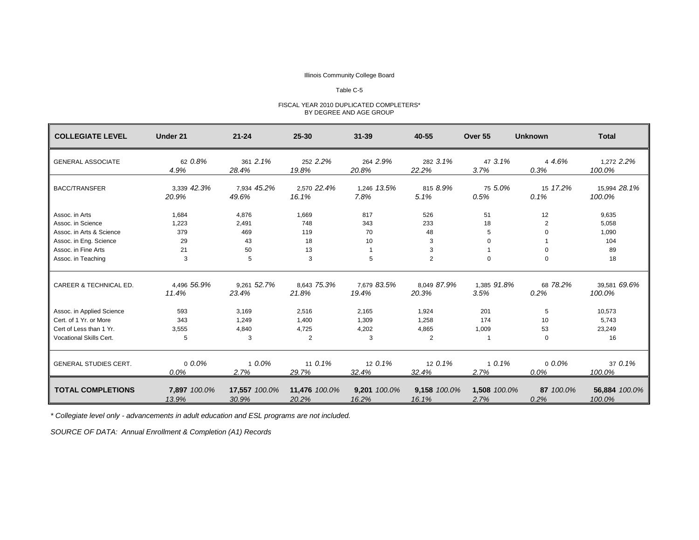# Table C-5

| FISCAL YEAR 2010 DUPLICATED COMPLETERS* |  |
|-----------------------------------------|--|
| BY DEGREE AND AGE GROUP                 |  |

| <b>COLLEGIATE LEVEL</b>           | Under 21              | $21 - 24$              | $25 - 30$              | $31 - 39$             | 40-55                 | Over 55              | <b>Unknown</b>    | <b>Total</b>            |
|-----------------------------------|-----------------------|------------------------|------------------------|-----------------------|-----------------------|----------------------|-------------------|-------------------------|
| <b>GENERAL ASSOCIATE</b>          | 62 0.8%<br>4.9%       | 361 2.1%<br>28.4%      | 252 2.2%<br>19.8%      | 264 2.9%<br>20.8%     | 282 3.1%<br>22.2%     | 47 3.1%<br>3.7%      | 4 4.6%<br>0.3%    | 1,272 2.2%<br>100.0%    |
| <b>BACC/TRANSFER</b>              | 3,339 42.3%<br>20.9%  | 7,934 45.2%<br>49.6%   | 2,570 22.4%<br>16.1%   | 1,246 13.5%<br>7.8%   | 815 8.9%<br>5.1%      | 75 5.0%<br>0.5%      | 15 17.2%<br>0.1%  | 15,994 28.1%<br>100.0%  |
| Assoc. in Arts                    | 1,684                 | 4,876                  | 1,669                  | 817                   | 526                   | 51                   | 12                | 9,635                   |
| Assoc. in Science                 | 1,223                 | 2,491                  | 748                    | 343                   | 233                   | 18                   | $\overline{2}$    | 5,058                   |
| Assoc. in Arts & Science          | 379                   | 469                    | 119                    | 70                    | 48                    | 5                    | $\Omega$          | 1,090                   |
| Assoc. in Eng. Science            | 29                    | 43                     | 18                     | 10                    | 3                     | $\Omega$             |                   | 104                     |
| Assoc. in Fine Arts               | 21                    | 50                     | 13                     |                       | 3                     |                      | $\Omega$          | 89                      |
| Assoc. in Teaching                | 3                     | 5                      | 3                      | 5                     | $\overline{2}$        | $\mathbf 0$          | $\mathbf 0$       | 18                      |
| <b>CAREER &amp; TECHNICAL ED.</b> | 4.496 56.9%<br>11.4%  | 9.261 52.7%<br>23.4%   | 8.643 75.3%<br>21.8%   | 7.679 83.5%<br>19.4%  | 8.049 87.9%<br>20.3%  | 1.385 91.8%<br>3.5%  | 68 78.2%<br>0.2%  | 39.581 69.6%<br>100.0%  |
| Assoc. in Applied Science         | 593                   | 3,169                  | 2,516                  | 2,165                 | 1,924                 | 201                  | 5                 | 10,573                  |
| Cert. of 1 Yr. or More            | 343                   | 1,249                  | 1,400                  | 1,309                 | 1,258                 | 174                  | 10                | 5,743                   |
| Cert of Less than 1 Yr.           | 3,555                 | 4,840                  | 4,725                  | 4,202                 | 4,865                 | 1,009                | 53                | 23,249                  |
| Vocational Skills Cert.           | 5                     | 3                      | 2                      | 3                     | 2                     |                      | $\mathbf 0$       | 16                      |
| <b>GENERAL STUDIES CERT.</b>      | $0.0\%$<br>0.0%       | 1 0.0%<br>2.7%         | 11 0.1%<br>29.7%       | 12 0.1%<br>32.4%      | 12 0.1%<br>32.4%      | 10.1%<br>2.7%        | $0.0\%$<br>0.0%   | 37 0.1%<br>100.0%       |
| <b>TOTAL COMPLETIONS</b>          | 7,897 100.0%<br>13.9% | 17,557 100.0%<br>30.9% | 11,476 100.0%<br>20.2% | 9,201 100.0%<br>16.2% | 9,158 100.0%<br>16.1% | 1,508 100.0%<br>2.7% | 87 100.0%<br>0.2% | 56,884 100.0%<br>100.0% |

*\* Collegiate level only - advancements in adult education and ESL programs are not included.*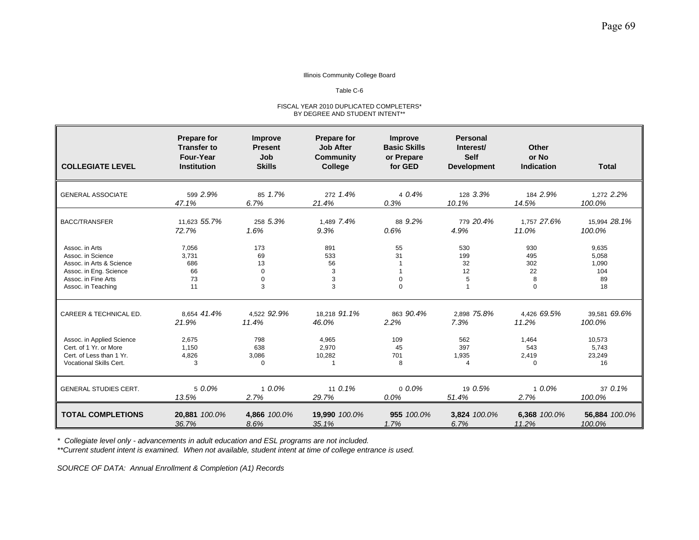## Table C-6

### FISCAL YEAR 2010 DUPLICATED COMPLETERS\* BY DEGREE AND STUDENT INTENT\*\*

| <b>COLLEGIATE LEVEL</b>                                                                                                                | <b>Prepare for</b><br><b>Transfer to</b><br>Four-Year<br><b>Institution</b> | <b>Improve</b><br><b>Present</b><br>Job<br><b>Skills</b> | <b>Prepare for</b><br><b>Job After</b><br>Community<br><b>College</b> | Improve<br><b>Basic Skills</b><br>or Prepare<br>for GED | <b>Personal</b><br>Interest/<br><b>Self</b><br><b>Development</b> | Other<br>or No<br><b>Indication</b>      | <b>Total</b>                               |
|----------------------------------------------------------------------------------------------------------------------------------------|-----------------------------------------------------------------------------|----------------------------------------------------------|-----------------------------------------------------------------------|---------------------------------------------------------|-------------------------------------------------------------------|------------------------------------------|--------------------------------------------|
| <b>GENERAL ASSOCIATE</b>                                                                                                               | 599 2.9%                                                                    | 85 1.7%                                                  | 272 1.4%                                                              | 40.4%                                                   | 128 3.3%                                                          | 184 2.9%                                 | 1.272 2.2%                                 |
|                                                                                                                                        | 47.1%                                                                       | 6.7%                                                     | 21.4%                                                                 | 0.3%                                                    | 10.1%                                                             | 14.5%                                    | 100.0%                                     |
| <b>BACC/TRANSFER</b>                                                                                                                   | 11.623 55.7%                                                                | 258 5.3%                                                 | 1.489 7.4%                                                            | 88 9.2%                                                 | 779 20.4%                                                         | 1.757 27.6%                              | 15,994 28.1%                               |
|                                                                                                                                        | 72.7%                                                                       | 1.6%                                                     | 9.3%                                                                  | 0.6%                                                    | 4.9%                                                              | 11.0%                                    | 100.0%                                     |
| Assoc. in Arts<br>Assoc. in Science<br>Assoc. in Arts & Science<br>Assoc. in Eng. Science<br>Assoc. in Fine Arts<br>Assoc. in Teaching | 7,056<br>3,731<br>686<br>66<br>73<br>11                                     | 173<br>69<br>13<br>$\mathbf 0$<br>$\mathbf 0$<br>3       | 891<br>533<br>56<br>3<br>3<br>3                                       | 55<br>31<br>$\mathbf 0$<br>$\Omega$                     | 530<br>199<br>32<br>12<br>5<br>$\overline{1}$                     | 930<br>495<br>302<br>22<br>8<br>$\Omega$ | 9,635<br>5,058<br>1,090<br>104<br>89<br>18 |
| CAREER & TECHNICAL ED.                                                                                                                 | 8.654 41.4%                                                                 | 4,522 92.9%                                              | 18,218 91.1%                                                          | 863 90.4%                                               | 2.898 75.8%                                                       | 4,426 69.5%                              | 39,581 69.6%                               |
|                                                                                                                                        | 21.9%                                                                       | 11.4%                                                    | 46.0%                                                                 | 2.2%                                                    | 7.3%                                                              | 11.2%                                    | 100.0%                                     |
| Assoc. in Applied Science                                                                                                              | 2.675                                                                       | 798                                                      | 4.965                                                                 | 109                                                     | 562                                                               | 1.464                                    | 10,573                                     |
| Cert. of 1 Yr. or More                                                                                                                 | 1,150                                                                       | 638                                                      | 2,970                                                                 | 45                                                      | 397                                                               | 543                                      | 5,743                                      |
| Cert. of Less than 1 Yr.                                                                                                               | 4,826                                                                       | 3,086                                                    | 10,282                                                                | 701                                                     | 1,935                                                             | 2,419                                    | 23,249                                     |
| Vocational Skills Cert.                                                                                                                | 3                                                                           | $\mathbf 0$                                              | -1                                                                    | 8                                                       | 4                                                                 | 0                                        | 16                                         |
| <b>GENERAL STUDIES CERT.</b>                                                                                                           | 5 0.0%                                                                      | $10.0\%$                                                 | 11 0.1%                                                               | $0.0\%$                                                 | 19 0.5%                                                           | $10.0\%$                                 | 37 0.1%                                    |
|                                                                                                                                        | 13.5%                                                                       | 2.7%                                                     | 29.7%                                                                 | 0.0%                                                    | 51.4%                                                             | 2.7%                                     | 100.0%                                     |
| <b>TOTAL COMPLETIONS</b>                                                                                                               | 20,881 100.0%                                                               | 4,866 100.0%                                             | 19,990 100.0%                                                         | 955 100.0%                                              | 3,824 100.0%                                                      | 6,368 100.0%                             | 56,884 100.0%                              |
|                                                                                                                                        | 36.7%                                                                       | 8.6%                                                     | 35.1%                                                                 | 1.7%                                                    | 6.7%                                                              | 11.2%                                    | 100.0%                                     |

*\* Collegiate level only - advancements in adult education and ESL programs are not included.*

*\*\*Current student intent is examined. When not available, student intent at time of college entrance is used.*